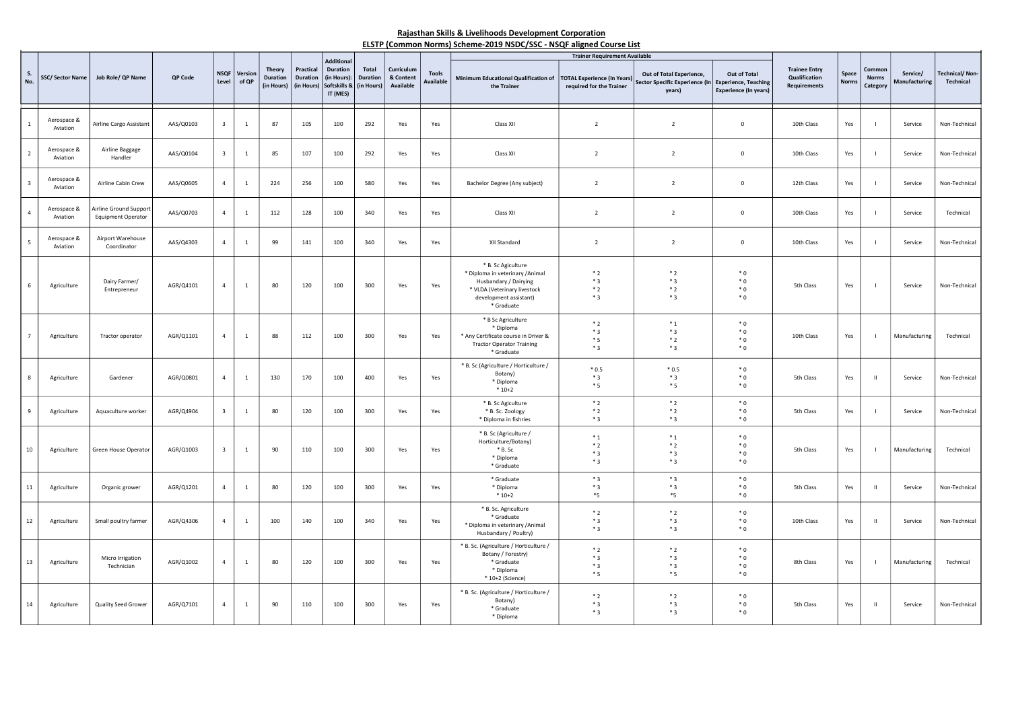## Rajasthan Skills & Livelihoods Development Corporation ELSTP (Common Norms) Scheme-2019 NSDC/SSC - NSQF aligned Course List

|                         |                         |                                              |           |                         |                  |                                                |                                            |                                                                                 |                                        |                                      |                                  | ELSTP (COMMON NOTHIS) SCIENCE-2019 NSDC/33C - NSQP anglied Course List                                                                                  |                                                                                                        |                                                                                           |                                              |                                                              |                |                                   |                           |                             |
|-------------------------|-------------------------|----------------------------------------------|-----------|-------------------------|------------------|------------------------------------------------|--------------------------------------------|---------------------------------------------------------------------------------|----------------------------------------|--------------------------------------|----------------------------------|---------------------------------------------------------------------------------------------------------------------------------------------------------|--------------------------------------------------------------------------------------------------------|-------------------------------------------------------------------------------------------|----------------------------------------------|--------------------------------------------------------------|----------------|-----------------------------------|---------------------------|-----------------------------|
| S.<br>No.               | <b>SSC/Sector Name</b>  | Job Role/ QP Name                            | QP Code   | <b>NSQF</b><br>Level    | Version<br>of QP | <b>Theory</b><br><b>Duration</b><br>(in Hours) | Practical<br><b>Duration</b><br>(in Hours) | <b>Additional</b><br><b>Duration</b><br>(in Hours):<br>Softskills &<br>IT (MES) | Total<br><b>Duration</b><br>(in Hours) | Curriculum<br>& Content<br>Available | <b>Tools</b><br><b>Available</b> | <b>Minimum Educational Qualification of</b><br>the Trainer                                                                                              | <b>Trainer Requirement Available</b><br><b>TOTAL Experience (In Years)</b><br>required for the Trainer | Out of Total Experience,<br>Sector Specific Experience (In Experience, Teaching<br>years) | Out of Total<br><b>Experience (In years)</b> | <b>Trainee Entry</b><br>Qualification<br><b>Requirements</b> | Space<br>Norm: | Commo<br><b>Norms</b><br>Category | Service/<br>Manufacturing | Fechnical/Non-<br>Technical |
|                         | Aerospace &<br>Aviation | Airline Cargo Assistant                      | AAS/Q0103 | $\overline{\mathbf{3}}$ | $\mathbf{1}$     | 87                                             | 105                                        | 100                                                                             | 292                                    | Yes                                  | Yes                              | Class XII                                                                                                                                               | $\overline{2}$                                                                                         | $\overline{2}$                                                                            | $\mathbf 0$                                  | 10th Class                                                   | Yes            | $\blacksquare$                    | Service                   | Non-Technical               |
| 2                       | Aerospace &<br>Aviation | Airline Baggage<br>Handler                   | AAS/Q0104 | $\overline{\mathbf{3}}$ | $\mathbf{1}$     | 85                                             | 107                                        | 100                                                                             | 292                                    | Yes                                  | Yes                              | Class XII                                                                                                                                               | $\overline{2}$                                                                                         | $\overline{2}$                                                                            | $\mathbf 0$                                  | 10th Class                                                   | Yes            | $\overline{\phantom{a}}$          | Service                   | Non-Technical               |
| $\overline{\mathbf{3}}$ | Aerospace &<br>Aviation | Airline Cabin Crew                           | AAS/Q0605 | $\overline{4}$          | $\overline{1}$   | 224                                            | 256                                        | 100                                                                             | 580                                    | Yes                                  | Yes                              | Bachelor Degree (Any subject)                                                                                                                           | $\overline{2}$                                                                                         | $\overline{2}$                                                                            | $\mathbf 0$                                  | 12th Class                                                   | Yes            | $\blacksquare$                    | Service                   | Non-Technical               |
| $\Delta$                | Aerospace &<br>Aviation | Airline Ground Support<br>Equipment Operator | AAS/Q0703 | $\overline{4}$          | $\mathbf{1}$     | 112                                            | 128                                        | 100                                                                             | 340                                    | Yes                                  | Yes                              | Class XII                                                                                                                                               | $\overline{2}$                                                                                         | $\overline{2}$                                                                            | $\pmb{0}$                                    | 10th Class                                                   | Yes            | $\blacksquare$                    | Service                   | Technical                   |
| -5                      | Aerospace &<br>Aviation | Airport Warehouse<br>Coordinator             | AAS/Q4303 | $\overline{4}$          | $\overline{1}$   | 99                                             | 141                                        | 100                                                                             | 340                                    | Yes                                  | Yes                              | XII Standard                                                                                                                                            | $\overline{2}$                                                                                         | $\overline{2}$                                                                            | $\mathbf 0$                                  | 10th Class                                                   | Yes            | $\overline{1}$                    | Service                   | Non-Technical               |
|                         | Agriculture             | Dairy Farmer/<br>Entrepreneur                | AGR/Q4101 | $\overline{4}$          | <sup>1</sup>     | 80                                             | 120                                        | 100                                                                             | 300                                    | Yes                                  | Yes                              | * B. Sc Agiculture<br>* Diploma in veterinary / Animal<br>Husbandary / Dairying<br>* VLDA (Veterinary livestock<br>development assistant)<br>* Graduate | $*2$<br>$*3$<br>$*2$<br>$*3$                                                                           | $*2$<br>$*3$<br>$*2$<br>$*3$                                                              | $*0$<br>${}^*0$<br>$*0$<br>$*0$              | 5th Class                                                    | Yes            | $\overline{\phantom{a}}$          | Service                   | Non-Technical               |
| $\overline{7}$          | Agriculture             | Tractor operator                             | AGR/Q1101 | $\overline{4}$          | <sup>1</sup>     | 88                                             | 112                                        | 100                                                                             | 300                                    | Yes                                  | Yes                              | * B Sc Agriculture<br>* Diploma<br>* Any Certificate course in Driver &<br><b>Tractor Operator Training</b><br>* Graduate                               | $*2$<br>$*3$<br>$*5$<br>$*3$                                                                           | $*_{1}$<br>$*3$<br>$*2$<br>$*3$                                                           | $*0$<br>$*0$<br>$*0$<br>$*0$                 | 10th Class                                                   | Yes            | $\overline{1}$                    | Manufacturing             | Technical                   |
| -8                      | Agriculture             | Gardener                                     | AGR/Q0801 | $\overline{4}$          | $\mathbf{1}$     | 130                                            | 170                                        | 100                                                                             | 400                                    | Yes                                  | Yes                              | * B. Sc (Agriculture / Horticulture /<br>Botany)<br>* Diploma<br>$*10+2$                                                                                | $*0.5$<br>$*3$<br>$*5$                                                                                 | $*0.5$<br>$*3$<br>$*5$                                                                    | $*0$<br>$*0$<br>$*0$                         | 5th Class                                                    | Yes            | $\mathbf{H}$                      | Service                   | Non-Technical               |
| 9                       | Agriculture             | Aquaculture worker                           | AGR/Q4904 | $\overline{\mathbf{3}}$ | <sup>1</sup>     | 80                                             | 120                                        | 100                                                                             | 300                                    | Yes                                  | Yes                              | * B. Sc Agiculture<br>* B. Sc. Zoology<br>* Diploma in fishries                                                                                         | $*2$<br>$*2$<br>$*3$                                                                                   | $*2$<br>$*2$<br>$*3$                                                                      | $*0$<br>$*0$<br>$*0$                         | 5th Class                                                    | Yes            | $\blacksquare$                    | Service                   | Non-Technical               |
| 10                      | Agriculture             | Green House Operator                         | AGR/Q1003 | $\overline{\mathbf{3}}$ | <sup>1</sup>     | 90                                             | 110                                        | 100                                                                             | 300                                    | Yes                                  | Yes                              | * B. Sc (Agriculture /<br>Horticulture/Botany)<br>$* B.$ Sc<br>* Diploma<br>* Graduate                                                                  | $*_{1}$<br>$*2$<br>$*3$<br>$*3$                                                                        | $*_{1}$<br>$*2$<br>$*3$<br>$*3$                                                           | $*0$<br>$*0$<br>$*0$<br>$*0$                 | 5th Class                                                    | Yes            | $\blacksquare$                    | Manufacturing             | Technical                   |
| $11\,$                  | Agriculture             | Organic grower                               | AGR/Q1201 | $\overline{4}$          | $\overline{1}$   | 80                                             | 120                                        | 100                                                                             | 300                                    | Yes                                  | Yes                              | * Graduate<br>* Diploma<br>$*10+2$                                                                                                                      | $*3$<br>$*3$<br>$*_{5}$                                                                                | $*3$<br>$*3$<br>$*_{5}$                                                                   | $*0$<br>$*0$<br>$*0$                         | 5th Class                                                    | Yes            | $\mathbf{H}$                      | Service                   | Non-Technical               |
| 12                      | Agriculture             | Small poultry farmer                         | AGR/Q4306 | $\overline{4}$          | $\overline{1}$   | 100                                            | 140                                        | 100                                                                             | 340                                    | Yes                                  | Yes                              | * B. Sc. Agriculture<br>* Graduate<br>* Diploma in veterinary /Animal<br>Husbandary / Poultry)                                                          | $*2$<br>$*3$<br>$*3$                                                                                   | $*2$<br>$*3$<br>$*3$                                                                      | $*0$<br>$*0$<br>$*0$                         | 10th Class                                                   | Yes            | - 11                              | Service                   | Non-Technical               |
| 13                      | Agriculture             | Micro Irrigation<br>Technician               | AGR/Q1002 | $\overline{4}$          | <sup>1</sup>     | 80                                             | 120                                        | 100                                                                             | 300                                    | Yes                                  | Yes                              | * B. Sc. (Agriculture / Horticulture /<br>Botany / Forestry)<br>* Graduate<br>* Diploma<br>* 10+2 (Science)                                             | $*2$<br>$*3$<br>$*3$<br>$*5$                                                                           | $*2$<br>$*3$<br>$*3$<br>$*5$                                                              | $*0$<br>$*0$<br>$*0$<br>$*0$                 | 8th Class                                                    | Yes            | $\blacksquare$                    | Manufacturing             | Technical                   |
| 14                      | Agriculture             | Quality Seed Grower                          | AGR/Q7101 | $\overline{a}$          | <sup>1</sup>     | 90                                             | 110                                        | 100                                                                             | 300                                    | Yes                                  | Yes                              | * B. Sc. (Agriculture / Horticulture /<br>Botany)<br>* Graduate<br>* Diploma                                                                            | $*2$<br>$*3$<br>$*3$                                                                                   | $*2$<br>$*3$<br>$*3$                                                                      | $*0$<br>$*0$<br>$*0$                         | 5th Class                                                    | Yes            | $\mathbf{H}$                      | Service                   | Non-Technical               |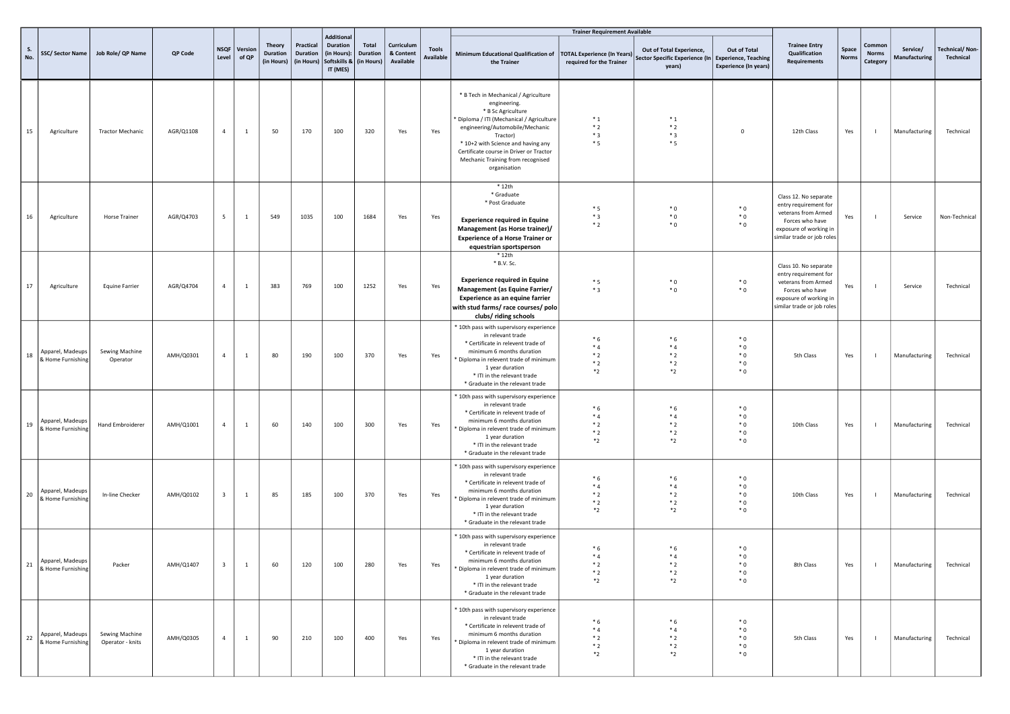|                                             |                                      |           |                         |                  |                                                |                                            |                                                                                              |                                 |                                      |                                  |                                                                                                                                                                                                                                                                                                              | <b>Trainer Requirement Available</b>       |                                                                                           |                                              |                                                                                                                                                  |                       |                                    |                           |                                    |
|---------------------------------------------|--------------------------------------|-----------|-------------------------|------------------|------------------------------------------------|--------------------------------------------|----------------------------------------------------------------------------------------------|---------------------------------|--------------------------------------|----------------------------------|--------------------------------------------------------------------------------------------------------------------------------------------------------------------------------------------------------------------------------------------------------------------------------------------------------------|--------------------------------------------|-------------------------------------------------------------------------------------------|----------------------------------------------|--------------------------------------------------------------------------------------------------------------------------------------------------|-----------------------|------------------------------------|---------------------------|------------------------------------|
| S.<br>No.                                   | SSC/ Sector Name   Job Role/ QP Name | QP Code   | <b>NSQF</b><br>Level    | Version<br>of QP | <b>Theory</b><br><b>Duration</b><br>(in Hours) | Practical<br><b>Duration</b><br>(in Hours) | <b>Additional</b><br><b>Duration</b><br>(in Hours):<br>Softskills &   (in Hours)<br>IT (MES) | <b>Total</b><br><b>Duration</b> | Curriculum<br>& Content<br>Available | <b>Tools</b><br><b>Available</b> | Minimum Educational Qualification of   TOTAL Experience (In Years)<br>the Trainer                                                                                                                                                                                                                            | required for the Trainer                   | Out of Total Experience,<br>Sector Specific Experience (In Experience, Teaching<br>years) | Out of Total<br><b>Experience (In years)</b> | <b>Trainee Entry</b><br>Qualification<br>Requirements                                                                                            | Space<br><b>Norms</b> | Common<br><b>Norms</b><br>Category | Service/<br>Manufacturing | <b>Technical/Non-</b><br>Technical |
| 15<br>Agriculture                           | <b>Tractor Mechanic</b>              | AGR/Q1108 | $\overline{4}$          | $\mathbf{1}$     | 50                                             | 170                                        | 100                                                                                          | 320                             | Yes                                  | Yes                              | * B Tech in Mechanical / Agriculture<br>engineering.<br>* B Sc Agriculture<br>* Diploma / ITI (Mechanical / Agriculture<br>engineering/Automobile/Mechanic<br>Tractor)<br>* 10+2 with Science and having any<br>Certificate course in Driver or Tractor<br>Mechanic Training from recognised<br>organisation | $*_{1}$<br>$*2$<br>$*3$<br>$*5$            | $*_{1}$<br>$*2$<br>$*3$<br>$*5$                                                           | $\mathbf 0$                                  | 12th Class                                                                                                                                       | Yes                   |                                    | Manufacturing             | Technical                          |
| 16<br>Agriculture                           | <b>Horse Trainer</b>                 | AGR/Q4703 | 5                       | $\mathbf{1}$     | 549                                            | 1035                                       | 100                                                                                          | 1684                            | Yes                                  | Yes                              | $*12th$<br>* Graduate<br>* Post Graduate<br><b>Experience required in Equine</b><br>Management (as Horse trainer)/<br><b>Experience of a Horse Trainer or</b><br>equestrian sportsperson                                                                                                                     | $*_{5}$<br>$*3$<br>$*2$                    | $^*$ 0<br>$^*$ 0<br>$*$ 0                                                                 | $*0$<br>$*0$<br>$*0$                         | Class 12. No separate<br>entry requirement for<br>veterans from Armed<br>Forces who have<br>exposure of working in<br>similar trade or job roles | Yes                   | -1                                 | Service                   | Non-Technical                      |
| 17<br>Agriculture                           | <b>Equine Farrier</b>                | AGR/Q4704 | $\overline{4}$          | 1                | 383                                            | 769                                        | 100                                                                                          | 1252                            | Yes                                  | Yes                              | * 12th<br>* B.V. Sc.<br><b>Experience required in Equine</b><br>Management (as Equine Farrier/<br>Experience as an equine farrier<br>with stud farms/ race courses/ polo<br>clubs/ riding schools                                                                                                            | $*5$<br>$*3$                               | $^*$ 0<br>$^*$ 0                                                                          | $*0$<br>$*$ 0                                | Class 10. No separate<br>entry requirement for<br>veterans from Armed<br>Forces who have<br>exposure of working in<br>similar trade or job roles | Yes                   |                                    | Service                   | Technical                          |
| Apparel, Madeups<br>18<br>& Home Furnishing | Sewing Machine<br>Operator           | AMH/Q0301 | $\overline{4}$          | $\mathbf{1}$     | 80                                             | 190                                        | 100                                                                                          | 370                             | Yes                                  | Yes                              | * 10th pass with supervisory experience<br>in relevant trade<br>* Certificate in relevent trade of<br>minimum 6 months duration<br>* Diploma in relevent trade of minimum<br>1 year duration<br>* ITI in the relevant trade<br>* Graduate in the relevant trade                                              | $*6$<br>$*4$<br>$*2$<br>$*2$<br>$*_{2}$    | $*6$<br>$*_{4}$<br>$*2$<br>$*2$<br>$*_{2}$                                                | $*0$<br>$*0$<br>$*0$<br>$*0$<br>$*0$         | 5th Class                                                                                                                                        | Yes                   | $\perp$                            | Manufacturing             | Technical                          |
| Apparel, Madeups<br>19<br>& Home Furnishing | Hand Embroiderer                     | AMH/Q1001 | $\overline{4}$          | $\mathbf{1}$     | 60                                             | 140                                        | 100                                                                                          | 300                             | Yes                                  | Yes                              | * 10th pass with supervisory experience<br>in relevant trade<br>* Certificate in relevent trade of<br>minimum 6 months duration<br>Diploma in relevent trade of minimum<br>1 year duration<br>* ITI in the relevant trade<br>* Graduate in the relevant trade                                                | $*6$<br>$*_{4}$<br>$*2$<br>$*2$<br>$*_{2}$ | $*6$<br>$*_{4}$<br>$*2$<br>$*2$<br>$*_{2}$                                                | $*0$<br>$*0$<br>$*0$<br>$*0$<br>$*$ 0        | 10th Class                                                                                                                                       | Yes                   |                                    | Manufacturing             | Technical                          |
| Apparel, Madeups<br>20<br>& Home Furnishing | In-line Checker                      | AMH/Q0102 | $\overline{\mathbf{3}}$ | 1                | 85                                             | 185                                        | 100                                                                                          | 370                             | Yes                                  | Yes                              | * 10th pass with supervisory experience<br>in relevant trade<br>* Certificate in relevent trade of<br>minimum 6 months duration<br>Diploma in relevent trade of minimum<br>1 year duration<br>* ITI in the relevant trade<br>* Graduate in the relevant trade                                                | $*6$<br>$*_{4}$<br>$*2$<br>$*2$<br>$*_{2}$ | $*6$<br>$*4$<br>$*2$<br>$*2$<br>$*_{2}$                                                   | $*0$<br>$*0$<br>$*0$<br>$*0$<br>$*0$         | 10th Class                                                                                                                                       | Yes                   |                                    | Manufacturing             | Technical                          |
| Apparel, Madeups<br>21<br>& Home Furnishing | Packer                               | AMH/Q1407 | $\overline{\mathbf{3}}$ | 1                |                                                | 60 120                                     | 100                                                                                          | 280                             | Yes                                  | Yes                              | 10th pass with supervisory experience<br>in relevant trade<br>* Certificate in relevent trade of<br>minimum 6 months duration<br>Diploma in relevent trade of minimum<br>1 year duration<br>* ITI in the relevant trade<br>* Graduate in the relevant trade                                                  | $*6$<br>$*4$<br>$*2$<br>$*2$<br>$*_{2}$    | $*6$<br>$*4$<br>$*2$<br>$*2$<br>$*_{2}$                                                   | $*0$<br>$*0$<br>$*0$<br>$*0$<br>$*$ 0        | 8th Class                                                                                                                                        |                       | Yes I                              | Manufacturing Technical   |                                    |
| Apparel, Madeups<br>22<br>& Home Furnishing | Sewing Machine<br>Operator - knits   | AMH/Q0305 | $\overline{4}$          | $\mathbf{1}$     | 90                                             | 210                                        | 100                                                                                          | 400                             | Yes                                  | Yes                              | * 10th pass with supervisory experience<br>in relevant trade<br>* Certificate in relevent trade of<br>minimum 6 months duration<br>* Diploma in relevent trade of minimum<br>1 year duration<br>* ITI in the relevant trade<br>* Graduate in the relevant trade                                              | $*6$<br>$*_{4}$<br>$*2$<br>$*2$<br>$*_{2}$ | $*6$<br>$*_{4}$<br>$*2$<br>$*2$<br>$*_{2}$                                                | $*$ 0<br>$*0$<br>$*$ 0<br>$*0$<br>$*$ 0      | 5th Class                                                                                                                                        | Yes                   | $\blacksquare$                     | Manufacturing             | Technical                          |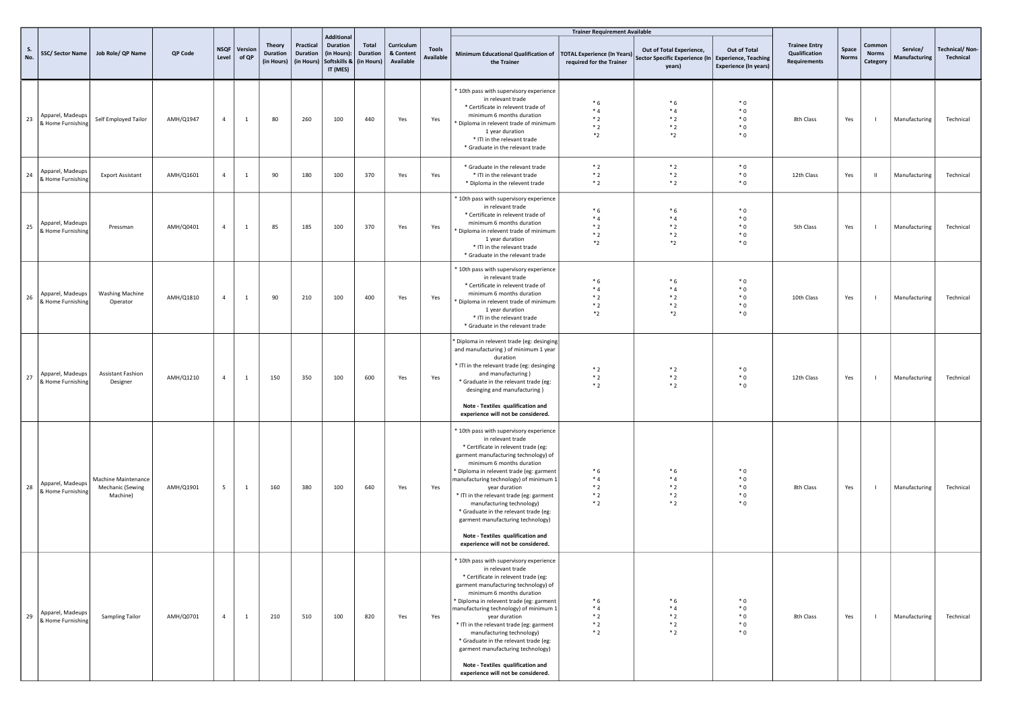|           |                                       |                                                     |           |                      |                  |                                  |                                            |                                                                                 |                                        |                                      |                                  |                                                                                                                                                                                                                                                                                                                                                                                                                                                                                                                                                        | <b>Trainer Requirement Available</b>                           |                                                                                             |                                              |                                                              |                |                                    |                           |                                    |
|-----------|---------------------------------------|-----------------------------------------------------|-----------|----------------------|------------------|----------------------------------|--------------------------------------------|---------------------------------------------------------------------------------|----------------------------------------|--------------------------------------|----------------------------------|--------------------------------------------------------------------------------------------------------------------------------------------------------------------------------------------------------------------------------------------------------------------------------------------------------------------------------------------------------------------------------------------------------------------------------------------------------------------------------------------------------------------------------------------------------|----------------------------------------------------------------|---------------------------------------------------------------------------------------------|----------------------------------------------|--------------------------------------------------------------|----------------|------------------------------------|---------------------------|------------------------------------|
| S.<br>No. | SSC/Sector Name                       | Job Role/ QP Name                                   | QP Code   | <b>NSQF</b><br>Level | Version<br>of QP | Theory<br>Duration<br>(in Hours) | Practical<br><b>Duration</b><br>(in Hours) | <b>Additional</b><br><b>Duration</b><br>(in Hours):<br>Softskills &<br>IT (MES) | Total<br><b>Duration</b><br>(in Hours) | Curriculum<br>& Content<br>Available | <b>Tools</b><br><b>Available</b> | Minimum Educational Qualification of<br>the Trainer                                                                                                                                                                                                                                                                                                                                                                                                                                                                                                    | <b>TOTAL Experience (In Years)</b><br>required for the Trainer | Out of Total Experience,<br>Sector Specific Experience (In   Experience, Teaching<br>years) | Out of Total<br><b>Experience (In years)</b> | <b>Trainee Entry</b><br>Qualification<br><b>Requirements</b> | Space<br>Norm: | Common<br><b>Norms</b><br>Category | Service/<br>Manufacturing | <b>Technical/Non-</b><br>Technical |
| 23        | Apparel, Madeups<br>& Home Furnishing | Self Employed Tailor                                | AMH/Q1947 | $\overline{4}$       | $\mathbf{1}$     | 80                               | 260                                        | 100                                                                             | 440                                    | Yes                                  | Yes                              | * 10th pass with supervisory experience<br>in relevant trade<br>* Certificate in relevent trade of<br>minimum 6 months duration<br>* Diploma in relevent trade of minimum<br>1 year duration<br>* ITI in the relevant trade<br>* Graduate in the relevant trade                                                                                                                                                                                                                                                                                        | $*6$<br>$*4$<br>$*2$<br>$*2$<br>$*_{2}$                        | $*6$<br>$*4$<br>$*2$<br>$*2$<br>$*_{2}$                                                     | $*0$<br>$*0$<br>$*0$<br>$*0$<br>$*0$         | 8th Class                                                    | Yes            | $\overline{\phantom{a}}$           | Manufacturing             | Technical                          |
| 24        | Apparel, Madeups<br>& Home Furnishing | <b>Export Assistant</b>                             | AMH/Q1601 | $\overline{4}$       | $\mathbf{1}$     | 90                               | 180                                        | 100                                                                             | 370                                    | Yes                                  | Yes                              | * Graduate in the relevant trade<br>* ITI in the relevant trade<br>* Diploma in the relevent trade                                                                                                                                                                                                                                                                                                                                                                                                                                                     | $*2$<br>$*2$<br>$*2$                                           | $*2$<br>$*2$<br>$*2$                                                                        | $*0$<br>$*0$<br>$*0$                         | 12th Class                                                   | Yes            | - H                                | Manufacturing             | Technical                          |
| 25        | Apparel, Madeups<br>& Home Furnishing | Pressman                                            | AMH/Q0401 | $\overline{4}$       | $\mathbf{1}$     | 85                               | 185                                        | 100                                                                             | 370                                    | Yes                                  | Yes                              | * 10th pass with supervisory experience<br>in relevant trade<br>* Certificate in relevent trade of<br>minimum 6 months duration<br>* Diploma in relevent trade of minimum<br>1 year duration<br>* ITI in the relevant trade<br>* Graduate in the relevant trade                                                                                                                                                                                                                                                                                        | $*6$<br>$*4$<br>$*2$<br>$*2$<br>$*_{2}$                        | $*6$<br>$*_{4}$<br>$*2$<br>$*2$<br>$*_{2}$                                                  | $*0$<br>$*0$<br>$*0$<br>$*0$<br>$*0$         | 5th Class                                                    | Yes            | $\overline{\phantom{a}}$           | Manufacturing             | Technical                          |
| 26        | Apparel, Madeups<br>& Home Furnishing | <b>Washing Machine</b><br>Operator                  | AMH/Q1810 | $\overline{4}$       | $\mathbf{1}$     | 90                               | 210                                        | 100                                                                             | 400                                    | Yes                                  | Yes                              | * 10th pass with supervisory experience<br>in relevant trade<br>* Certificate in relevent trade of<br>minimum 6 months duration<br>* Diploma in relevent trade of minimum<br>1 year duration<br>* ITI in the relevant trade<br>* Graduate in the relevant trade                                                                                                                                                                                                                                                                                        | $*6$<br>$*4$<br>$*2$<br>$*2$<br>$*_{2}$                        | $*6$<br>$*4$<br>$*2$<br>$*2$<br>$*_{2}$                                                     | $*0$<br>$*0$<br>$*0$<br>$*0$<br>$*0$         | 10th Class                                                   | Yes            | $\overline{1}$                     | Manufacturing             | Technical                          |
| 27        | Apparel, Madeups<br>& Home Furnishing | <b>Assistant Fashion</b><br>Designer                | AMH/Q1210 | $\overline{4}$       | $\mathbf{1}$     | 150                              | 350                                        | 100                                                                             | 600                                    | Yes                                  | Yes                              | * Diploma in relevent trade (eg: desinging<br>and manufacturing ) of minimum 1 year<br>duration<br>* ITI in the relevant trade (eg: desinging<br>and manufacturing)<br>* Graduate in the relevant trade (eg:<br>desinging and manufacturing)<br>Note - Textiles qualification and                                                                                                                                                                                                                                                                      | $*2$<br>$*2$<br>$*2$                                           | $*2$<br>$*2$<br>$*2$                                                                        | $*0$<br>$*0$<br>$*0$                         | 12th Class                                                   | Yes            | $\overline{\phantom{a}}$           | Manufacturing             | Technical                          |
| 28        | Apparel, Madeups<br>& Home Furnishing | Machine Maintenance<br>Mechanic (Sewing<br>Machine) | AMH/Q1901 | 5                    | $\mathbf{1}$     | 160                              | 380                                        | 100                                                                             | 640                                    | Yes                                  | Yes                              | experience will not be considered.<br>* 10th pass with supervisory experience<br>in relevant trade<br>* Certificate in relevent trade (eg:<br>garment manufacturing technology) of<br>minimum 6 months duration<br>Diploma in relevent trade (eg: garment<br>manufacturing technology) of minimum 1<br>year duration<br>* ITI in the relevant trade (eg: garment<br>manufacturing technology)<br>* Graduate in the relevant trade (eg:<br>garment manufacturing technology)<br>Note - Textiles qualification and<br>experience will not be considered. | $*6$<br>$*_{4}$<br>$*2$<br>$*2$<br>$*2$                        | $*6$<br>$*_{4}$<br>$*2$<br>$*2$<br>$*2$                                                     | $*0$<br>$*0$<br>$*0$<br>$*0$<br>$*0$         | 8th Class                                                    | Yes            | $\overline{1}$                     | Manufacturing             | Technical                          |
| 29        | Apparel, Madeups<br>& Home Furnishing | Sampling Tailor                                     | AMH/Q0701 | $\overline{4}$       | $\mathbf{1}$     | 210                              | 510                                        | 100                                                                             | 820                                    | Yes                                  | Yes                              | * 10th pass with supervisory experience<br>in relevant trade<br>* Certificate in relevent trade (eg:<br>garment manufacturing technology) of<br>minimum 6 months duration<br>* Diploma in relevent trade (eg: garment<br>manufacturing technology) of minimum 1<br>year duration<br>* ITI in the relevant trade (eg: garment<br>manufacturing technology)<br>* Graduate in the relevant trade (eg:<br>garment manufacturing technology)<br>Note - Textiles qualification and<br>experience will not be considered.                                     | $*6$<br>$*4$<br>$*2$<br>$*2$<br>$*2$                           | $*6$<br>$*_{4}$<br>$*2$<br>$*2$<br>$*2$                                                     | $*0$<br>$*0$<br>$*0$<br>$*0$<br>$*0$         | 8th Class                                                    | Yes            | $\blacksquare$                     | Manufacturing             | Technical                          |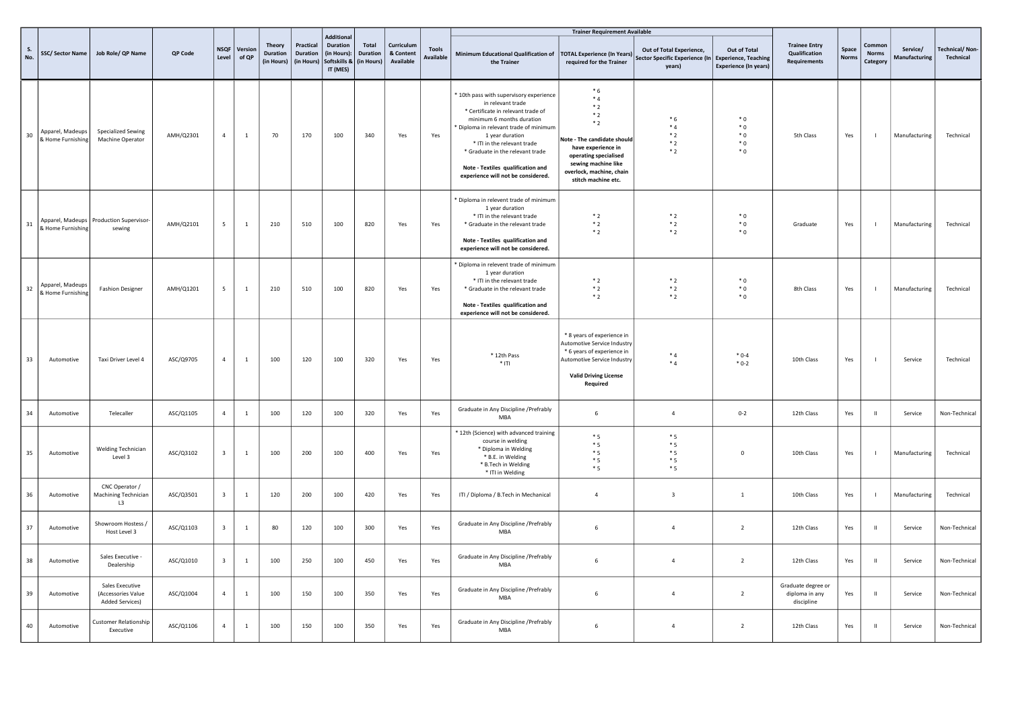|           |                                       |                                                          |           |                         |                  |                                                |                                     |                                                                   |                                 |                                      |                                  |                                                                                                                                                                                                                                                                                                                                          | <b>Trainer Requirement Available</b>                                                                                                                                                         |                                                                                           |                                           |                                                       |                |                                   |                           |                             |
|-----------|---------------------------------------|----------------------------------------------------------|-----------|-------------------------|------------------|------------------------------------------------|-------------------------------------|-------------------------------------------------------------------|---------------------------------|--------------------------------------|----------------------------------|------------------------------------------------------------------------------------------------------------------------------------------------------------------------------------------------------------------------------------------------------------------------------------------------------------------------------------------|----------------------------------------------------------------------------------------------------------------------------------------------------------------------------------------------|-------------------------------------------------------------------------------------------|-------------------------------------------|-------------------------------------------------------|----------------|-----------------------------------|---------------------------|-----------------------------|
| S.<br>No. | <b>SSC/ Sector Name</b>               | Job Role/ QP Name                                        | QP Code   | NSQF<br>Level           | Version<br>of QP | <b>Theory</b><br><b>Duration</b><br>(in Hours) | Practical<br>Duration<br>(in Hours) | Additional<br>Duration<br>(in Hours):<br>Softskills &<br>IT (MES) | Total<br>Duration<br>(in Hours) | Curriculum<br>& Content<br>Available | <b>Tools</b><br><b>Available</b> | Minimum Educational Qualification of<br>the Trainer                                                                                                                                                                                                                                                                                      | <b>TOTAL Experience (In Years)</b><br>required for the Trainer                                                                                                                               | Out of Total Experience,<br>Sector Specific Experience (In Experience, Teaching<br>years) | Out of Total<br>Experience (In years)     | <b>Trainee Entry</b><br>Qualification<br>Requirements | Space<br>Norm: | Commo<br><b>Norms</b><br>Category | Service/<br>Manufacturing | Technical/Non-<br>Technical |
| 30        | Apparel, Madeups<br>& Home Furnishing | Specialized Sewing<br>Machine Operator                   | AMH/Q2301 | $\overline{4}$          | $\mathbf{1}$     | 70                                             | 170                                 | 100                                                               | 340                             | Yes                                  | Yes                              | * 10th pass with supervisory experience<br>in relevant trade<br>* Certificate in relevant trade of<br>minimum 6 months duration<br>Diploma in relevant trade of minimum<br>1 year duration<br>* ITI in the relevant trade<br>* Graduate in the relevant trade<br>Note - Textiles qualification and<br>experience will not be considered. | $*6$<br>$*4$<br>$*2$<br>$*2$<br>$*2$<br>Note - The candidate should<br>have experience in<br>operating specialised<br>sewing machine like<br>overlock, machine, chain<br>stitch machine etc. | $*6$<br>$*_{4}$<br>$*2$<br>$*2$<br>$*2$                                                   | $^\ast$ 0<br>$*0$<br>$*0$<br>$*0$<br>$*0$ | 5th Class                                             | Yes            | $\overline{\phantom{a}}$          | Manufacturing             | Technical                   |
| 31        | & Home Furnishing                     | Apparel, Madeups   Production Supervisor-<br>sewing      | AMH/Q2101 | 5                       | $\mathbf{1}$     | 210                                            | 510                                 | 100                                                               | 820                             | Yes                                  | Yes                              | * Diploma in relevent trade of minimum<br>1 year duration<br>* ITI in the relevant trade<br>* Graduate in the relevant trade<br>Note - Textiles qualification and<br>experience will not be considered.                                                                                                                                  | $*2$<br>$*2$<br>$*2$                                                                                                                                                                         | $*2$<br>$*2$<br>$*2$                                                                      | $^\ast$ 0<br>$*0$<br>$*0$                 | Graduate                                              | Yes            | $\mathbf{I}$                      | Manufacturing             | Technical                   |
| 32        | Apparel, Madeups<br>& Home Furnishing | <b>Fashion Designer</b>                                  | AMH/Q1201 | $5\overline{5}$         | $\mathbf{1}$     | 210                                            | 510                                 | 100                                                               | 820                             | Yes                                  | Yes                              | * Diploma in relevent trade of minimum<br>1 year duration<br>* ITI in the relevant trade<br>* Graduate in the relevant trade<br>Note - Textiles qualification and<br>experience will not be considered.                                                                                                                                  | $*2$<br>$*2$<br>$*2$                                                                                                                                                                         | $*2$<br>$*2$<br>$*2$                                                                      | $*0$<br>$*$ 0<br>$^*$ 0                   | 8th Class                                             | Yes            | - 1                               | Manufacturing             | Technical                   |
| 33        | Automotive                            | Taxi Driver Level 4                                      | ASC/Q9705 | $\overline{4}$          | $\mathbf{1}$     | 100                                            | 120                                 | 100                                                               | 320                             | Yes                                  | Yes                              | * 12th Pass<br>$*$ ITI                                                                                                                                                                                                                                                                                                                   | * 8 years of experience in<br>Automotive Service Industry<br>* 6 years of experience in<br>Automotive Service Industry<br><b>Valid Driving License</b><br>Required                           | $*_{4}$<br>$*4$                                                                           | $*0-4$<br>$*0-2$                          | 10th Class                                            | Yes            | $\overline{\phantom{a}}$          | Service                   | Technical                   |
| 34        | Automotive                            | Telecaller                                               | ASC/Q1105 | $\overline{4}$          | $\mathbf{1}$     | 100                                            | 120                                 | 100                                                               | 320                             | Yes                                  | Yes                              | Graduate in Any Discipline / Prefrably<br>MBA                                                                                                                                                                                                                                                                                            | 6                                                                                                                                                                                            | $\overline{4}$                                                                            | $0 - 2$                                   | 12th Class                                            | Yes            | $\parallel$                       | Service                   | Non-Technical               |
| 35        | Automotive                            | <b>Welding Technician</b><br>Level 3                     | ASC/Q3102 | $\overline{\mathbf{3}}$ | $\mathbf{1}$     | 100                                            | 200                                 | 100                                                               | 400                             | Yes                                  | Yes                              | * 12th (Science) with advanced training<br>course in welding<br>* Diploma in Welding<br>* B.E. in Welding<br>* B.Tech in Welding<br>* ITI in Welding                                                                                                                                                                                     | $*5$<br>$*5$<br>$*5$<br>$*5$<br>$*5$                                                                                                                                                         | $*5$<br>$*5$<br>$*5$<br>$*5$<br>$*5$                                                      | $\mathbf 0$                               | 10th Class                                            | Yes            | $\overline{\phantom{a}}$          | Manufacturing             | Technical                   |
| 36        | Automotive                            | CNC Operator /<br>Machining Technician<br>L3             | ASC/Q3501 | $\overline{\mathbf{3}}$ | $\mathbf{1}$     | 120                                            | 200                                 | 100                                                               | 420                             | Yes                                  | Yes                              | ITI / Diploma / B.Tech in Mechanical                                                                                                                                                                                                                                                                                                     | $\overline{4}$                                                                                                                                                                               | $\overline{\mathbf{3}}$                                                                   | 1                                         | 10th Class                                            | Yes            | $\overline{\phantom{a}}$          | Manufacturing             | Technical                   |
| 37        | Automotive                            | Showroom Hostess /<br>Host Level 3                       | ASC/Q1103 | $\overline{\mathbf{3}}$ | $\mathbf{1}$     | 80                                             | 120                                 | 100                                                               | 300                             | Yes                                  | Yes                              | Graduate in Any Discipline / Prefrably<br>MBA                                                                                                                                                                                                                                                                                            | 6                                                                                                                                                                                            | $\overline{4}$                                                                            | $\overline{2}$                            | 12th Class                                            | Yes            | $\mathbf{H}$                      | Service                   | Non-Technical               |
| 38        | Automotive                            | Sales Executive -<br>Dealership                          | ASC/Q1010 | $\overline{\mathbf{3}}$ | $\mathbf{1}$     | 100                                            | 250                                 | 100                                                               | 450                             | Yes                                  | Yes                              | Graduate in Any Discipline / Prefrably<br>MBA                                                                                                                                                                                                                                                                                            | 6                                                                                                                                                                                            | $\overline{4}$                                                                            | $\overline{2}$                            | 12th Class                                            | Yes            | - H                               | Service                   | Non-Technical               |
| 39        | Automotive                            | Sales Executive<br>(Accessories Value<br>Added Services) | ASC/Q1004 | $\overline{4}$          | $\mathbf{1}$     | 100                                            | 150                                 | 100                                                               | 350                             | Yes                                  | Yes                              | Graduate in Any Discipline / Prefrably<br>MBA                                                                                                                                                                                                                                                                                            | 6                                                                                                                                                                                            | $\overline{4}$                                                                            | $\overline{2}$                            | Graduate degree or<br>diploma in any<br>discipline    | Yes            | $\mathbf{H}$                      | Service                   | Non-Technical               |
| 40        | Automotive                            | Customer Relationship<br>Executive                       | ASC/Q1106 | $\overline{4}$          | $\overline{1}$   | 100                                            | 150                                 | 100                                                               | 350                             | Yes                                  | Yes                              | Graduate in Any Discipline / Prefrably<br>MBA                                                                                                                                                                                                                                                                                            | 6                                                                                                                                                                                            | $\sqrt{4}$                                                                                | $\overline{2}$                            | 12th Class                                            | Yes            | $\,$ H                            | Service                   | Non-Technical               |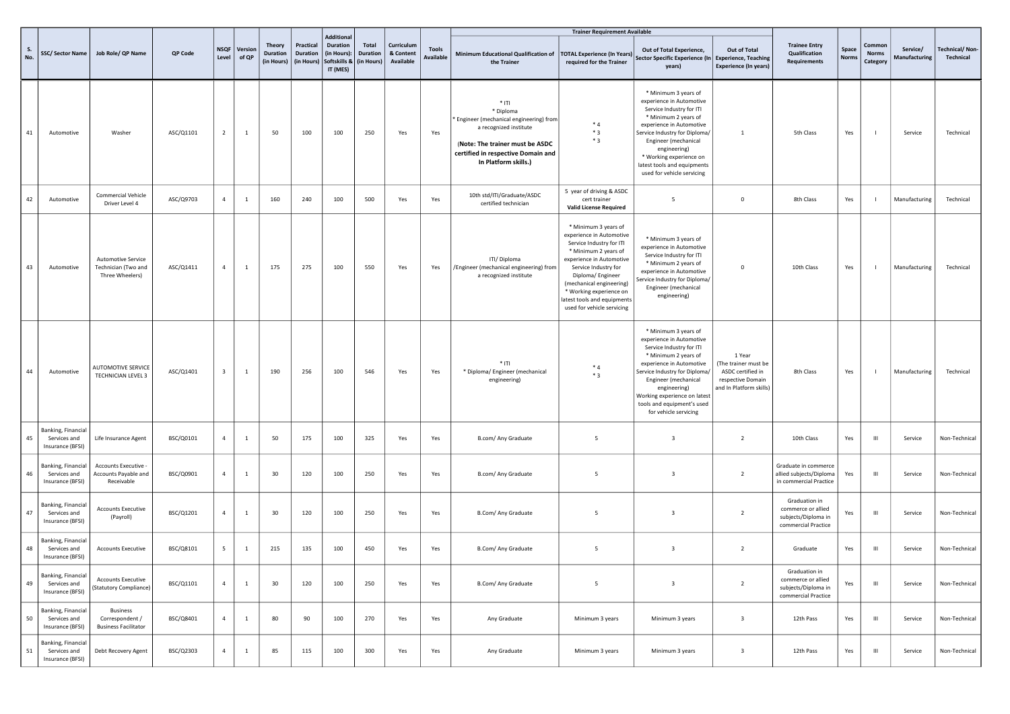|           |                                                        |                                                                     |           |                         |                  |                                  |                                            |                                                                                       |                          |                                      |                                  |                                                                                                                                                                                           | <b>Trainer Requirement Available</b>                                                                                                                                                                                                                                                              |                                                                                                                                                                                                                                                                                                   |                                                                                                     |                                                                                   |                       |                                    |                           |                                    |
|-----------|--------------------------------------------------------|---------------------------------------------------------------------|-----------|-------------------------|------------------|----------------------------------|--------------------------------------------|---------------------------------------------------------------------------------------|--------------------------|--------------------------------------|----------------------------------|-------------------------------------------------------------------------------------------------------------------------------------------------------------------------------------------|---------------------------------------------------------------------------------------------------------------------------------------------------------------------------------------------------------------------------------------------------------------------------------------------------|---------------------------------------------------------------------------------------------------------------------------------------------------------------------------------------------------------------------------------------------------------------------------------------------------|-----------------------------------------------------------------------------------------------------|-----------------------------------------------------------------------------------|-----------------------|------------------------------------|---------------------------|------------------------------------|
| S.<br>No. | SSC/Sector Name                                        | Job Role/ QP Name                                                   | QP Code   | <b>NSQF</b><br>Level    | Version<br>of QP | Theory<br>Duration<br>(in Hours) | Practical<br><b>Duration</b><br>(in Hours) | <b>Additional</b><br>Duration<br>(in Hours):<br>Softskills &   (in Hours)<br>IT (MES) | Total<br><b>Duration</b> | Curriculum<br>& Content<br>Available | <b>Tools</b><br><b>Available</b> | Minimum Educational Qualification of<br>the Trainer                                                                                                                                       | <b>TOTAL Experience (In Years)</b><br>required for the Trainer                                                                                                                                                                                                                                    | Out of Total Experience,<br>Sector Specific Experience (In Experience, Teaching<br>years)                                                                                                                                                                                                         | Out of Total<br><b>Experience (In years)</b>                                                        | <b>Trainee Entry</b><br>Qualification<br><b>Requirements</b>                      | Space<br><b>Norms</b> | Common<br><b>Norms</b><br>Category | Service/<br>Manufacturing | <b>Technical/Non-</b><br>Technical |
| 41        | Automotive                                             | Washer                                                              | ASC/Q1101 | $\overline{2}$          | 1                | 50                               | 100                                        | 100                                                                                   | 250                      | Yes                                  | Yes                              | $*$ ITI<br>* Diploma<br>Engineer (mechanical engineering) from<br>a recognized institute<br>(Note: The trainer must be ASDC<br>certified in respective Domain and<br>In Platform skills.) | $*4$<br>$*3$<br>$*3$                                                                                                                                                                                                                                                                              | * Minimum 3 years of<br>experience in Automotive<br>Service Industry for ITI<br>* Minimum 2 years of<br>experience in Automotive<br>Service Industry for Diploma/<br>Engineer (mechanical<br>engineering)<br>* Working experience on<br>latest tools and equipments<br>used for vehicle servicing | 1                                                                                                   | 5th Class                                                                         | Yes                   | $\overline{1}$                     | Service                   | Technical                          |
| 42        | Automotive                                             | Commercial Vehicle<br>Driver Level 4                                | ASC/Q9703 | $\overline{4}$          | $\mathbf{1}$     | 160                              | 240                                        | 100                                                                                   | 500                      | Yes                                  | Yes                              | 10th std/ITI/Graduate/ASDC<br>certified technician                                                                                                                                        | 5 year of driving & ASDC<br>cert trainer<br><b>Valid License Required</b>                                                                                                                                                                                                                         | 5                                                                                                                                                                                                                                                                                                 | $\mathbf 0$                                                                                         | 8th Class                                                                         | Yes                   | $\overline{1}$                     | Manufacturing             | Technical                          |
| 43        | Automotive                                             | <b>Automotive Service</b><br>Technician (Two and<br>Three Wheelers) | ASC/Q1411 | $\overline{4}$          | $\mathbf{1}$     | 175                              | 275                                        | 100                                                                                   | 550                      | Yes                                  | Yes                              | ITI/ Diploma<br>/Engineer (mechanical engineering) from<br>a recognized institute                                                                                                         | * Minimum 3 years of<br>experience in Automotive<br>Service Industry for ITI<br>* Minimum 2 years of<br>experience in Automotive<br>Service Industry for<br>Diploma/ Engineer<br>(mechanical engineering)<br>* Working experience on<br>latest tools and equipments<br>used for vehicle servicing | * Minimum 3 years of<br>experience in Automotive<br>Service Industry for ITI<br>* Minimum 2 years of<br>experience in Automotive<br>Service Industry for Diploma/<br>Engineer (mechanical<br>engineering)                                                                                         | $\mathbf 0$                                                                                         | 10th Class                                                                        | Yes                   | $\mathbf{I}$                       | Manufacturing             | Technical                          |
| 44        | Automotive                                             | AUTOMOTIVE SERVICE<br>TECHNICIAN LEVEL 3                            | ASC/Q1401 | $\overline{\mathbf{3}}$ | $\mathbf{1}$     | 190                              | 256                                        | 100                                                                                   | 546                      | Yes                                  | Yes                              | $*$ ITI<br>* Diploma/ Engineer (mechanical<br>engineering)                                                                                                                                | $*4$<br>$*3$                                                                                                                                                                                                                                                                                      | * Minimum 3 years of<br>experience in Automotive<br>Service Industry for ITI<br>* Minimum 2 years of<br>experience in Automotive<br>Service Industry for Diploma/<br>Engineer (mechanical<br>engineering)<br>Working experience on latest<br>tools and equipment's used<br>for vehicle servicing  | 1 Year<br>(The trainer must be<br>ASDC certified in<br>respective Domain<br>and In Platform skills) | 8th Class                                                                         | Yes                   | $\mathbf{I}$                       | Manufacturing             | Technical                          |
| 45        | Banking, Financial<br>Services and<br>Insurance (BFSI) | Life Insurance Agent                                                | BSC/Q0101 | $\overline{4}$          | $\mathbf{1}$     | 50                               | 175                                        | 100                                                                                   | 325                      | Yes                                  | Yes                              | B.com/ Any Graduate                                                                                                                                                                       | 5                                                                                                                                                                                                                                                                                                 | $\overline{\mathbf{3}}$                                                                                                                                                                                                                                                                           | $\overline{2}$                                                                                      | 10th Class                                                                        | Yes                   | Ш                                  | Service                   | Non-Technical                      |
| 46        | Banking, Financial<br>Services and<br>Insurance (BFSI) | Accounts Executive -<br>Accounts Payable and<br>Receivable          | BSC/Q0901 | $\overline{4}$          | $\mathbf{1}$     | 30                               | 120                                        | 100                                                                                   | 250                      | Yes                                  | Yes                              | B.com/ Any Graduate                                                                                                                                                                       | 5                                                                                                                                                                                                                                                                                                 | $\overline{\mathbf{3}}$                                                                                                                                                                                                                                                                           | $\overline{2}$                                                                                      | Graduate in commerce<br>allied subjects/Diploma<br>in commercial Practice         | Yes                   | $\mathbf{III}$                     | Service                   | Non-Technical                      |
| 47        | Banking, Financial<br>Services and<br>Insurance (BFSI) | <b>Accounts Executive</b><br>(Payroll)                              | BSC/Q1201 | $\overline{4}$          | $\mathbf{1}$     | 30                               | 120                                        | 100                                                                                   | 250                      | Yes                                  | Yes                              | B.Com/ Any Graduate                                                                                                                                                                       | 5                                                                                                                                                                                                                                                                                                 | $\overline{\mathbf{3}}$                                                                                                                                                                                                                                                                           | $\overline{2}$                                                                                      | Graduation in<br>commerce or allied<br>subjects/Diploma in<br>commercial Practice | Yes                   | $\mathbf{III}$                     | Service                   | Non-Technical                      |
| 48        | Banking, Financial<br>Services and<br>Insurance (BFSI) | <b>Accounts Executive</b>                                           | BSC/Q8101 | 5                       | $\mathbf{1}$     | 215                              | 135                                        | 100                                                                                   | 450                      | Yes                                  | Yes                              | B.Com/ Any Graduate                                                                                                                                                                       | 5                                                                                                                                                                                                                                                                                                 | $\overline{\mathbf{3}}$                                                                                                                                                                                                                                                                           | $\overline{2}$                                                                                      | Graduate                                                                          | Yes                   | $\mathbf{III}$                     | Service                   | Non-Technical                      |
| 49        | Banking, Financial<br>Services and<br>Insurance (BFSI) | <b>Accounts Executive</b><br>(Statutory Compliance)                 | BSC/Q1101 | $\overline{4}$          | $\mathbf{1}$     | 30                               | 120                                        | 100                                                                                   | 250                      | Yes                                  | Yes                              | B.Com/ Any Graduate                                                                                                                                                                       | 5                                                                                                                                                                                                                                                                                                 | $\overline{\mathbf{3}}$                                                                                                                                                                                                                                                                           | $\overline{2}$                                                                                      | Graduation in<br>commerce or allied<br>subjects/Diploma in<br>commercial Practice | Yes                   | $\mathsf{III}$                     | Service                   | Non-Technical                      |
| 50        | Banking, Financial<br>Services and<br>Insurance (BFSI) | <b>Business</b><br>Correspondent /<br><b>Business Facilitator</b>   | BSC/Q8401 | $\overline{4}$          | $\mathbf{1}$     | 80                               | 90                                         | 100                                                                                   | 270                      | Yes                                  | Yes                              | Any Graduate                                                                                                                                                                              | Minimum 3 years                                                                                                                                                                                                                                                                                   | Minimum 3 years                                                                                                                                                                                                                                                                                   | $\overline{\mathbf{3}}$                                                                             | 12th Pass                                                                         | Yes                   | Ш                                  | Service                   | Non-Technical                      |
| 51        | Banking, Financial<br>Services and<br>Insurance (BFSI) | Debt Recovery Agent                                                 | BSC/Q2303 | $\overline{4}$          | $\mathbf{1}$     | 85                               | 115                                        | 100                                                                                   | 300                      | Yes                                  | Yes                              | Any Graduate                                                                                                                                                                              | Minimum 3 years                                                                                                                                                                                                                                                                                   | Minimum 3 years                                                                                                                                                                                                                                                                                   | $\overline{\mathbf{3}}$                                                                             | 12th Pass                                                                         | Yes                   | Ш                                  | Service                   | Non-Technical                      |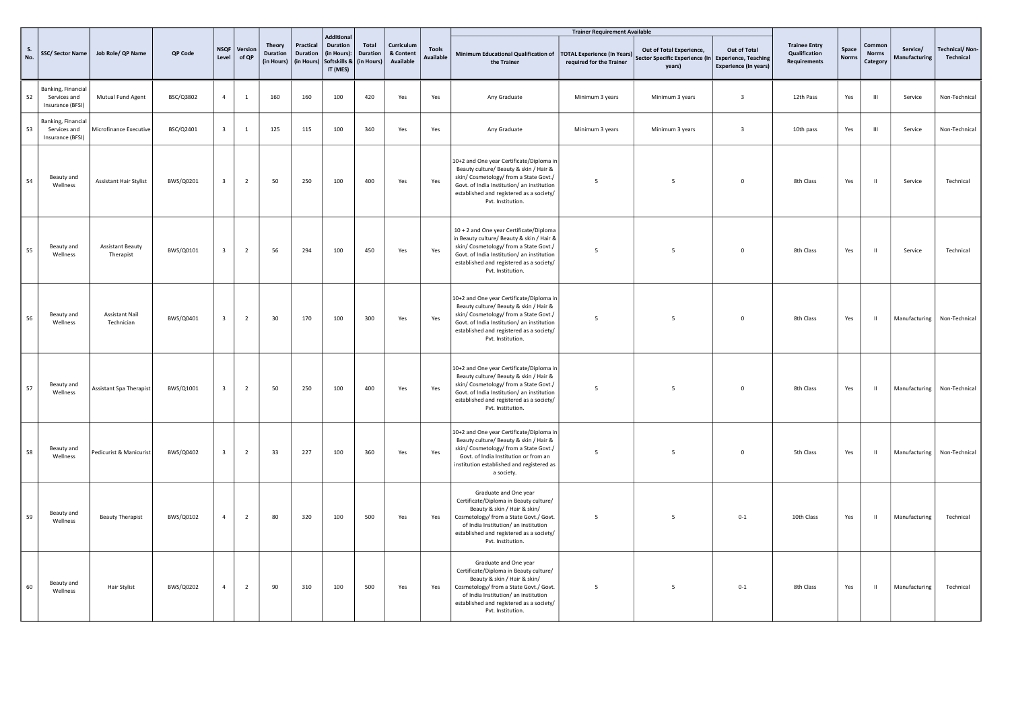|           |                                                        |                                      |           |                         |                       |                                                |                                     |                                                                                            |                                 |                                      |                                  |                                                                                                                                                                                                                                                    | <b>Trainer Requirement Available</b>                           |                                                                      |                                                                             |                                                              |                       |                                    |                           |                             |
|-----------|--------------------------------------------------------|--------------------------------------|-----------|-------------------------|-----------------------|------------------------------------------------|-------------------------------------|--------------------------------------------------------------------------------------------|---------------------------------|--------------------------------------|----------------------------------|----------------------------------------------------------------------------------------------------------------------------------------------------------------------------------------------------------------------------------------------------|----------------------------------------------------------------|----------------------------------------------------------------------|-----------------------------------------------------------------------------|--------------------------------------------------------------|-----------------------|------------------------------------|---------------------------|-----------------------------|
| S.<br>No. | SSC/Sector Name                                        | Job Role/ QP Name                    | QP Code   | Level                   | NSQF Version<br>of QP | <b>Theory</b><br><b>Duration</b><br>(in Hours) | Practical<br>Duration<br>(in Hours) | <b>Additional</b><br><b>Duration</b><br>(in Hours):<br>Softskills & (in Hours)<br>IT (MES) | <b>Total</b><br><b>Duration</b> | Curriculum<br>& Content<br>Available | <b>Tools</b><br><b>Available</b> | Minimum Educational Qualification of<br>the Trainer                                                                                                                                                                                                | <b>TOTAL Experience (In Years)</b><br>required for the Trainer | Out of Total Experience,<br>Sector Specific Experience (In<br>years) | Out of Total<br><b>Experience, Teaching</b><br><b>Experience (In years)</b> | <b>Trainee Entry</b><br>Qualification<br><b>Requirements</b> | Space<br><b>Norms</b> | Common<br><b>Norms</b><br>Category | Service/<br>Manufacturing | Technical/Non-<br>Technical |
| 52        | Banking, Financial<br>Services and<br>Insurance (BFSI) | Mutual Fund Agent                    | BSC/Q3802 | $\overline{4}$          | $\mathbf{1}$          | 160                                            | 160                                 | 100                                                                                        | 420                             | Yes                                  | Yes                              | Any Graduate                                                                                                                                                                                                                                       | Minimum 3 years                                                | Minimum 3 years                                                      | $\overline{\mathbf{3}}$                                                     | 12th Pass                                                    | Yes                   | $\mathop{\mathrm{III}}\nolimits$   | Service                   | Non-Technical               |
| 53        | Banking, Financial<br>Services and<br>Insurance (BFSI) | Microfinance Executive               | BSC/Q2401 | $\overline{\mathbf{3}}$ | $\mathbf{1}$          | 125                                            | 115                                 | 100                                                                                        | 340                             | Yes                                  | Yes                              | Any Graduate                                                                                                                                                                                                                                       | Minimum 3 years                                                | Minimum 3 years                                                      | $\overline{\mathbf{3}}$                                                     | 10th pass                                                    | Yes                   | $\mathbf{H}$                       | Service                   | Non-Technical               |
| 54        | Beauty and<br>Wellness                                 | <b>Assistant Hair Stylist</b>        | BWS/Q0201 | $\overline{\mathbf{3}}$ | $\overline{2}$        | 50                                             | 250                                 | 100                                                                                        | 400                             | Yes                                  | Yes                              | 10+2 and One year Certificate/Diploma in<br>Beauty culture/ Beauty & skin / Hair &<br>skin/ Cosmetology/ from a State Govt./<br>Govt. of India Institution/ an institution<br>established and registered as a society/<br>Pvt. Institution.        | -5                                                             | 5                                                                    | $\overline{0}$                                                              | 8th Class                                                    | Yes                   | $\blacksquare$                     | Service                   | Technical                   |
| 55        | Beauty and<br>Wellness                                 | <b>Assistant Beauty</b><br>Therapist | BWS/Q0101 | $\overline{\mathbf{3}}$ | $\overline{2}$        | 56                                             | 294                                 | 100                                                                                        | 450                             | Yes                                  | Yes                              | 10 + 2 and One year Certificate/Diploma<br>in Beauty culture/ Beauty & skin / Hair &<br>skin/ Cosmetology/ from a State Govt./<br>Govt. of India Institution/ an institution<br>established and registered as a society/<br>Pvt. Institution.      | -5                                                             | -5                                                                   | $\mathbf 0$                                                                 | 8th Class                                                    | Yes                   | $\mathbf{H}$                       | Service                   | Technical                   |
| 56        | Beauty and<br>Wellness                                 | <b>Assistant Nail</b><br>Technician  | BWS/Q0401 | $\overline{\mathbf{3}}$ | $\overline{2}$        | 30                                             | 170                                 | 100                                                                                        | 300                             | Yes                                  | Yes                              | 10+2 and One year Certificate/Diploma in<br>Beauty culture/ Beauty & skin / Hair &<br>skin/ Cosmetology/ from a State Govt./<br>Govt. of India Institution/ an institution<br>established and registered as a society/<br>Pvt. Institution.        | 5                                                              | 5                                                                    | $\overline{0}$                                                              | 8th Class                                                    | Yes                   | $\blacksquare$                     |                           | Manufacturing Non-Technical |
| 57        | Beauty and<br>Wellness                                 | Assistant Spa Therapist              | BWS/Q1001 | $\overline{\mathbf{3}}$ | $\overline{2}$        | 50                                             | 250                                 | 100                                                                                        | 400                             | Yes                                  | Yes                              | 10+2 and One year Certificate/Diploma in<br>Beauty culture/ Beauty & skin / Hair &<br>skin/ Cosmetology/ from a State Govt./<br>Govt. of India Institution/ an institution<br>established and registered as a society/<br>Pvt. Institution.        | -5                                                             | 5                                                                    | $\mathbf 0$                                                                 | 8th Class                                                    | Yes                   | $\,$ H                             | Manufacturing             | Non-Technical               |
| 58        | Beauty and<br>Wellness                                 | Pedicurist & Manicurist              | BWS/Q0402 | $\overline{\mathbf{3}}$ | $\overline{2}$        | 33                                             | 227                                 | 100                                                                                        | 360                             | Yes                                  | Yes                              | 10+2 and One year Certificate/Diploma in<br>Beauty culture/ Beauty & skin / Hair &<br>skin/ Cosmetology/ from a State Govt./<br>Govt. of India Institution or from an<br>institution established and registered as<br>a society.                   | - 5                                                            | 5                                                                    | $\mathbf 0$                                                                 | 5th Class                                                    | Yes                   | $\blacksquare$                     | Manufacturing             | Non-Technical               |
| 59        | Beauty and<br>Wellness                                 | <b>Beauty Therapist</b>              | BWS/Q0102 | $\overline{4}$          | $\overline{2}$        | 80                                             | 320                                 | 100                                                                                        | 500                             | Yes                                  | Yes                              | Graduate and One year<br>Certificate/Diploma in Beauty culture/<br>Beauty & skin / Hair & skin/<br>Cosmetology/ from a State Govt./ Govt.<br>of India Institution/ an institution<br>established and registered as a society/<br>Pvt. Institution. | 5                                                              | 5                                                                    | $0 - 1$                                                                     | 10th Class                                                   | Yes                   | $\mathbf{H}$                       | Manufacturing             | Technical                   |
| 60        | Beauty and<br>Wellness                                 | Hair Stylist                         | BWS/Q0202 | $\overline{4}$          | $\overline{2}$        | 90                                             | 310                                 | 100                                                                                        | 500                             | Yes                                  | Yes                              | Graduate and One year<br>Certificate/Diploma in Beauty culture/<br>Beauty & skin / Hair & skin/<br>Cosmetology/ from a State Govt./ Govt.<br>of India Institution/ an institution<br>established and registered as a society/<br>Pvt. Institution. | 5                                                              | 5                                                                    | $0 - 1$                                                                     | 8th Class                                                    | Yes                   | $\blacksquare$                     | Manufacturing             | Technical                   |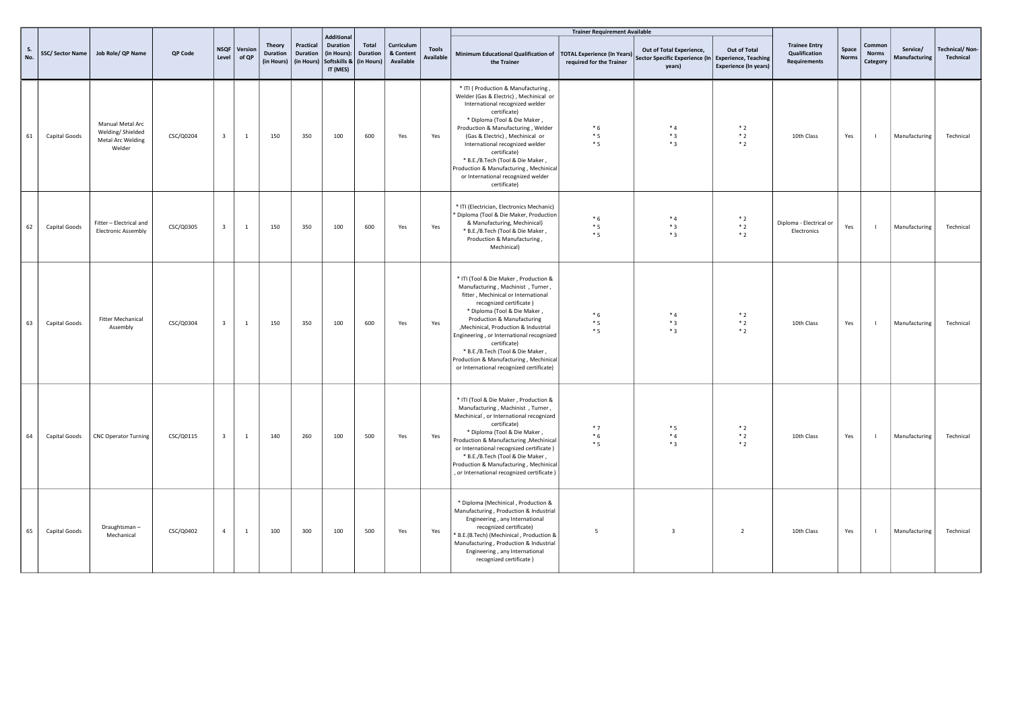|           |               |                                                                     |           |                         |                  |                                         |                                     |                                                                              |                          |                                      |                                  |                                                                                                                                                                                                                                                                                                                                                                                                                                           | <b>Trainer Requirement Available</b>                           |                                                                                           |                                              |                                                       |                       |                                    |                           |                                    |
|-----------|---------------|---------------------------------------------------------------------|-----------|-------------------------|------------------|-----------------------------------------|-------------------------------------|------------------------------------------------------------------------------|--------------------------|--------------------------------------|----------------------------------|-------------------------------------------------------------------------------------------------------------------------------------------------------------------------------------------------------------------------------------------------------------------------------------------------------------------------------------------------------------------------------------------------------------------------------------------|----------------------------------------------------------------|-------------------------------------------------------------------------------------------|----------------------------------------------|-------------------------------------------------------|-----------------------|------------------------------------|---------------------------|------------------------------------|
| S.<br>No. |               | SSC/ Sector Name   Job Role/ QP Name                                | QP Code   | <b>NSQF</b><br>Level    | Version<br>of QP | Theory<br><b>Duration</b><br>(in Hours) | Practical<br>Duration<br>(in Hours) | Additional<br>Duration<br>(in Hours):<br>Softskills & (in Hours)<br>IT (MES) | Total<br><b>Duration</b> | Curriculum<br>& Content<br>Available | <b>Tools</b><br><b>Available</b> | Minimum Educational Qualification of<br>the Trainer                                                                                                                                                                                                                                                                                                                                                                                       | <b>TOTAL Experience (In Years)</b><br>required for the Trainer | Out of Total Experience,<br>Sector Specific Experience (In Experience, Teaching<br>years) | Out of Total<br><b>Experience (In years)</b> | <b>Trainee Entry</b><br>Qualification<br>Requirements | Space<br><b>Norms</b> | Common<br><b>Norms</b><br>Category | Service/<br>Manufacturing | <b>Technical/Non-</b><br>Technical |
| 61        | Capital Goods | Manual Metal Arc<br>Welding/Shielded<br>Metal Arc Welding<br>Welder | CSC/Q0204 | $\overline{\mathbf{3}}$ | <sup>1</sup>     | 150                                     | 350                                 | 100                                                                          | 600                      | Yes                                  | Yes                              | * ITI ( Production & Manufacturing,<br>Welder (Gas & Electric), Mechinical or<br>International recognized welder<br>certificate)<br>* Diploma (Tool & Die Maker,<br>Production & Manufacturing, Welder<br>(Gas & Electric), Mechinical or<br>International recognized welder<br>certificate)<br>* B.E./B.Tech (Tool & Die Maker,<br>Production & Manufacturing, Mechinical<br>or International recognized welder<br>certificate)          | $*6$<br>$*5$<br>$*5$                                           | $*4$<br>$*3$<br>$*3$                                                                      | $*2$<br>$*2$<br>$*2$                         | 10th Class                                            | Yes                   | $\blacksquare$                     | Manufacturing             | Technical                          |
| 62        | Capital Goods | Fitter - Electrical and<br><b>Electronic Assembly</b>               | CSC/Q0305 | $\overline{\mathbf{3}}$ | $\mathbf{1}$     | 150                                     | 350                                 | 100                                                                          | 600                      | Yes                                  | Yes                              | * ITI (Electrician, Electronics Mechanic)<br>* Diploma (Tool & Die Maker, Production<br>& Manufacturing, Mechinical)<br>* B.E./B.Tech (Tool & Die Maker,<br>Production & Manufacturing,<br>Mechinical)                                                                                                                                                                                                                                    | $*6$<br>$*5$<br>$*5$                                           | $*_{4}$<br>$*3$<br>$*3$                                                                   | $*2$<br>$*2$<br>$*2$                         | Diploma - Electrical or<br>Electronics                | Yes                   | $\mathbf{I}$                       | Manufacturing             | Technical                          |
| 63        | Capital Goods | <b>Fitter Mechanical</b><br>Assembly                                | CSC/Q0304 | $\overline{\mathbf{3}}$ | <sup>1</sup>     | 150                                     | 350                                 | 100                                                                          | 600                      | Yes                                  | Yes                              | * ITI (Tool & Die Maker, Production &<br>Manufacturing, Machinist, Turner,<br>fitter, Mechinical or International<br>recognized certificate)<br>* Diploma (Tool & Die Maker,<br>Production & Manufacturing<br>, Mechinical, Production & Industrial<br>Engineering, or International recognized<br>certificate)<br>* B.E./B.Tech (Tool & Die Maker,<br>Production & Manufacturing, Mechinical<br>or International recognized certificate) | $*6$<br>$*5$<br>$*5$                                           | $*_{4}$<br>$*3$<br>$*3$                                                                   | $*2$<br>$*2$<br>$*2$                         | 10th Class                                            | Yes                   | $\blacksquare$                     | Manufacturing             | Technical                          |
| 64        | Capital Goods | <b>CNC Operator Turning</b>                                         | CSC/Q0115 | $\overline{\mathbf{3}}$ | $\mathbf{1}$     | 140                                     | 260                                 | 100                                                                          | 500                      | Yes                                  | Yes                              | * ITI (Tool & Die Maker, Production &<br>Manufacturing, Machinist, Turner,<br>Mechinical, or International recognized<br>certificate)<br>* Diploma (Tool & Die Maker,<br>Production & Manufacturing, Mechinical<br>or International recognized certificate)<br>* B.E./B.Tech (Tool & Die Maker,<br>Production & Manufacturing, Mechinical<br>, or International recognized certificate)                                                   | $*7$<br>$*6$<br>$*5$                                           | $*5$<br>$*4$<br>$*3$                                                                      | $*2$<br>$*2$<br>$*2$                         | 10th Class                                            | Yes                   |                                    | Manufacturing             | Technical                          |
| 65        | Capital Goods | Draughtsman-<br>Mechanical                                          | CSC/Q0402 | $\overline{4}$          | <sup>1</sup>     | 100                                     | 300                                 | 100                                                                          | 500                      | Yes                                  | Yes                              | * Diploma (Mechinical, Production &<br>Manufacturing, Production & Industrial<br>Engineering, any International<br>recognized certificate)<br>* B.E.(B.Tech) (Mechinical, Production &<br>Manufacturing, Production & Industrial<br>Engineering, any International<br>recognized certificate)                                                                                                                                             | 5                                                              | $\overline{\mathbf{3}}$                                                                   | $\overline{2}$                               | 10th Class                                            | Yes                   | - 11                               | Manufacturing             | Technical                          |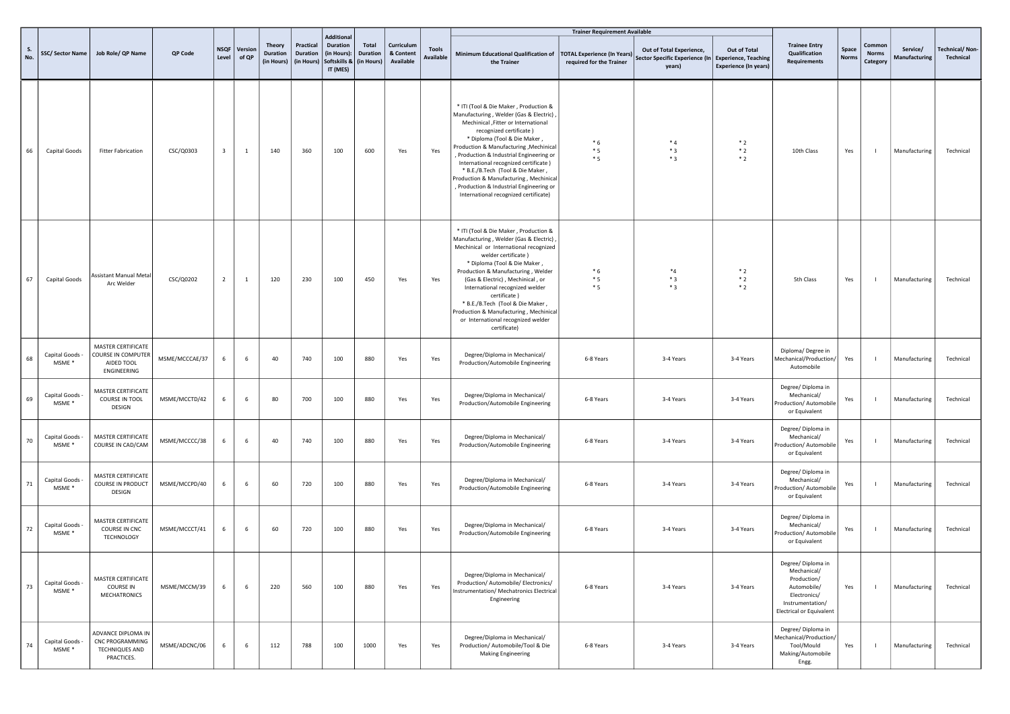|           |                                      |                                                                              |                |                         |                  |                                                |                                            |                                                                                 |                                        |                                      |                                  |                                                                                                                                                                                                                                                                                                                                                                                                                                                                                       | <b>Trainer Requirement Available</b>                           |                                                                      |                                                                             |                                                                                                                                 |                       |                                    |                           |                                    |
|-----------|--------------------------------------|------------------------------------------------------------------------------|----------------|-------------------------|------------------|------------------------------------------------|--------------------------------------------|---------------------------------------------------------------------------------|----------------------------------------|--------------------------------------|----------------------------------|---------------------------------------------------------------------------------------------------------------------------------------------------------------------------------------------------------------------------------------------------------------------------------------------------------------------------------------------------------------------------------------------------------------------------------------------------------------------------------------|----------------------------------------------------------------|----------------------------------------------------------------------|-----------------------------------------------------------------------------|---------------------------------------------------------------------------------------------------------------------------------|-----------------------|------------------------------------|---------------------------|------------------------------------|
| S.<br>No. |                                      | SSC/ Sector Name   Job Role/ QP Name                                         | QP Code        | <b>NSQF</b><br>Level    | Version<br>of QP | <b>Theory</b><br><b>Duration</b><br>(in Hours) | Practical<br><b>Duration</b><br>(in Hours) | <b>Additional</b><br><b>Duration</b><br>(in Hours):<br>Softskills &<br>IT (MES) | Total<br><b>Duration</b><br>(in Hours) | Curriculum<br>& Content<br>Available | <b>Tools</b><br><b>Available</b> | Minimum Educational Qualification of<br>the Trainer                                                                                                                                                                                                                                                                                                                                                                                                                                   | <b>TOTAL Experience (In Years)</b><br>required for the Trainer | Out of Total Experience,<br>Sector Specific Experience (In<br>years) | Out of Total<br><b>Experience, Teaching</b><br><b>Experience (In years)</b> | <b>Trainee Entry</b><br>Qualification<br><b>Requirements</b>                                                                    | Space<br><b>Norms</b> | Common<br><b>Norms</b><br>Category | Service/<br>Manufacturing | <b>Technical/Non-</b><br>Technical |
| 66        | Capital Goods                        | <b>Fitter Fabrication</b>                                                    | CSC/Q0303      | $\overline{\mathbf{3}}$ | $\mathbf{1}$     | 140                                            | 360                                        | 100                                                                             | 600                                    | Yes                                  | Yes                              | * ITI (Tool & Die Maker, Production &<br>Manufacturing, Welder (Gas & Electric),<br>Mechinical , Fitter or International<br>recognized certificate)<br>* Diploma (Tool & Die Maker,<br>Production & Manufacturing, Mechinical<br>, Production & Industrial Engineering or<br>International recognized certificate)<br>* B.E./B.Tech (Tool & Die Maker,<br>Production & Manufacturing, Mechinical<br>, Production & Industrial Engineering or<br>International recognized certificate) | $*6$<br>$*5$<br>$*5$                                           | $*_{4}$<br>$*3$<br>$*3$                                              | $*2$<br>$*2$<br>$*2$                                                        | 10th Class                                                                                                                      | Yes                   |                                    | Manufacturing             | Technical                          |
| 67        | Capital Goods                        | Assistant Manual Metal<br>Arc Welder                                         | CSC/Q0202      | $\overline{2}$          | 1                | 120                                            | 230                                        | 100                                                                             | 450                                    | Yes                                  | Yes                              | * ITI (Tool & Die Maker, Production &<br>Manufacturing, Welder (Gas & Electric)<br>Mechinical or International recognized<br>welder certificate)<br>* Diploma (Tool & Die Maker,<br>Production & Manufacturing, Welder<br>(Gas & Electric), Mechinical, or<br>International recognized welder<br>certificate)<br>* B.E./B.Tech (Tool & Die Maker,<br>Production & Manufacturing, Mechinical<br>or International recognized welder<br>certificate)                                     | $*6$<br>$*5$<br>$*5$                                           | $*_{4}$<br>$*_{3}$<br>$*3$                                           | $*2$<br>$*2$<br>$*2$                                                        | 5th Class                                                                                                                       | Yes                   |                                    | Manufacturing             | Technical                          |
| 68        | Capital Goods -<br>MSME <sup>*</sup> | MASTER CERTIFICATE<br><b>COURSE IN COMPUTER</b><br>AIDED TOOL<br>ENGINEERING | MSME/MCCCAE/37 | -6                      | - 6              | 40                                             | 740                                        | 100                                                                             | 880                                    | Yes                                  | Yes                              | Degree/Diploma in Mechanical/<br>Production/Automobile Engineering                                                                                                                                                                                                                                                                                                                                                                                                                    | 6-8 Years                                                      | 3-4 Years                                                            | 3-4 Years                                                                   | Diploma/Degree in<br>Mechanical/Production/<br>Automobile                                                                       | Yes                   |                                    | Manufacturing             | Technical                          |
| 69        | Capital Goods -<br>MSME *            | MASTER CERTIFICATE<br>COURSE IN TOOL<br>DESIGN                               | MSME/MCCTD/42  | 6                       | 6                | 80                                             | 700                                        | 100                                                                             | 880                                    | Yes                                  | Yes                              | Degree/Diploma in Mechanical/<br>Production/Automobile Engineering                                                                                                                                                                                                                                                                                                                                                                                                                    | 6-8 Years                                                      | 3-4 Years                                                            | 3-4 Years                                                                   | Degree/ Diploma in<br>Mechanical/<br>Production/ Automobile<br>or Equivalent                                                    | Yes                   |                                    | Manufacturing             | Technical                          |
| 70        | Capital Goods<br>MSME *              | MASTER CERTIFICATE<br>COURSE IN CAD/CAM                                      | MSME/MCCCC/38  | 6                       | - 6              | 40                                             | 740                                        | 100                                                                             | 880                                    | Yes                                  | Yes                              | Degree/Diploma in Mechanical/<br>Production/Automobile Engineering                                                                                                                                                                                                                                                                                                                                                                                                                    | 6-8 Years                                                      | 3-4 Years                                                            | 3-4 Years                                                                   | Degree/ Diploma in<br>Mechanical/<br>Production/ Automobile<br>or Equivalent                                                    | Yes                   |                                    | Manufacturing             | Technical                          |
| 71        | Capital Goods<br>MSME *              | MASTER CERTIFICATE<br>COURSE IN PRODUCT<br>DESIGN                            | MSME/MCCPD/40  | 6                       | - 6              | 60                                             | 720                                        | 100                                                                             | 880                                    | Yes                                  | Yes                              | Degree/Diploma in Mechanical/<br>Production/Automobile Engineering                                                                                                                                                                                                                                                                                                                                                                                                                    | 6-8 Years                                                      | 3-4 Years                                                            | 3-4 Years                                                                   | Degree/ Diploma in<br>Mechanical/<br>Production/ Automobile<br>or Equivalent                                                    | Yes                   |                                    | Manufacturing             | Technical                          |
| 72        | Capital Goods<br>MSME *              | MASTER CERTIFICATE<br>COURSE IN CNC<br>TECHNOLOGY                            | MSME/MCCCT/41  | -6                      | - 6              | 60                                             | 720                                        | 100                                                                             | 880                                    | Yes                                  | Yes                              | Degree/Diploma in Mechanical/<br>Production/Automobile Engineering                                                                                                                                                                                                                                                                                                                                                                                                                    | 6-8 Years                                                      | 3-4 Years                                                            | 3-4 Years                                                                   | Degree/ Diploma in<br>Mechanical/<br>Production/ Automobile<br>or Equivalent                                                    | Yes                   |                                    | Manufacturing             | Technical                          |
| 73        | Capital Goods<br>MSME *              | MASTER CERTIFICATE<br><b>COURSE IN</b><br><b>MECHATRONICS</b>                | MSME/MCCM/39   | 6                       | - 6              | 220                                            | 560                                        | 100                                                                             | 880                                    | Yes                                  | Yes                              | Degree/Diploma in Mechanical/<br>Production/ Automobile/ Electronics/<br>Instrumentation/ Mechatronics Electrical<br>Engineering                                                                                                                                                                                                                                                                                                                                                      | 6-8 Years                                                      | 3-4 Years                                                            | 3-4 Years                                                                   | Degree/ Diploma in<br>Mechanical/<br>Production/<br>Automobile/<br>Electronics/<br>Instrumentation/<br>Electrical or Equivalent | Yes                   |                                    | Manufacturing             | Technical                          |
| 74        | Capital Goods<br>MSME *              | ADVANCE DIPLOMA IN<br>CNC PROGRAMMING<br><b>TECHNIQUES AND</b><br>PRACTICES. | MSME/ADCNC/06  | 6                       | - 6              | 112                                            | 788                                        | 100                                                                             | 1000                                   | Yes                                  | Yes                              | Degree/Diploma in Mechanical/<br>Production/ Automobile/Tool & Die<br><b>Making Engineering</b>                                                                                                                                                                                                                                                                                                                                                                                       | 6-8 Years                                                      | 3-4 Years                                                            | 3-4 Years                                                                   | Degree/ Diploma in<br>Mechanical/Production/<br>Tool/Mould<br>Making/Automobile<br>Engg.                                        | Yes                   |                                    | Manufacturing             | Technical                          |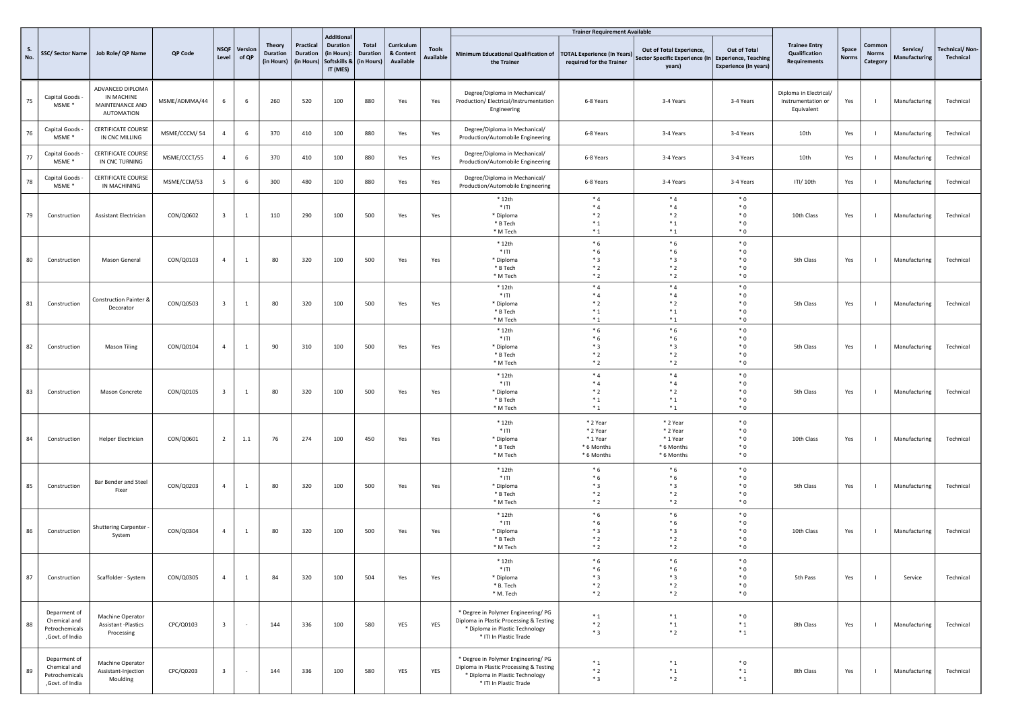|           |                                                                   |                                                                        |               |                         |                  |                                  |                                     |                                                                                 |                                        |                                      |                           |                                                                                                                                             | <b>Trainer Requirement Available</b>                           |                                                                                           |                                              |                                                              |               |                                    |                           |                                    |
|-----------|-------------------------------------------------------------------|------------------------------------------------------------------------|---------------|-------------------------|------------------|----------------------------------|-------------------------------------|---------------------------------------------------------------------------------|----------------------------------------|--------------------------------------|---------------------------|---------------------------------------------------------------------------------------------------------------------------------------------|----------------------------------------------------------------|-------------------------------------------------------------------------------------------|----------------------------------------------|--------------------------------------------------------------|---------------|------------------------------------|---------------------------|------------------------------------|
| S.<br>No. | SSC/Sector Name                                                   | Job Role/ QP Name                                                      | QP Code       | <b>NSQF</b><br>Level    | Version<br>of QP | Theory<br>Duration<br>(in Hours) | Practical<br>Duration<br>(in Hours) | <b>Additional</b><br><b>Duration</b><br>(in Hours):<br>Softskills &<br>IT (MES) | Total<br><b>Duration</b><br>(in Hours) | Curriculum<br>& Content<br>Available | <b>Tools</b><br>Available | Minimum Educational Qualification of<br>the Trainer                                                                                         | <b>TOTAL Experience (In Years)</b><br>required for the Trainer | Out of Total Experience,<br>Sector Specific Experience (In Experience, Teaching<br>years) | Out of Total<br><b>Experience (In years)</b> | <b>Trainee Entry</b><br>Qualification<br><b>Requirements</b> | Space<br>Norm | Common<br><b>Norms</b><br>Category | Service/<br>Manufacturing | <b>Technical/Non-</b><br>Technical |
| 75        | Capital Goods -<br>MSME *                                         | ADVANCED DIPLOMA<br>IN MACHINE<br>MAINTENANCE AND<br><b>AUTOMATION</b> | MSME/ADMMA/44 | 6                       | - 6              | 260                              | 520                                 | 100                                                                             | 880                                    | Yes                                  | Yes                       | Degree/Diploma in Mechanical/<br>Production/ Electrical/Instrumentation<br>Engineering                                                      | 6-8 Years                                                      | 3-4 Years                                                                                 | 3-4 Years                                    | Diploma in Electrical/<br>Instrumentation or<br>Equivalent   | Yes           |                                    | Manufacturing             | Technical                          |
| 76        | Capital Goods<br>MSME <sup>*</sup>                                | <b>CERTIFICATE COURSE</b><br>IN CNC MILLING                            | MSME/CCCM/54  | $\overline{4}$          | - 6              | 370                              | 410                                 | 100                                                                             | 880                                    | Yes                                  | Yes                       | Degree/Diploma in Mechanical/<br>Production/Automobile Engineering                                                                          | 6-8 Years                                                      | 3-4 Years                                                                                 | 3-4 Years                                    | 10th                                                         | Yes           |                                    | Manufacturing             | Technical                          |
| 77        | Capital Goods -<br>MSME <sup>*</sup>                              | <b>CERTIFICATE COURSE</b><br>IN CNC TURNING                            | MSME/CCCT/55  | $\overline{4}$          | - 6              | 370                              | 410                                 | 100                                                                             | 880                                    | Yes                                  | Yes                       | Degree/Diploma in Mechanical/<br>Production/Automobile Engineering                                                                          | 6-8 Years                                                      | 3-4 Years                                                                                 | 3-4 Years                                    | 10th                                                         | Yes           |                                    | Manufacturing             | Technical                          |
| 78        | Capital Goods -<br>MSME *                                         | <b>CERTIFICATE COURSE</b><br>IN MACHINING                              | MSME/CCM/53   | 5                       | 6                | 300                              | 480                                 | 100                                                                             | 880                                    | Yes                                  | Yes                       | Degree/Diploma in Mechanical/<br>Production/Automobile Engineering                                                                          | 6-8 Years                                                      | 3-4 Years                                                                                 | 3-4 Years                                    | ITI/ 10th                                                    | Yes           |                                    | Manufacturing             | Technical                          |
| 79        | Construction                                                      | Assistant Electrician                                                  | CON/Q0602     | $\overline{\mathbf{3}}$ | $\overline{1}$   | 110                              | 290                                 | 100                                                                             | 500                                    | Yes                                  | Yes                       | $*12th$<br>$*$ ITI<br>* Diploma<br>* B Tech<br>* M Tech                                                                                     | $*4$<br>$*_{4}$<br>$*2$<br>$*_{1}$<br>$*_{1}$                  | $*4$<br>$*4$<br>$*2$<br>$*_{1}$<br>$*_{1}$                                                | $*0$<br>$*0$<br>$*0$<br>$*0$<br>$^\ast$ 0    | 10th Class                                                   | Yes           |                                    | Manufacturing             | Technical                          |
| 80        | Construction                                                      | Mason General                                                          | CON/Q0103     | $\overline{4}$          | -1               | 80                               | 320                                 | 100                                                                             | 500                                    | Yes                                  | Yes                       | $*12th$<br>$*$ ITI<br>* Diploma<br>* B Tech<br>* M Tech                                                                                     | $*6$<br>$*6$<br>$*3$<br>$*2$<br>$*2$                           | $*6$<br>$*6$<br>$*3$<br>$*2$<br>$*2$                                                      | $*0$<br>$*0$<br>$*0$<br>$*0$<br>$*0$         | 5th Class                                                    | Yes           |                                    | Manufacturing             | Technical                          |
| 81        | Construction                                                      | Construction Painter &<br>Decorator                                    | CON/Q0503     | $\overline{\mathbf{3}}$ | -1               | 80                               | 320                                 | 100                                                                             | 500                                    | Yes                                  | Yes                       | $*12th$<br>$*$ ITI<br>* Diploma<br>* B Tech<br>* M Tech                                                                                     | $*4$<br>$*_{4}$<br>$*2$<br>$*_{1}$<br>$*_{1}$                  | $*4$<br>$*_{4}$<br>$*2$<br>$*_{1}$<br>$*_{1}$                                             | $*$ 0<br>$*0$<br>$*$ 0<br>$*0$<br>$*$ 0      | 5th Class                                                    | Yes           |                                    | Manufacturing             | Technical                          |
| 82        | Construction                                                      | <b>Mason Tiling</b>                                                    | CON/Q0104     | $\overline{4}$          | -1               | 90                               | 310                                 | 100                                                                             | 500                                    | Yes                                  | Yes                       | $*12th$<br>$*$ ITI<br>* Diploma<br>* B Tech<br>* M Tech                                                                                     | $*6$<br>$*6$<br>$*3$<br>$*2$<br>$*2$                           | $*6$<br>$*6$<br>$*3$<br>$*2$<br>$*2$                                                      | $*0$<br>$*0$<br>$*0$<br>$*0$<br>$*$ 0        | 5th Class                                                    | Yes           |                                    | Manufacturing             | Technical                          |
| 83        | Construction                                                      | Mason Concrete                                                         | CON/Q0105     | $\overline{\mathbf{3}}$ | $\mathbf{1}$     | 80                               | 320                                 | 100                                                                             | 500                                    | Yes                                  | Yes                       | $*12th$<br>$*$ ITI<br>* Diploma<br>* B Tech<br>$*$ M Tech                                                                                   | $*_{4}$<br>$*_{4}$<br>$*2$<br>$*_{1}$<br>$*_{1}$               | $*_{4}$<br>$*4$<br>$*2$<br>$*_{1}$<br>$*_{1}$                                             | $*$ 0<br>$*0$<br>$*0$<br>$*0$<br>$^\ast$ 0   | 5th Class                                                    | Yes           |                                    | Manufacturing             | Technical                          |
| 84        | Construction                                                      | <b>Helper Electrician</b>                                              | CON/Q0601     | $\overline{2}$          | 1.1              | 76                               | 274                                 | 100                                                                             | 450                                    | Yes                                  | Yes                       | $*12th$<br>$*$ ITI<br>* Diploma<br>$*$ B Tech<br>* M Tech                                                                                   | * 2 Year<br>* 2 Year<br>* 1 Year<br>* 6 Months<br>* 6 Months   | * 2 Year<br>* 2 Year<br>* 1 Year<br>* 6 Months<br>* 6 Months                              | $*0$<br>$*0$<br>$*0$<br>$*0$<br>$*0$         | 10th Class                                                   | Yes           |                                    | Manufacturing             | Technical                          |
| 85        | Construction                                                      | Bar Bender and Steel<br>Fixer                                          | CON/Q0203     | $\overline{4}$          | -1               | 80                               | 320                                 | 100                                                                             | 500                                    | Yes                                  | Yes                       | $*12th$<br>$*$ ITI<br>* Diploma<br>* B Tech<br>* M Tech                                                                                     | $*6$<br>$*6$<br>$*3$<br>$*2$<br>$*2$                           | $*6$<br>$*6$<br>$*3$<br>$*2$<br>$*2$                                                      | $*0$<br>$*0$<br>$*0$<br>$*0$<br>$*0$         | 5th Class                                                    | Yes           |                                    | Manufacturing             | Technical                          |
| 86        | Construction                                                      | Shuttering Carpenter<br>System                                         | CON/Q0304     | $\overline{4}$          | -1               | 80                               | 320                                 | 100                                                                             | 500                                    | Yes                                  | Yes                       | $*12th$<br>$*$ ITI<br>* Diploma<br>* B Tech<br>* M Tech                                                                                     | $*6$<br>$*6$<br>$*3$<br>$*2$<br>$*2$                           | $*6$<br>$*6$<br>$*3$<br>$*2$<br>$*2$                                                      | $*$ 0<br>$*0$<br>$*0$<br>$*0$<br>$*0$        | 10th Class                                                   | Yes           |                                    | Manufacturing             | Technical                          |
| 87        | Construction                                                      | Scaffolder - System                                                    | CON/Q0305     | $\overline{4}$          | $\mathbf{1}$     | 84                               | 320                                 | 100                                                                             | 504                                    | Yes                                  | Yes                       | $*12th$<br>$*$ ITI<br>* Diploma<br>* B. Tech<br>* M. Tech                                                                                   | $*6$<br>$*6$<br>$*3$<br>$*2$<br>$*2$                           | $*6$<br>$*6$<br>$*3$<br>$*2$<br>$*2$                                                      | $*0$<br>* 0<br>$*0$<br>$*$ 0<br>$*0$         | 5th Pass                                                     | Yes           |                                    | Service                   | Technical                          |
| 88        | Deparment of<br>Chemical and<br>Petrochemicals<br>,Govt. of India | Machine Operator<br><b>Assistant -Plastics</b><br>Processing           | CPC/Q0103     | $\overline{\mathbf{3}}$ |                  | 144                              | 336                                 | 100                                                                             | 580                                    | YES                                  | YES                       | * Degree in Polymer Engineering/ PG<br>Diploma in Plastic Processing & Testing<br>* Diploma in Plastic Technology<br>* ITI In Plastic Trade | $*_{1}$<br>$*2$<br>$*3$                                        | $*_{1}$<br>$*_{1}$<br>$*2$                                                                | $*0$<br>$*_{1}$<br>$*_{1}$                   | 8th Class                                                    | Yes           | $\blacksquare$                     | Manufacturing             | Technical                          |
| 89        | Deparment of<br>Chemical and<br>Petrochemicals<br>,Govt. of India | Machine Operator<br>Assistant-Injection<br>Moulding                    | CPC/Q0203     | $\overline{\mathbf{3}}$ |                  | 144                              | 336                                 | 100                                                                             | 580                                    | YES                                  | YES                       | * Degree in Polymer Engineering/ PG<br>Diploma in Plastic Processing & Testing<br>* Diploma in Plastic Technology<br>* ITI In Plastic Trade | $^{\ast}$ 1<br>$*2$<br>$*3$                                    | $*_{1}$<br>$*_{1}$<br>$*2$                                                                | $*0$<br>$*_{1}$<br>$*_{1}$                   | 8th Class                                                    | Yes           |                                    | Manufacturing             | Technical                          |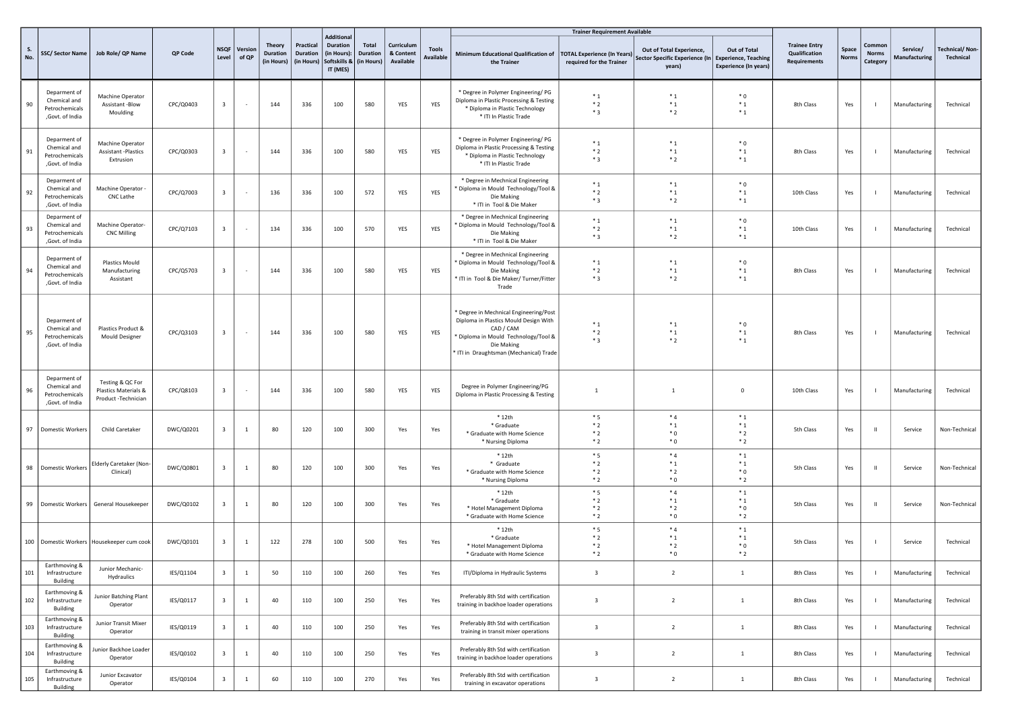|     |                                                                    |                                                                 |           |                         |                          |                                         |                                     |                                                                                 |                                        |                                      |                           |                                                                                                                                                                                             | <b>Trainer Requirement Available</b>                           |                                                                                           |                                              |                                                              |                       |                             |                           |                             |
|-----|--------------------------------------------------------------------|-----------------------------------------------------------------|-----------|-------------------------|--------------------------|-----------------------------------------|-------------------------------------|---------------------------------------------------------------------------------|----------------------------------------|--------------------------------------|---------------------------|---------------------------------------------------------------------------------------------------------------------------------------------------------------------------------------------|----------------------------------------------------------------|-------------------------------------------------------------------------------------------|----------------------------------------------|--------------------------------------------------------------|-----------------------|-----------------------------|---------------------------|-----------------------------|
| No. |                                                                    | SSC/ Sector Name   Job Role/ QP Name                            | QP Code   | <b>NSQF</b><br>Level    | Version<br>of QP         | Theory<br><b>Duration</b><br>(in Hours) | Practical<br>Duration<br>(in Hours) | <b>Additional</b><br><b>Duration</b><br>(in Hours):<br>Softskills &<br>IT (MES) | Total<br><b>Duration</b><br>(in Hours) | Curriculum<br>& Content<br>Available | Tools<br><b>Available</b> | Minimum Educational Qualification of<br>the Trainer                                                                                                                                         | <b>TOTAL Experience (In Years)</b><br>required for the Trainer | Out of Total Experience,<br>Sector Specific Experience (In Experience, Teaching<br>years) | Out of Total<br><b>Experience (In years)</b> | <b>Trainee Entry</b><br>Qualification<br><b>Requirements</b> | Space<br><b>Norms</b> | Common<br>Norms<br>Category | Service/<br>Manufacturing | Technical/Non-<br>Technical |
| 90  | Deparment of<br>Chemical and<br>Petrochemicals<br>,Govt. of India  | Machine Operator<br>Assistant -Blow<br>Moulding                 | CPC/Q0403 | $\overline{\mathbf{3}}$ |                          | 144                                     | 336                                 | 100                                                                             | 580                                    | YES                                  | YES                       | * Degree in Polymer Engineering/ PG<br>Diploma in Plastic Processing & Testing<br>* Diploma in Plastic Technology<br>* ITI In Plastic Trade                                                 | $*_{1}$<br>$*2$<br>$*3$                                        | $*_{1}$<br>$*_{1}$<br>$*2$                                                                | $*0$<br>$*_{1}$<br>$*_{1}$                   | 8th Class                                                    | Yes                   |                             | Manufacturing             | Technical                   |
| 91  | Deparment of<br>Chemical and<br>Petrochemicals<br>,Govt. of India  | Machine Operator<br><b>Assistant-Plastics</b><br>Extrusion      | CPC/Q0303 | $\overline{\mathbf{3}}$ | $\overline{\phantom{a}}$ | 144                                     | 336                                 | 100                                                                             | 580                                    | YES                                  | YES                       | * Degree in Polymer Engineering/ PG<br>Diploma in Plastic Processing & Testing<br>* Diploma in Plastic Technology<br>* ITI In Plastic Trade                                                 | $*_{1}$<br>$*2$<br>$*3$                                        | $*_{1}$<br>$*_{1}$<br>$*2$                                                                | $*$ 0<br>$*_{1}$<br>$^\ast$ 1                | 8th Class                                                    | Yes                   |                             | Manufacturing             | Technical                   |
| 92  | Deparment of<br>Chemical and<br>Petrochemicals<br>,Govt. of India  | Machine Operator -<br>CNC Lathe                                 | CPC/Q7003 | $\overline{\mathbf{3}}$ |                          | 136                                     | 336                                 | 100                                                                             | 572                                    | YES                                  | YES                       | * Degree in Mechnical Engineering<br>* Diploma in Mould Technology/Tool &<br>Die Making<br>* ITI in Tool & Die Maker                                                                        | $*_{1}$<br>$*2$<br>$*3$                                        | $*_{1}$<br>$*_{1}$<br>$*2$                                                                | $*0$<br>$^\ast$ 1<br>$*_{1}$                 | 10th Class                                                   | Yes                   |                             | Manufacturing             | Technical                   |
| 93  | Deparment of<br>Chemical and<br>Petrochemicals<br>,Govt. of India  | Machine Operator-<br><b>CNC Milling</b>                         | CPC/Q7103 | $\overline{\mathbf{3}}$ | $\sim$                   | 134                                     | 336                                 | 100                                                                             | 570                                    | YES                                  | YES                       | * Degree in Mechnical Engineering<br>Diploma in Mould Technology/Tool &<br>Die Making<br>* ITI in Tool & Die Maker                                                                          | $*_{1}$<br>$*2$<br>$*3$                                        | $*_{1}$<br>$*_{1}$<br>$*2$                                                                | $*0$<br>$*_{1}$<br>$*_{1}$                   | 10th Class                                                   | Yes                   | -1                          | Manufacturing             | Technical                   |
| 94  | Deparment of<br>Chemical and<br>Petrochemicals<br>,Govt. of India  | Plastics Mould<br>Manufacturing<br>Assistant                    | CPC/Q5703 | $\overline{\mathbf{3}}$ |                          | 144                                     | 336                                 | 100                                                                             | 580                                    | YES                                  | YES                       | * Degree in Mechnical Engineering<br>Diploma in Mould Technology/Tool &<br>Die Making<br>* ITI in Tool & Die Maker/ Turner/Fitter<br>Trade                                                  | $*_{1}$<br>$*2$<br>$*3$                                        | $*_{1}$<br>$*_{1}$<br>$*2$                                                                | $*0$<br>$^\ast$ 1<br>$*_{1}$                 | 8th Class                                                    | Yes                   |                             | Manufacturing             | Technical                   |
| 95  | Deparment of<br>Chemical and<br>Petrochemicals<br>, Govt. of India | Plastics Product &<br><b>Mould Designer</b>                     | CPC/Q3103 | $\overline{\mathbf{3}}$ | $\sim$                   | 144                                     | 336                                 | 100                                                                             | 580                                    | YES                                  | YES                       | * Degree in Mechnical Engineering/Post<br>Diploma in Plastics Mould Design With<br>CAD / CAM<br>* Diploma in Mould Technology/Tool &<br>Die Making<br>ITI in Draughtsman (Mechanical) Trade | $*_{1}$<br>$*2$<br>$*3$                                        | $*_{1}$<br>$*_{1}$<br>$*2$                                                                | $*0$<br>$^\ast$ 1<br>$*_{1}$                 | 8th Class                                                    | Yes                   |                             | Manufacturing             | Technical                   |
| 96  | Deparment of<br>Chemical and<br>Petrochemicals<br>,Govt. of India  | Testing & QC For<br>Plastics Materials &<br>Product -Technician | CPC/Q8103 | $\overline{\mathbf{3}}$ | $\overline{\phantom{a}}$ | 144                                     | 336                                 | 100                                                                             | 580                                    | YES                                  | YES                       | Degree in Polymer Engineering/PG<br>Diploma in Plastic Processing & Testing                                                                                                                 | $\mathbf{1}$                                                   | $\mathbf{1}$                                                                              | $\mathsf 0$                                  | 10th Class                                                   | Yes                   |                             | Manufacturing             | Technical                   |
| 97  | Domestic Workers                                                   | Child Caretaker                                                 | DWC/Q0201 | $\overline{\mathbf{3}}$ | $\mathbf{1}$             | 80                                      | 120                                 | 100                                                                             | 300                                    | Yes                                  | Yes                       | $*12th$<br>* Graduate<br>* Graduate with Home Science<br>* Nursing Diploma                                                                                                                  | $*5$<br>$*2$<br>$*2$<br>$*2$                                   | $*_{4}$<br>$*_{1}$<br>$^*0$<br>$*$ 0                                                      | $*_{1}$<br>$*_{1}$<br>$*2$<br>$*2$           | 5th Class                                                    | Yes                   | $\mathbf{u}$                | Service                   | Non-Technical               |
| 98  | Domestic Workers                                                   | <b>Elderly Caretaker (Non-</b><br>Clinical)                     | DWC/Q0801 | $\overline{\mathbf{3}}$ | $\mathbf{1}$             | 80                                      | 120                                 | 100                                                                             | 300                                    | Yes                                  | Yes                       | $*12th$<br>* Graduate<br>* Graduate with Home Science<br>* Nursing Diploma                                                                                                                  | $*5$<br>$*2$<br>$*2$<br>$*2$                                   | $*4$<br>$*_{1}$<br>$*2$<br>$^*0$                                                          | $*_{1}$<br>$*_{1}$<br>$*0$<br>$*2$           | 5th Class                                                    | Yes                   | $\mathbf{u}$                | Service                   | Non-Technical               |
| 99  |                                                                    | Domestic Workers   General Housekeeper                          | DWC/Q0102 | $\overline{\mathbf{3}}$ | $\mathbf{1}$             | 80                                      | 120                                 | 100                                                                             | 300                                    | Yes                                  | Yes                       | $*12th$<br>* Graduate<br>* Hotel Management Diploma<br>* Graduate with Home Science                                                                                                         | $*_{5}$<br>$*2$<br>$*2$<br>$*2$                                | $*4$<br>$*_{1}$<br>$*2$<br>$^*$ 0                                                         | $*_{1}$<br>$*_{1}$<br>$*$ 0<br>$*2$          | 5th Class                                                    | Yes                   | $\mathbf{H}$                | Service                   | Non-Technical               |
|     |                                                                    | 100 Domestic Workers   Housekeeper cum cook                     | DWC/Q0101 | $\overline{\mathbf{3}}$ | $\mathbf{1}$             | 122                                     | 278                                 | 100                                                                             | 500                                    | Yes                                  | Yes                       | $*12th$<br>* Graduate<br>* Hotel Management Diploma<br>* Graduate with Home Science                                                                                                         | $*5$<br>$*2$<br>$*2$<br>$*2$                                   | $*4$<br>$*_{1}$<br>$*2$<br>$^*$ 0                                                         | $*_{1}$<br>$*_{1}$<br>$*0$<br>$*2$           | 5th Class                                                    | Yes                   | -1                          | Service                   | Technical                   |
| 101 | Earthmoving &<br>Infrastructure<br>Building                        | Junior Mechanic-<br>Hydraulics                                  | IES/Q1104 | $\overline{\mathbf{3}}$ | $\mathbf{1}$             | 50                                      | 110                                 | 100                                                                             | 260                                    | Yes                                  | Yes                       | ITI/Diploma in Hydraulic Systems                                                                                                                                                            | $\overline{\mathbf{3}}$                                        | $\overline{2}$                                                                            | $\,$ 1 $\,$                                  | 8th Class                                                    | Yes                   |                             | Manufacturing             | Technical                   |
| 102 | Earthmoving &<br>Infrastructure<br>Building                        | Junior Batching Plant<br>Operator                               | IES/Q0117 | $\overline{\mathbf{3}}$ | $\mathbf{1}$             | 40                                      | 110                                 | 100                                                                             | 250                                    | Yes                                  | Yes                       | Preferably 8th Std with certification<br>training in backhoe loader operations                                                                                                              | $\overline{\mathbf{3}}$                                        | $\overline{2}$                                                                            | $\mathbf{1}$                                 | 8th Class                                                    | Yes                   |                             | Manufacturing             | Technical                   |
| 103 | Earthmoving &<br>Infrastructure<br>Building                        | Junior Transit Mixer<br>Operator                                | IES/Q0119 | $\overline{\mathbf{3}}$ | <sup>1</sup>             | 40                                      | 110                                 | 100                                                                             | 250                                    | Yes                                  | Yes                       | Preferably 8th Std with certification<br>training in transit mixer operations                                                                                                               | $\overline{\mathbf{3}}$                                        | $\overline{2}$                                                                            | $\mathbf{1}$                                 | 8th Class                                                    | Yes                   |                             | Manufacturing             | Technical                   |
| 104 | Earthmoving &<br>Infrastructure<br>Building                        | unior Backhoe Loader<br>Operator                                | IES/Q0102 | $\overline{\mathbf{3}}$ | $\mathbf{1}$             | 40                                      | 110                                 | 100                                                                             | 250                                    | Yes                                  | Yes                       | Preferably 8th Std with certification<br>training in backhoe loader operations                                                                                                              | $\overline{\mathbf{3}}$                                        | $\overline{2}$                                                                            | $\mathbf{1}$                                 | 8th Class                                                    | Yes                   |                             | Manufacturing             | Technical                   |
| 105 | Earthmoving &<br>Infrastructure<br><b>Building</b>                 | Junior Excavator<br>Operator                                    | IES/Q0104 | $\overline{\mathbf{3}}$ | $\mathbf{1}$             | 60                                      | 110                                 | 100                                                                             | 270                                    | Yes                                  | Yes                       | Preferably 8th Std with certification<br>training in excavator operations                                                                                                                   | $\overline{\mathbf{3}}$                                        | $\overline{2}$                                                                            | $\mathbf{1}$                                 | 8th Class                                                    | Yes                   |                             | Manufacturing             | Technical                   |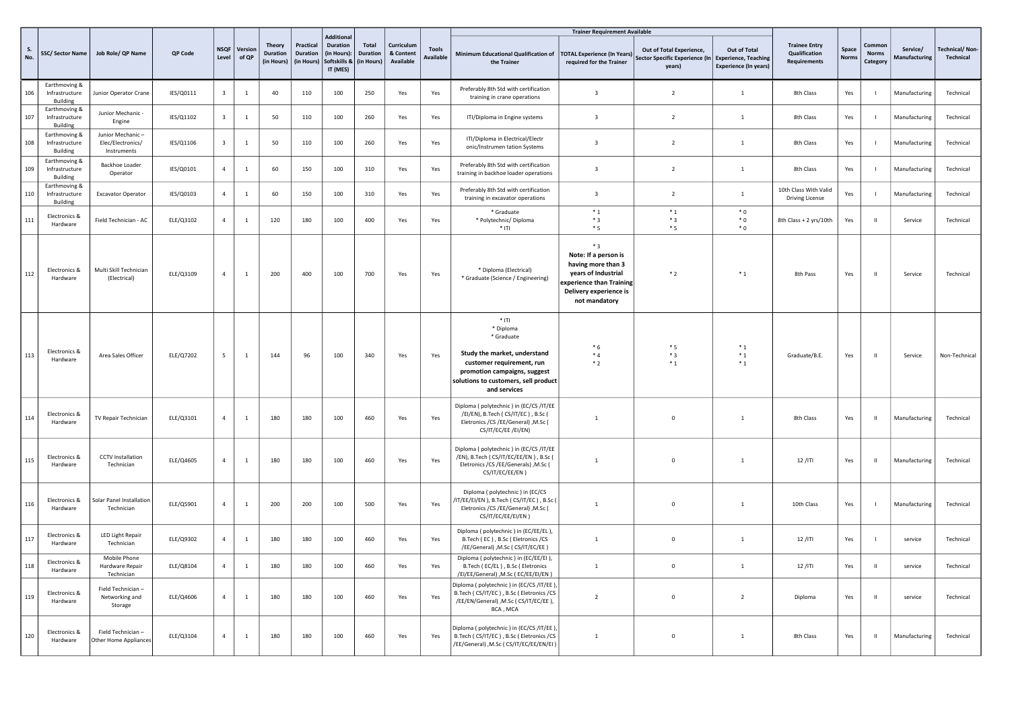|           |                                                    |                                                      |           |                         |                  |                                                |                                     | <b>Additional</b>                                          |                                        |                                      |                                  |                                                                                                                                                                                         | <b>Trainer Requirement Available</b>                                                                                                            |                                                                      |                                                                             |                                                       |                       |                                    |                           |                                    |
|-----------|----------------------------------------------------|------------------------------------------------------|-----------|-------------------------|------------------|------------------------------------------------|-------------------------------------|------------------------------------------------------------|----------------------------------------|--------------------------------------|----------------------------------|-----------------------------------------------------------------------------------------------------------------------------------------------------------------------------------------|-------------------------------------------------------------------------------------------------------------------------------------------------|----------------------------------------------------------------------|-----------------------------------------------------------------------------|-------------------------------------------------------|-----------------------|------------------------------------|---------------------------|------------------------------------|
| S.<br>No. | SSC/Sector Name                                    | Job Role/ QP Name                                    | QP Code   | <b>NSQF</b><br>Level    | Version<br>of QP | <b>Theory</b><br><b>Duration</b><br>(in Hours) | Practical<br>Duration<br>(in Hours) | <b>Duration</b><br>(in Hours):<br>Softskills &<br>IT (MES) | Total<br><b>Duration</b><br>(in Hours) | Curriculum<br>& Content<br>Available | <b>Tools</b><br><b>Available</b> | Minimum Educational Qualification of   TOTAL Experience (In Years)<br>the Trainer                                                                                                       | required for the Trainer                                                                                                                        | Out of Total Experience.<br>Sector Specific Experience (In<br>years) | Out of Total<br><b>Experience, Teaching</b><br><b>Experience (In years)</b> | <b>Trainee Entry</b><br>Qualification<br>Requirements | Space<br><b>Norms</b> | Common<br><b>Norms</b><br>Category | Service/<br>Manufacturing | <b>Technical/Non-</b><br>Technical |
| 106       | Earthmoving &<br>Infrastructure<br>Building        | Junior Operator Crane                                | IES/Q0111 | $\overline{\mathbf{3}}$ | $\mathbf{1}$     | 40                                             | 110                                 | 100                                                        | 250                                    | Yes                                  | Yes                              | Preferably 8th Std with certification<br>training in crane operations                                                                                                                   | $\overline{\mathbf{3}}$                                                                                                                         | $\overline{2}$                                                       | $\mathbf{1}$                                                                | 8th Class                                             | Yes                   |                                    | Manufacturing             | Technical                          |
| 107       | Earthmoving &<br>Infrastructure<br>Building        | Junior Mechanic -<br>Engine                          | IES/Q1102 | $\overline{\mathbf{3}}$ | $\mathbf{1}$     | 50                                             | 110                                 | 100                                                        | 260                                    | Yes                                  | Yes                              | ITI/Diploma in Engine systems                                                                                                                                                           | $\overline{\mathbf{3}}$                                                                                                                         | $\overline{2}$                                                       | 1                                                                           | 8th Class                                             | Yes                   |                                    | Manufacturing             | Technical                          |
| 108       | Earthmoving &<br>Infrastructure<br>Building        | Junior Mechanic-<br>Elec/Electronics/<br>Instruments | IES/Q1106 | $\overline{\mathbf{3}}$ | <sup>1</sup>     | 50                                             | 110                                 | 100                                                        | 260                                    | Yes                                  | Yes                              | ITI/Diploma in Electrical/Electr<br>onic/Instrumen tation Systems                                                                                                                       | $\overline{\mathbf{3}}$                                                                                                                         | $\overline{2}$                                                       | $1\,$                                                                       | 8th Class                                             | Yes                   |                                    | Manufacturing             | Technical                          |
| 109       | Earthmoving &<br>Infrastructure<br>Building        | Backhoe Loader<br>Operator                           | IES/Q0101 | $\overline{4}$          | 1                | 60                                             | 150                                 | 100                                                        | 310                                    | Yes                                  | Yes                              | Preferably 8th Std with certification<br>training in backhoe loader operations                                                                                                          | $\overline{3}$                                                                                                                                  | $\overline{2}$                                                       | $\mathbf{1}$                                                                | 8th Class                                             | Yes                   |                                    | Manufacturing             | Technical                          |
| 110       | Earthmoving &<br>Infrastructure<br><b>Building</b> | <b>Excavator Operator</b>                            | IES/Q0103 | $\overline{4}$          | -1               | 60                                             | 150                                 | 100                                                        | 310                                    | Yes                                  | Yes                              | Preferably 8th Std with certification<br>training in excavator operations                                                                                                               | $\overline{3}$                                                                                                                                  | $\overline{2}$                                                       | $\mathbf{1}$                                                                | 10th Class With Valid<br><b>Driving License</b>       | Yes                   |                                    | Manufacturing             | Technical                          |
| 111       | Electronics &<br>Hardware                          | Field Technician - AC                                | ELE/Q3102 | $\overline{4}$          | <sup>1</sup>     | 120                                            | 180                                 | 100                                                        | 400                                    | Yes                                  | Yes                              | * Graduate<br>* Polytechnic/ Diploma<br>$*$ <sub>ITI</sub>                                                                                                                              | $*_{1}$<br>$*3$<br>$*5$                                                                                                                         | $*_{1}$<br>$*3$<br>$*5$                                              | $*$ 0<br>$*$ 0<br>${}^*0$                                                   | 8th Class + 2 yrs/10th                                | Yes                   | $\mathbf{H}$                       | Service                   | Technical                          |
| 112       | Electronics &<br>Hardware                          | Multi Skill Technician<br>(Electrical)               | ELE/Q3109 | $\overline{4}$          | -1               | 200                                            | 400                                 | 100                                                        | 700                                    | Yes                                  | Yes                              | * Diploma (Electrical)<br>* Graduate (Science / Engineering)                                                                                                                            | $*3$<br>Note: If a person is<br>having more than 3<br>years of Industrial<br>xperience than Training<br>Delivery experience is<br>not mandatory | $*2$                                                                 | $*_{1}$                                                                     | 8th Pass                                              | Yes                   | - 11                               | Service                   | Technical                          |
| 113       | Electronics &<br>Hardware                          | Area Sales Officer                                   | ELE/Q7202 | 5 <sup>5</sup>          | <sup>1</sup>     | 144                                            | 96                                  | 100                                                        | 340                                    | Yes                                  | Yes                              | $*$ ITI<br>* Diploma<br>* Graduate<br>Study the market, understand<br>customer requirement, run<br>promotion campaigns, suggest<br>solutions to customers, sell product<br>and services | $*6$<br>$*4$<br>$*2$                                                                                                                            | $*5$<br>$*3$<br>$*_{1}$                                              | $*_{1}$<br>$*_{1}$<br>$*_{1}$                                               | Graduate/B.E.                                         | Yes                   | $\mathbf{H}$                       | Service                   | Non-Technical                      |
| 114       | Electronics &<br>Hardware                          | TV Repair Technician                                 | ELE/Q3101 | $\overline{4}$          | -1               | 180                                            | 180                                 | 100                                                        | 460                                    | Yes                                  | Yes                              | Diploma (polytechnic) in (EC/CS/IT/EE<br>/EI/EN), B.Tech (CS/IT/EC), B.Sc (<br>Eletronics / CS / EE/ General) , M. Sc (<br>CS/IT/EC/EE /EI/EN)                                          | $\overline{1}$                                                                                                                                  | $\overline{0}$                                                       | $\mathbf{1}$                                                                | 8th Class                                             | Yes                   | - 11                               | Manufacturing             | Technical                          |
| 115       | Electronics &<br>Hardware                          | <b>CCTV</b> Installation<br>Technician               | ELE/Q4605 | $\overline{4}$          | $\mathbf{1}$     | 180                                            | 180                                 | 100                                                        | 460                                    | Yes                                  | Yes                              | Diploma (polytechnic) in (EC/CS/IT/EE<br>/EN), B.Tech ( CS/IT/EC/EE/EN ) , B.Sc (<br>Eletronics /CS /EE/Generals) , M.Sc (<br>CS/IT/EC/EE/EN)                                           | $\overline{1}$                                                                                                                                  | $\overline{0}$                                                       | $\mathbf{1}$                                                                | $12/$ ITI                                             | Yes                   | $\mathbf{H}$                       | Manufacturing             | Technical                          |
| 116       | Electronics &<br>Hardware                          | Solar Panel Installation<br>Technician               | ELE/Q5901 | $\overline{4}$          | <sup>1</sup>     | 200                                            | 200                                 | 100                                                        | 500                                    | Yes                                  | Yes                              | Diploma (polytechnic) in (EC/CS<br>IT/EE/EI/EN ), B.Tech ( CS/IT/EC ) , B.Sc (<br>Eletronics / CS / EE/General) , M.Sc (<br>CS/IT/EC/EE/EI/EN)                                          | $\mathbf{1}$                                                                                                                                    | $\overline{0}$                                                       | $1\,$                                                                       | 10th Class                                            | Yes                   |                                    | Manufacturing             | Technical                          |
| 117       | Electronics &<br>Hardware                          | LED Light Repair<br>Technician                       | ELE/Q9302 | $\overline{4}$          | $\mathbf{1}$     | 180                                            | 180                                 | 100                                                        | 460                                    | Yes                                  | Yes                              | Diploma (polytechnic) in (EC/EE/EL),<br>B.Tech (EC), B.Sc (Eletronics /CS<br>/EE/General) , M.Sc ( CS/IT/EC/EE )                                                                        | $\mathbf{1}$                                                                                                                                    | $\mathsf 0$                                                          | 1                                                                           | $12/$ ITI                                             | Yes                   |                                    | service                   | Technical                          |
| 118       | Electronics &<br>Hardware                          | Mobile Phone<br>Hardware Repair<br>Technician        | ELE/Q8104 | $\overline{4}$          | $\overline{1}$   | 180                                            | 180                                 | 100                                                        | 460                                    | Yes                                  | Yes                              | Diploma (polytechnic) in (EC/EE/EI),<br>B.Tech (EC/EL), B.Sc (Eletronics<br>/EI/EE/General) , M.Sc (EC/EE/EI/EN)                                                                        | $\overline{1}$                                                                                                                                  | $\Omega$                                                             | $\mathbf{1}$                                                                | $12/$ ITI                                             | Yes                   | $\mathbf{H}$                       | service                   | Technical                          |
| 119       | Electronics &<br>Hardware                          | Field Technician -<br>Networking and<br>Storage      | ELE/Q4606 | $\overline{4}$          | <sup>1</sup>     | 180                                            | 180                                 | 100                                                        | 460                                    | Yes                                  | Yes                              | Diploma (polytechnic) in (EC/CS/IT/EE),<br>B.Tech (CS/IT/EC), B.Sc (Eletronics /CS<br>/EE/EN/General) , M.Sc ( CS/IT/EC/EE ),<br>BCA, MCA                                               | $\overline{2}$                                                                                                                                  | $\mathbf{0}$                                                         | $\overline{2}$                                                              | Diploma                                               | Yes                   | $\mathbf{H}$                       | service                   | Technical                          |
| 120       | Electronics &<br>Hardware                          | Field Technician -<br>Other Home Appliances          | ELE/Q3104 | 4                       | $\mathbf{1}$     | 180                                            | 180                                 | 100                                                        | 460                                    | Yes                                  | Yes                              | Diploma (polytechnic) in (EC/CS/IT/EE),<br>B.Tech (CS/IT/EC), B.Sc (Eletronics /CS<br>/EE/General) , M.Sc ( CS/IT/EC/EE/EN/EI )                                                         | 1                                                                                                                                               | $\mathbf{0}$                                                         | $1\,$                                                                       | 8th Class                                             | Yes                   | $\mathbf{H}$                       | Manufacturing             | Technical                          |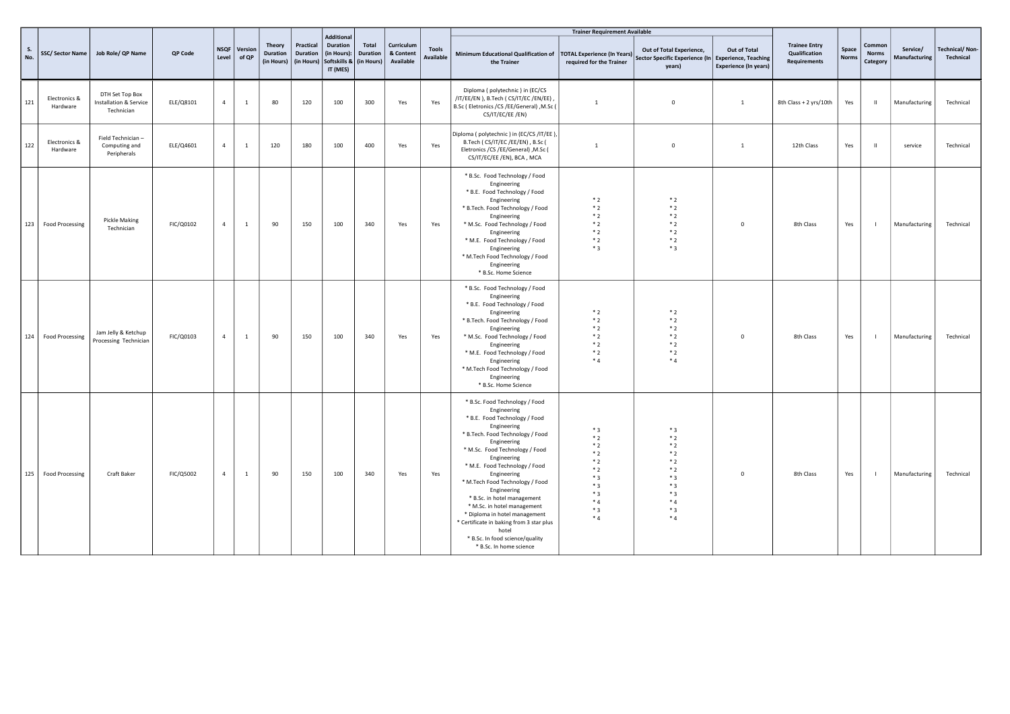|                  |                           |                                                                    |           |                |                       |                                  |                                     |                                                                                            |                          |                                      |                                  |                                                                                                                                                                                                                                                                                                                                                                                                                                                                                                                       | <b>Trainer Requirement Available</b>                                                         |                                                                                                 |                                              |                                                              |                       |                                    |                           |                                    |
|------------------|---------------------------|--------------------------------------------------------------------|-----------|----------------|-----------------------|----------------------------------|-------------------------------------|--------------------------------------------------------------------------------------------|--------------------------|--------------------------------------|----------------------------------|-----------------------------------------------------------------------------------------------------------------------------------------------------------------------------------------------------------------------------------------------------------------------------------------------------------------------------------------------------------------------------------------------------------------------------------------------------------------------------------------------------------------------|----------------------------------------------------------------------------------------------|-------------------------------------------------------------------------------------------------|----------------------------------------------|--------------------------------------------------------------|-----------------------|------------------------------------|---------------------------|------------------------------------|
| <b>S.</b><br>No. | SSC/Sector Name           | Job Role/ QP Name                                                  | QP Code   | Level          | NSQF Version<br>of QP | Theory<br>Duration<br>(in Hours) | Practical<br>Duration<br>(in Hours) | <b>Additional</b><br><b>Duration</b><br>(in Hours):<br>Softskills & (in Hours)<br>IT (MES) | Total<br><b>Duration</b> | Curriculum<br>& Content<br>Available | <b>Tools</b><br><b>Available</b> | Minimum Educational Qualification of   TOTAL Experience (In Years)  <br>the Trainer                                                                                                                                                                                                                                                                                                                                                                                                                                   | required for the Trainer                                                                     | Out of Total Experience,<br>Sector Specific Experience (In Experience, Teaching<br>years)       | Out of Total<br><b>Experience (In years)</b> | <b>Trainee Entry</b><br><b>Qualification</b><br>Requirements | Space<br><b>Norms</b> | Common<br><b>Norms</b><br>Category | Service/<br>Manufacturing | <b>Technical/Non-</b><br>Technical |
| 121              | Electronics &<br>Hardware | DTH Set Top Box<br><b>Installation &amp; Service</b><br>Technician | ELE/Q8101 | $\overline{4}$ | <sup>1</sup>          | 80                               | 120                                 | 100                                                                                        | 300                      | Yes                                  | Yes                              | Diploma (polytechnic) in (EC/CS<br>/IT/EE/EN ), B.Tech ( CS/IT/EC /EN/EE)<br>B.Sc (Eletronics /CS /EE/General) , M.Sc (<br>CS/IT/EC/EE /EN)                                                                                                                                                                                                                                                                                                                                                                           | $\overline{1}$                                                                               | $\mathbf 0$                                                                                     | <sup>1</sup>                                 | 8th Class + 2 yrs/10th                                       | Yes                   | $\mathbf{I}$                       | Manufacturing             | Technical                          |
| 122              | Electronics &<br>Hardware | Field Technician -<br>Computing and<br>Peripherals                 | ELE/Q4601 | $\overline{4}$ | $\mathbf{1}$          | 120                              | 180                                 | 100                                                                                        | 400                      | Yes                                  | Yes                              | Diploma (polytechnic) in (EC/CS/IT/EE),<br>B.Tech (CS/IT/EC/EE/EN), B.Sc (<br>Eletronics / CS / EE/ General) , M. Sc (<br>CS/IT/EC/EE /EN), BCA, MCA                                                                                                                                                                                                                                                                                                                                                                  | $\overline{1}$                                                                               | $\mathbf 0$                                                                                     | <sup>1</sup>                                 | 12th Class                                                   | Yes                   | $\mathbf{H}$                       | service                   | Technical                          |
| 123              | <b>Food Processing</b>    | <b>Pickle Making</b><br>Technician                                 | FIC/Q0102 | $\overline{4}$ | $\mathbf{1}$          | 90                               | 150                                 | 100                                                                                        | 340                      | Yes                                  | Yes                              | * B.Sc. Food Technology / Food<br>Engineering<br>* B.E. Food Technology / Food<br>Engineering<br>* B.Tech. Food Technology / Food<br>Engineering<br>* M.Sc. Food Technology / Food<br>Engineering<br>* M.E. Food Technology / Food<br>Engineering<br>* M.Tech Food Technology / Food<br>Engineering<br>* B.Sc. Home Science                                                                                                                                                                                           | $*2$<br>$*2$<br>$*2$<br>$*2$<br>$*2$<br>$*2$<br>$*3$                                         | $*2$<br>$*2$<br>$*2$<br>$*2$<br>$*2$<br>$*2$<br>$*3$                                            | $^{\circ}$                                   | 8th Class                                                    | Yes                   | $\blacksquare$                     | Manufacturing             | Technical                          |
| 124              | <b>Food Processing</b>    | Jam Jelly & Ketchup<br>Processing Technician                       | FIC/Q0103 | $\overline{4}$ | $\mathbf{1}$          | 90                               | 150                                 | 100                                                                                        | 340                      | Yes                                  | Yes                              | * B.Sc. Food Technology / Food<br>Engineering<br>* B.E. Food Technology / Food<br>Engineering<br>* B.Tech. Food Technology / Food<br>Engineering<br>* M.Sc. Food Technology / Food<br>Engineering<br>* M.E. Food Technology / Food<br>Engineering<br>* M.Tech Food Technology / Food<br>Engineering<br>* B.Sc. Home Science                                                                                                                                                                                           | $*2$<br>$*2$<br>$*2$<br>$*2$<br>$*2$<br>$*2$<br>$*_{4}$                                      | $*2$<br>$*2$<br>$*2$<br>$*2$<br>$*2$<br>$*2$<br>$*4$                                            | $\mathbf 0$                                  | 8th Class                                                    | Yes                   | $\blacksquare$                     | Manufacturing             | Technical                          |
|                  | 125   Food Processing     | Craft Baker                                                        | FIC/Q5002 | $\overline{4}$ | <sup>1</sup>          | 90                               | 150                                 | 100                                                                                        | 340                      | Yes                                  | Yes                              | * B.Sc. Food Technology / Food<br>Engineering<br>* B.E. Food Technology / Food<br>Engineering<br>* B.Tech. Food Technology / Food<br>Engineering<br>* M.Sc. Food Technology / Food<br>Engineering<br>* M.E. Food Technology / Food<br>Engineering<br>* M.Tech Food Technology / Food<br>Engineering<br>* B.Sc. in hotel management<br>* M.Sc. in hotel management<br>* Diploma in hotel management<br>* Certificate in baking from 3 star plus<br>hotel<br>* B.Sc. In food science/quality<br>* B.Sc. In home science | $*3$<br>$*2$<br>$*2$<br>$*2$<br>$*2$<br>$*2$<br>$*3$<br>$*3$<br>$*3$<br>$*4$<br>$*3$<br>$*4$ | $*3$<br>$*2$<br>$*2$<br>$*2$<br>$*2$<br>$*2$<br>$*3$<br>$*3$<br>$*3$<br>$*4$<br>$*3$<br>$*_{4}$ | $\Omega$                                     | 8th Class                                                    | Yes                   | $\mathbf{I}$                       | Manufacturing             | Technical                          |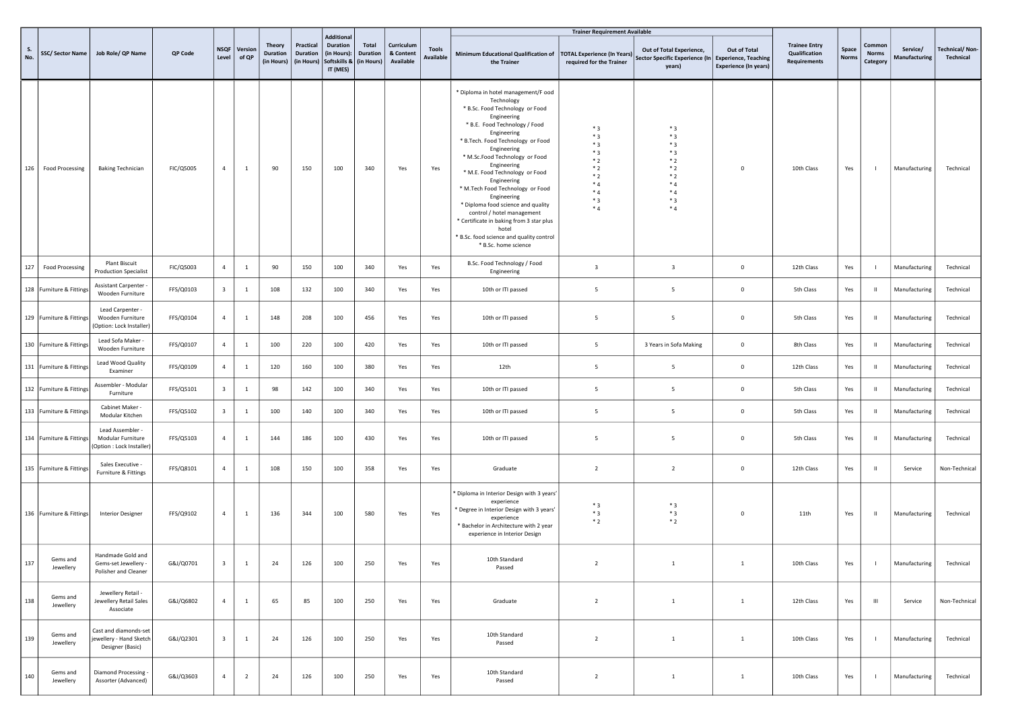|           |                          |                                                                      |           |                         |                  |                                                |                                            |                                                                                 |                                        |                                      |                                  |                                                                                                                                                                                                                                                                                                                                                                                                                                                                                                                                                           | <b>Trainer Requirement Available</b>                                                       |                                                                                             |                                              |                                                       |                       |                                    |                           |                             |
|-----------|--------------------------|----------------------------------------------------------------------|-----------|-------------------------|------------------|------------------------------------------------|--------------------------------------------|---------------------------------------------------------------------------------|----------------------------------------|--------------------------------------|----------------------------------|-----------------------------------------------------------------------------------------------------------------------------------------------------------------------------------------------------------------------------------------------------------------------------------------------------------------------------------------------------------------------------------------------------------------------------------------------------------------------------------------------------------------------------------------------------------|--------------------------------------------------------------------------------------------|---------------------------------------------------------------------------------------------|----------------------------------------------|-------------------------------------------------------|-----------------------|------------------------------------|---------------------------|-----------------------------|
| S.<br>No. |                          | SSC/ Sector Name   Job Role/ QP Name                                 | QP Code   | <b>NSQF</b><br>Level    | Version<br>of QP | <b>Theory</b><br><b>Duration</b><br>(in Hours) | Practical<br><b>Duration</b><br>(in Hours) | <b>Additional</b><br><b>Duration</b><br>(in Hours):<br>Softskills &<br>IT (MES) | Total<br><b>Duration</b><br>(in Hours) | Curriculum<br>& Content<br>Available | <b>Tools</b><br><b>Available</b> | Minimum Educational Qualification of<br>the Trainer                                                                                                                                                                                                                                                                                                                                                                                                                                                                                                       | <b>TOTAL Experience (In Years)</b><br>required for the Trainer                             | Out of Total Experience,<br>Sector Specific Experience (In   Experience, Teaching<br>years) | Out of Total<br><b>Experience (In years)</b> | <b>Trainee Entry</b><br>Qualification<br>Requirements | Space<br><b>Norms</b> | Common<br><b>Norms</b><br>Category | Service/<br>Manufacturing | Technical/Non-<br>Technical |
|           | 126   Food Processing    | <b>Baking Technician</b>                                             | FIC/Q5005 | $\overline{4}$          | $\mathbf{1}$     | 90                                             | 150                                        | 100                                                                             | 340                                    | Yes                                  | Yes                              | * Diploma in hotel management/F ood<br>Technology<br>* B.Sc. Food Technology or Food<br>Engineering<br>* B.E. Food Technology / Food<br>Engineering<br>* B.Tech. Food Technology or Food<br>Engineering<br>* M.Sc.Food Technology or Food<br>Engineering<br>* M.E. Food Technology or Food<br>Engineering<br>* M.Tech Food Technology or Food<br>Engineering<br>* Diploma food science and quality<br>control / hotel management<br>* Certificate in baking from 3 star plus<br>hotel<br>* B.Sc. food science and quality control<br>* B.Sc. home science | $*3$<br>$*3$<br>$*3$<br>$*3$<br>$*2$<br>$*2$<br>$*2$<br>$*_{4}$<br>$*4$<br>$*3$<br>$*_{4}$ | $*3$<br>$*3$<br>$*3$<br>$*3$<br>$*2$<br>$*2$<br>$*2$<br>$*_{4}$<br>$*4$<br>$*3$<br>$*4$     | $\mathbf 0$                                  | 10th Class                                            | Yes                   |                                    | Manufacturing             | Technical                   |
| 127       | <b>Food Processing</b>   | <b>Plant Biscuit</b><br><b>Production Specialist</b>                 | FIC/Q5003 | $\overline{4}$          | <sup>1</sup>     | 90                                             | 150                                        | 100                                                                             | 340                                    | Yes                                  | Yes                              | B.Sc. Food Technology / Food<br>Engineering                                                                                                                                                                                                                                                                                                                                                                                                                                                                                                               | $\overline{\mathbf{3}}$                                                                    | $\overline{\mathbf{3}}$                                                                     | $\mathsf 0$                                  | 12th Class                                            | Yes                   |                                    | Manufacturing             | Technical                   |
|           | 128 Furniture & Fittings | Assistant Carpenter -<br>Wooden Furniture                            | FFS/Q0103 | $\overline{\mathbf{3}}$ | $\mathbf{1}$     | 108                                            | 132                                        | 100                                                                             | 340                                    | Yes                                  | Yes                              | 10th or ITI passed                                                                                                                                                                                                                                                                                                                                                                                                                                                                                                                                        | 5                                                                                          | 5                                                                                           | $\mathbf 0$                                  | 5th Class                                             | Yes                   | $\mathbf{H}$                       | Manufacturing             | Technical                   |
|           | 129 Furniture & Fittings | Lead Carpenter -<br>Wooden Furniture<br>(Option: Lock Installer)     | FFS/Q0104 | $\overline{4}$          | $\overline{1}$   | 148                                            | 208                                        | 100                                                                             | 456                                    | Yes                                  | Yes                              | 10th or ITI passed                                                                                                                                                                                                                                                                                                                                                                                                                                                                                                                                        | 5                                                                                          | 5                                                                                           | $\mathbf 0$                                  | 5th Class                                             | Yes                   | $\mathbf{H}$                       | Manufacturing             | Technical                   |
|           | 130 Furniture & Fittings | Lead Sofa Maker -<br>Wooden Furniture                                | FFS/Q0107 | $\overline{4}$          | $\mathbf{1}$     | 100                                            | 220                                        | 100                                                                             | 420                                    | Yes                                  | Yes                              | 10th or ITI passed                                                                                                                                                                                                                                                                                                                                                                                                                                                                                                                                        | 5                                                                                          | 3 Years in Sofa Making                                                                      | $\mathsf 0$                                  | 8th Class                                             | Yes                   | $\mathbf{u}$                       | Manufacturing             | Technical                   |
|           | 131 Furniture & Fittings | Lead Wood Quality<br>Examiner                                        | FFS/Q0109 | $\overline{4}$          | $\overline{1}$   | 120                                            | 160                                        | 100                                                                             | 380                                    | Yes                                  | Yes                              | 12th                                                                                                                                                                                                                                                                                                                                                                                                                                                                                                                                                      | 5                                                                                          | 5                                                                                           | $\mathbf 0$                                  | 12th Class                                            | Yes                   | $\mathbf{H}$                       | Manufacturing             | Technical                   |
|           | 132 Furniture & Fittings | Assembler - Modular<br>Furniture                                     | FFS/Q5101 | $\overline{\mathbf{3}}$ | <sup>1</sup>     | 98                                             | 142                                        | 100                                                                             | 340                                    | Yes                                  | Yes                              | 10th or ITI passed                                                                                                                                                                                                                                                                                                                                                                                                                                                                                                                                        | 5                                                                                          | 5                                                                                           | $\mathbf 0$                                  | 5th Class                                             | Yes                   | $\mathbf{H}$                       | Manufacturing             | Technical                   |
|           | 133 Furniture & Fittings | Cabinet Maker -<br>Modular Kitchen                                   | FFS/Q5102 | $\overline{\mathbf{3}}$ | $\overline{1}$   | 100                                            | 140                                        | 100                                                                             | 340                                    | Yes                                  | Yes                              | 10th or ITI passed                                                                                                                                                                                                                                                                                                                                                                                                                                                                                                                                        | 5                                                                                          | 5                                                                                           | $\mathbf 0$                                  | 5th Class                                             | Yes                   | $\mathbf{H}$                       | Manufacturing             | Technical                   |
|           | 134 Furniture & Fittings | Lead Assembler -<br>Modular Furniture<br>(Option : Lock Installer)   | FFS/Q5103 | $\overline{4}$          | $\overline{1}$   | 144                                            | 186                                        | 100                                                                             | 430                                    | Yes                                  | Yes                              | 10th or ITI passed                                                                                                                                                                                                                                                                                                                                                                                                                                                                                                                                        | 5                                                                                          | 5                                                                                           | $\mathbf 0$                                  | 5th Class                                             | Yes                   | $\mathbf{H}$                       | Manufacturing             | Technical                   |
|           | 135 Furniture & Fittings | Sales Executive -<br>Furniture & Fittings                            | FFS/Q8101 | $\overline{4}$          | $\overline{1}$   | 108                                            | 150                                        | 100                                                                             | 358                                    | Yes                                  | Yes                              | Graduate                                                                                                                                                                                                                                                                                                                                                                                                                                                                                                                                                  | $\overline{2}$                                                                             | $\overline{2}$                                                                              | $\mathbf 0$                                  | 12th Class                                            | Yes                   | $\mathbf{H}$                       | Service                   | Non-Technical               |
|           | 136 Furniture & Fittings | <b>Interior Designer</b>                                             | FFS/Q9102 | $\overline{4}$          | $\mathbf{1}$     | 136                                            | 344                                        | 100                                                                             | 580                                    | Yes                                  | Yes                              | ' Diploma in Interior Design with 3 years'<br>experience<br>'Degree in Interior Design with 3 years'<br>experience<br>* Bachelor in Architecture with 2 year<br>experience in Interior Design                                                                                                                                                                                                                                                                                                                                                             | $*3$<br>$*3$<br>$*2$                                                                       | $*3$<br>$*3$<br>$*2$                                                                        | $\mathsf 0$                                  | 11th                                                  | Yes                   | -11                                | Manufacturing             | Technical                   |
| 137       | Gems and<br>Jewellery    | Handmade Gold and<br>Gems-set Jewellery -<br>Polisher and Cleaner    | G&J/Q0701 | $\overline{\mathbf{3}}$ | $\mathbf{1}$     | 24                                             | 126                                        | 100                                                                             | 250                                    | Yes                                  | Yes                              | 10th Standard<br>Passed                                                                                                                                                                                                                                                                                                                                                                                                                                                                                                                                   | 2                                                                                          | <sup>1</sup>                                                                                | <sup>1</sup>                                 | 10th Class                                            | Yes                   | <b>College</b>                     | Manufacturing Technical   |                             |
| 138       | Gems and<br>Jewellery    | Jewellery Retail -<br>Jewellery Retail Sales<br>Associate            | G&J/Q6802 | $\overline{4}$          | $\mathbf{1}$     | 65                                             | 85                                         | 100                                                                             | 250                                    | Yes                                  | Yes                              | Graduate                                                                                                                                                                                                                                                                                                                                                                                                                                                                                                                                                  | $\overline{2}$                                                                             | $\mathbf{1}$                                                                                | $\mathbf{1}$                                 | 12th Class                                            | Yes                   | $\mathbf{III}$                     | Service                   | Non-Technical               |
| 139       | Gems and<br>Jewellery    | Cast and diamonds-set<br>jewellery - Hand Sketch<br>Designer (Basic) | G&J/Q2301 | $\overline{\mathbf{3}}$ | $\mathbf{1}$     | 24                                             | 126                                        | 100                                                                             | 250                                    | Yes                                  | Yes                              | 10th Standard<br>Passed                                                                                                                                                                                                                                                                                                                                                                                                                                                                                                                                   | $\overline{2}$                                                                             | $\mathbf{1}$                                                                                | $\mathbf{1}$                                 | 10th Class                                            | Yes                   | - 1                                | Manufacturing             | Technical                   |
| 140       | Gems and<br>Jewellery    | Diamond Processing -<br>Assorter (Advanced)                          | G&J/Q3603 | $\overline{4}$          | $\overline{2}$   | 24                                             | 126                                        | 100                                                                             | 250                                    | Yes                                  | Yes                              | 10th Standard<br>Passed                                                                                                                                                                                                                                                                                                                                                                                                                                                                                                                                   | $\overline{2}$                                                                             | $\mathbf{1}$                                                                                | $\mathbf{1}$                                 | 10th Class                                            | Yes                   | $\mathbf{I}$                       | Manufacturing             | Technical                   |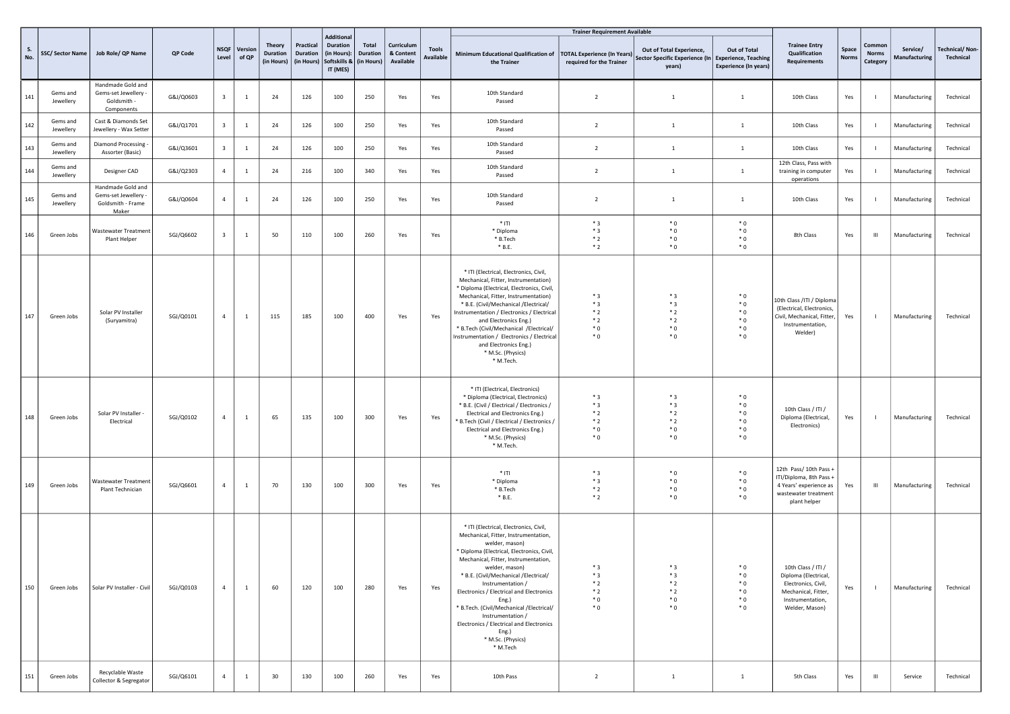|                  |                       |                                                                         |           |                         |                       |                                                |                              |                                                                                                       |                                 |                                      |                           |                                                                                                                                                                                                                                                                                                                                                                                                                                                                                    | <b>Trainer Requirement Available</b>                           |                                                                                             |                                               |                                                                                                                                |                |                                    |                           |                             |
|------------------|-----------------------|-------------------------------------------------------------------------|-----------|-------------------------|-----------------------|------------------------------------------------|------------------------------|-------------------------------------------------------------------------------------------------------|---------------------------------|--------------------------------------|---------------------------|------------------------------------------------------------------------------------------------------------------------------------------------------------------------------------------------------------------------------------------------------------------------------------------------------------------------------------------------------------------------------------------------------------------------------------------------------------------------------------|----------------------------------------------------------------|---------------------------------------------------------------------------------------------|-----------------------------------------------|--------------------------------------------------------------------------------------------------------------------------------|----------------|------------------------------------|---------------------------|-----------------------------|
| <b>S.</b><br>No. | SSC/Sector Name       | Job Role/ QP Name                                                       | QP Code   | Level                   | NSQF Version<br>of QP | <b>Theory</b><br><b>Duration</b><br>(in Hours) | Practical<br><b>Duration</b> | <b>Additional</b><br><b>Duration</b><br>(in Hours):<br>(in Hours) Softskills & (in Hours)<br>IT (MES) | <b>Total</b><br><b>Duration</b> | Curriculum<br>& Content<br>Available | <b>Tools</b><br>Available | Minimum Educational Qualification of<br>the Trainer                                                                                                                                                                                                                                                                                                                                                                                                                                | <b>TOTAL Experience (In Years)</b><br>required for the Trainer | Out of Total Experience,<br>Sector Specific Experience (In   Experience, Teaching<br>years) | Out of Total<br><b>Experience (In years)</b>  | <b>Trainee Entry</b><br>Qualification<br><b>Requirements</b>                                                                   | Space<br>Norms | Common<br><b>Norms</b><br>Category | Service/<br>Manufacturing | Technical/Non-<br>Technical |
| 141              | Gems and<br>Jewellery | Handmade Gold and<br>Gems-set Jewellery -<br>Goldsmith -<br>Components  | G&J/Q0603 | $\overline{\mathbf{3}}$ | $\mathbf{1}$          | 24                                             | 126                          | 100                                                                                                   | 250                             | Yes                                  | Yes                       | 10th Standard<br>Passed                                                                                                                                                                                                                                                                                                                                                                                                                                                            | $\overline{2}$                                                 | $\overline{1}$                                                                              | $\mathbf{1}$                                  | 10th Class                                                                                                                     | Yes            | - 1                                | Manufacturing             | Technical                   |
| 142              | Gems and<br>Jewellery | Cast & Diamonds Set<br>Jewellery - Wax Setter                           | G&J/Q1701 | $\overline{\mathbf{3}}$ | $\mathbf{1}$          | 24                                             | 126                          | 100                                                                                                   | 250                             | Yes                                  | Yes                       | 10th Standard<br>Passed                                                                                                                                                                                                                                                                                                                                                                                                                                                            | $\overline{2}$                                                 | $\overline{1}$                                                                              | $\overline{1}$                                | 10th Class                                                                                                                     | Yes            | $\blacksquare$                     | Manufacturing             | Technical                   |
| 143              | Gems and<br>Jewellery | Diamond Processing<br>Assorter (Basic)                                  | G&J/Q3601 | $\overline{\mathbf{3}}$ | $\mathbf{1}$          | 24                                             | 126                          | 100                                                                                                   | 250                             | Yes                                  | Yes                       | 10th Standard<br>Passed                                                                                                                                                                                                                                                                                                                                                                                                                                                            | $\overline{2}$                                                 | <sup>1</sup>                                                                                | $\mathbf{1}$                                  | 10th Class                                                                                                                     | Yes            | - 1                                | Manufacturing             | Technical                   |
| 144              | Gems and<br>Jewellery | Designer CAD                                                            | G&J/Q2303 | $\overline{4}$          | $\mathbf{1}$          | 24                                             | 216                          | 100                                                                                                   | 340                             | Yes                                  | Yes                       | 10th Standard<br>Passed                                                                                                                                                                                                                                                                                                                                                                                                                                                            | $\overline{2}$                                                 | $\mathbf{1}$                                                                                | $\mathbf{1}$                                  | 12th Class, Pass with<br>training in computer<br>operations                                                                    | Yes            | $\blacksquare$                     | Manufacturing             | Technical                   |
| 145              | Gems and<br>Jewellery | Handmade Gold and<br>Gems-set Jewellery -<br>Goldsmith - Frame<br>Maker | G&J/Q0604 | $\overline{4}$          | $\mathbf{1}$          | 24                                             | 126                          | 100                                                                                                   | 250                             | Yes                                  | Yes                       | 10th Standard<br>Passed                                                                                                                                                                                                                                                                                                                                                                                                                                                            | $\overline{2}$                                                 | 1                                                                                           | <sup>1</sup>                                  | 10th Class                                                                                                                     | Yes            | - 1                                | Manufacturing             | Technical                   |
| 146              | Green Jobs            | Wastewater Treatment<br>Plant Helper                                    | SGJ/Q6602 | $\overline{\mathbf{3}}$ | $\mathbf{1}$          | 50                                             | 110                          | 100                                                                                                   | 260                             | Yes                                  | Yes                       | $*$ ITI<br>* Diploma<br>* B.Tech<br>$*$ B.E.                                                                                                                                                                                                                                                                                                                                                                                                                                       | $*3$<br>$*3$<br>$*2$<br>$*2$                                   | $^*$ 0<br>$^*$ 0<br>$^*$ 0<br>$^*$ 0                                                        | $*0$<br>$*0$<br>$*0$<br>$*0$                  | 8th Class                                                                                                                      | Yes            | $\mathbf{m}$                       | Manufacturing             | Technical                   |
| 147              | Green Jobs            | Solar PV Installer<br>(Suryamitra)                                      | SGJ/Q0101 | $\overline{4}$          | $\mathbf{1}$          | 115                                            | 185                          | 100                                                                                                   | 400                             | Yes                                  | Yes                       | * ITI (Electrical, Electronics, Civil,<br>Mechanical, Fitter, Instrumentation)<br>* Diploma (Electrical, Electronics, Civil,<br>Mechanical, Fitter, Instrumentation)<br>* B.E. (Civil/Mechanical /Electrical/<br>Instrumentation / Electronics / Electrical<br>and Electronics Eng.)<br>* B.Tech (Civil/Mechanical /Electrical/<br>Instrumentation / Electronics / Electrical<br>and Electronics Eng.)<br>* M.Sc. (Physics)<br>* M.Tech.                                           | $*3$<br>$*3$<br>$*2$<br>$*2$<br>$^*$ 0<br>$^*$ 0               | $*3$<br>$*3$<br>$*2$<br>$*2$<br>$*$ 0<br>$^*$ 0                                             | $*0$<br>$*0$<br>$*0$<br>$*0$<br>$*0$<br>$*0$  | 10th Class / ITI / Diploma<br>(Electrical, Electronics,<br>Civil, Mechanical, Fitter,<br>Instrumentation,<br>Welder)           | Yes            | $\blacksquare$                     | Manufacturing             | Technical                   |
| 148              | Green Jobs            | Solar PV Installer<br>Electrical                                        | SGJ/Q0102 | $\overline{4}$          | $\mathbf{1}$          | 65                                             | 135                          | 100                                                                                                   | 300                             | Yes                                  | Yes                       | * ITI (Electrical, Electronics)<br>* Diploma (Electrical, Electronics)<br>* B.E. (Civil / Electrical / Electronics /<br>Electrical and Electronics Eng.)<br>* B.Tech (Civil / Electrical / Electronics /<br>Electrical and Electronics Eng.)<br>* M.Sc. (Physics)<br>* M.Tech.                                                                                                                                                                                                     | $*3$<br>$*3$<br>$*2$<br>$*2$<br>$^*$ 0<br>$^*$ 0               | $*3$<br>$*3$<br>$*2$<br>$*2$<br>$^*$ 0<br>$^*$ 0                                            | $*0$<br>$*0$<br>$*0$<br>$*0$<br>$*$ 0<br>$*0$ | 10th Class / ITI /<br>Diploma (Electrical,<br>Electronics)                                                                     | Yes            | $\blacksquare$                     | Manufacturing             | Technical                   |
| 149              | Green Jobs            | Wastewater Treatment<br>Plant Technician                                | SGJ/Q6601 | $\overline{4}$          | $\mathbf{1}$          | 70                                             | 130                          | 100                                                                                                   | 300                             | Yes                                  | Yes                       | $*$ ITI<br>* Diploma<br>* B.Tech<br>$*$ B.E.                                                                                                                                                                                                                                                                                                                                                                                                                                       | $*3$<br>$*3$<br>$*2$<br>$*2$                                   | $^*$ 0<br>$^*$ 0<br>$^*$ 0<br>$^*$ 0                                                        | $*0$<br>$*0$<br>$*0$<br>$*0$                  | 12th Pass/ 10th Pass +<br>ITI/Diploma, 8th Pass +<br>4 Years' experience as<br>wastewater treatment<br>plant helper            | Yes            | $\mathbf{m}$                       | Manufacturing             | Technical                   |
| 150              | Green Jobs            | Solar PV Installer - Civil                                              | SGJ/Q0103 | $\overline{4}$          | $\mathbf{1}$          | 60                                             | 120                          | 100                                                                                                   | 280                             | Yes                                  | Yes                       | * ITI (Electrical, Electronics, Civil,<br>Mechanical, Fitter, Instrumentation,<br>welder, mason)<br>* Diploma (Electrical, Electronics, Civil,<br>Mechanical, Fitter, Instrumentation,<br>welder, mason)<br>* B.E. (Civil/Mechanical /Electrical/<br>Instrumentation /<br>Electronics / Electrical and Electronics<br>Eng.)<br>* B.Tech. (Civil/Mechanical /Electrical/<br>Instrumentation /<br>Electronics / Electrical and Electronics<br>Eng.)<br>* M.Sc. (Physics)<br>* M.Tech | $*3$<br>$*3$<br>$*2$<br>$*2$<br>$^*$ 0<br>$^*$ 0               | $*3$<br>$*3$<br>$*2$<br>$*2$<br>$^*$ 0<br>$^*$ 0                                            | * 0<br>$*$ 0<br>$*0$<br>$*0$<br>$*0$<br>$*0$  | 10th Class / ITI /<br>Diploma (Electrical,<br>Electronics, Civil,<br>Mechanical, Fitter,<br>Instrumentation,<br>Welder, Mason) | Yes            | $\blacksquare$                     | Manufacturing             | Technical                   |
| 151              | Green Jobs            | Recyclable Waste<br>Collector & Segregator                              | SGJ/Q6101 | $\overline{4}$          | $\mathbf{1}$          | 30                                             | 130                          | 100                                                                                                   | 260                             | Yes                                  | Yes                       | 10th Pass                                                                                                                                                                                                                                                                                                                                                                                                                                                                          | $\overline{2}$                                                 | $\mathbf{1}$                                                                                | $\mathbf{1}$                                  | 5th Class                                                                                                                      | Yes            | $\mathbf{H}$                       | Service                   | Technical                   |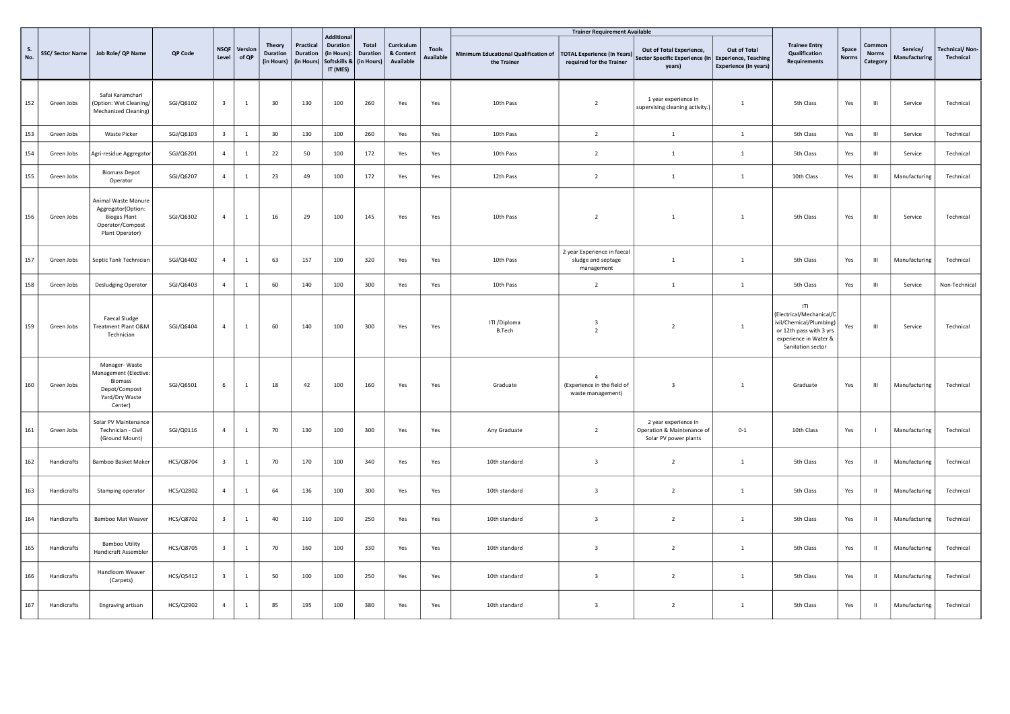|     |                        |                                                                                                         |           |                         |                  |                                                |                                     |                                                                                 |                                               |                                      |                           |                                                     | <b>Trainer Requirement Available</b>                            |                                                                             |                                                                             |                                                                                                                                    |                |                                    |                           |                                    |
|-----|------------------------|---------------------------------------------------------------------------------------------------------|-----------|-------------------------|------------------|------------------------------------------------|-------------------------------------|---------------------------------------------------------------------------------|-----------------------------------------------|--------------------------------------|---------------------------|-----------------------------------------------------|-----------------------------------------------------------------|-----------------------------------------------------------------------------|-----------------------------------------------------------------------------|------------------------------------------------------------------------------------------------------------------------------------|----------------|------------------------------------|---------------------------|------------------------------------|
| No. | <b>SSC/Sector Name</b> | Job Role/ QP Name                                                                                       | QP Code   | <b>NSQF</b><br>Level    | Version<br>of QP | <b>Theory</b><br><b>Duration</b><br>(in Hours) | Practical<br>Duration<br>(in Hours) | <b>Additional</b><br><b>Duration</b><br>(in Hours):<br>Softskills &<br>IT (MES) | <b>Total</b><br><b>Duration</b><br>(in Hours) | Curriculum<br>& Content<br>Available | <b>Tools</b><br>Available | Minimum Educational Qualification of<br>the Trainer | <b>TOTAL Experience (In Years)</b><br>required for the Trainer  | Out of Total Experience,<br>Sector Specific Experience (In<br>years)        | Out of Total<br><b>Experience, Teaching</b><br><b>Experience (In years)</b> | <b>Trainee Entry</b><br>Qualification<br>Requirements                                                                              | Space<br>Norms | Commor<br><b>Norms</b><br>Category | Service/<br>Manufacturing | <b>Technical/Non-</b><br>Technical |
| 152 | Green Jobs             | Safai Karamchari<br>(Option: Wet Cleaning/<br>Mechanized Cleaning)                                      | SGJ/Q6102 | $\overline{\mathbf{3}}$ | $\mathbf{1}$     | 30                                             | 130                                 | 100                                                                             | 260                                           | Yes                                  | Yes                       | 10th Pass                                           | $\overline{2}$                                                  | 1 year experience in<br>supervising cleaning activity.)                     | $\mathbf{1}$                                                                | 5th Class                                                                                                                          | Yes            | $\mathbf{H}$                       | Service                   | Technical                          |
| 153 | Green Jobs             | <b>Waste Picker</b>                                                                                     | SGJ/Q6103 | $\overline{\mathbf{3}}$ | $\mathbf{1}$     | 30                                             | 130                                 | 100                                                                             | 260                                           | Yes                                  | Yes                       | 10th Pass                                           | $\overline{2}$                                                  | $\mathbf{1}$                                                                | 1                                                                           | 5th Class                                                                                                                          | Yes            | $\mathbf{H}$                       | Service                   | Technical                          |
| 154 | Green Jobs             | Agri-residue Aggregator                                                                                 | SGJ/Q6201 | $\overline{4}$          | $\mathbf{1}$     | 22                                             | 50                                  | 100                                                                             | 172                                           | Yes                                  | Yes                       | 10th Pass                                           | $\overline{2}$                                                  | $\mathbf{1}$                                                                | $\mathbf{1}$                                                                | 5th Class                                                                                                                          | Yes            | $\mathbf{H}$                       | Service                   | Technical                          |
| 155 | Green Jobs             | <b>Biomass Depot</b><br>Operator                                                                        | SGJ/Q6207 | $\overline{4}$          | $\mathbf{1}$     | 23                                             | 49                                  | 100                                                                             | 172                                           | Yes                                  | Yes                       | 12th Pass                                           | $\overline{2}$                                                  | $\mathbf{1}$                                                                | $\mathbf{1}$                                                                | 10th Class                                                                                                                         | Yes            | $\mathbf{m}$                       | Manufacturing             | Technical                          |
| 156 | Green Jobs             | Animal Waste Manure<br>Aggregator(Option:<br><b>Biogas Plant</b><br>Operator/Compost<br>Plant Operator) | SGJ/Q6302 | $\overline{4}$          | $\mathbf{1}$     | 16                                             | 29                                  | 100                                                                             | 145                                           | Yes                                  | Yes                       | 10th Pass                                           | $\overline{2}$                                                  | $\overline{1}$                                                              | $\mathbf{1}$                                                                | 5th Class                                                                                                                          | Yes            | $\mathbf{m}$                       | Service                   | Technical                          |
| 157 | Green Jobs             | Septic Tank Technician                                                                                  | SGJ/Q6402 | $\overline{4}$          | $\mathbf{1}$     | 63                                             | 157                                 | 100                                                                             | 320                                           | Yes                                  | Yes                       | 10th Pass                                           | 2 year Experience in faecal<br>sludge and septage<br>management | $\mathbf{1}$                                                                | $\mathbf{1}$                                                                | 5th Class                                                                                                                          | Yes            | $\mathsf{III}$                     | Manufacturing             | Technical                          |
| 158 | Green Jobs             | <b>Desludging Operator</b>                                                                              | SGJ/Q6403 | $\overline{4}$          | $\mathbf{1}$     | 60                                             | 140                                 | 100                                                                             | 300                                           | Yes                                  | Yes                       | 10th Pass                                           | $\overline{2}$                                                  | $\mathbf{1}$                                                                | $\,1$                                                                       | 5th Class                                                                                                                          | Yes            | $\mathbf{H}$                       | Service                   | Non-Technical                      |
| 159 | Green Jobs             | <b>Faecal Sludge</b><br>Treatment Plant O&M<br>Technician                                               | SGJ/Q6404 | $\overline{4}$          | <sup>1</sup>     | 60                                             | 140                                 | 100                                                                             | 300                                           | Yes                                  | Yes                       | ITI / Diploma<br><b>B.Tech</b>                      | $\overline{3}$<br>$\overline{2}$                                | $\overline{2}$                                                              | $\mathbf{1}$                                                                | T <br>(Electrical/Mechanical/C<br>ivil/Chemical/Plumbing)<br>or 12th pass with 3 yrs<br>experience in Water &<br>Sanitation sector | Yes            | $\mathbf{m}$                       | Service                   | Technical                          |
| 160 | Green Jobs             | Manager-Waste<br>Management (Elective:<br>Biomass<br>Depot/Compost<br>Yard/Dry Waste<br>Center)         | SGJ/Q6501 | 6                       | $\mathbf{1}$     | 18                                             | 42                                  | 100                                                                             | 160                                           | Yes                                  | Yes                       | Graduate                                            | $\Lambda$<br>(Experience in the field of<br>waste management)   | $\overline{3}$                                                              | $\mathbf{1}$                                                                | Graduate                                                                                                                           | Yes            | $\mathbf{H}$                       | Manufacturing             | Technical                          |
| 161 | Green Jobs             | Solar PV Maintenance<br>Technician - Civil<br>(Ground Mount)                                            | SGJ/Q0116 | $\overline{4}$          | $\mathbf{1}$     | 70                                             | 130                                 | 100                                                                             | 300                                           | Yes                                  | Yes                       | Any Graduate                                        | $\overline{2}$                                                  | 2 year experience in<br>Operation & Maintenance of<br>Solar PV power plants | $0 - 1$                                                                     | 10th Class                                                                                                                         | Yes            |                                    | Manufacturing             | Technical                          |
| 162 | Handicrafts            | Bamboo Basket Maker                                                                                     | HCS/Q8704 | $\overline{\mathbf{3}}$ | $\mathbf{1}$     | 70                                             | 170                                 | 100                                                                             | 340                                           | Yes                                  | Yes                       | 10th standard                                       | $\overline{\mathbf{3}}$                                         | $\overline{2}$                                                              | $\,1$                                                                       | 5th Class                                                                                                                          | Yes            | $\mathbf{H}$                       | Manufacturing             | Technical                          |
| 163 | Handicrafts            | Stamping operator                                                                                       | HCS/Q2802 | $\overline{4}$          | $\mathbf{1}$     | 64                                             | 136                                 | 100                                                                             | 300                                           | Yes                                  | Yes                       | 10th standard                                       | $\overline{3}$                                                  | $\overline{2}$                                                              | $\mathbf{1}$                                                                | 5th Class                                                                                                                          | Yes            | $\mathbf{H}$                       | Manufacturing             | Technical                          |
| 164 | Handicrafts            | <b>Bamboo Mat Weaver</b>                                                                                | HCS/Q8702 | $\overline{\mathbf{3}}$ | $\mathbf{1}$     | 40                                             | 110                                 | 100                                                                             | 250                                           | Yes                                  | Yes                       | 10th standard                                       | $\overline{\mathbf{3}}$                                         | $\overline{2}$                                                              | $\mathbf{1}$                                                                | 5th Class                                                                                                                          | Yes            | $\mathbf{H}$                       | Manufacturing             | Technical                          |
| 165 | Handicrafts            | <b>Bamboo Utility</b><br>Handicraft Assembler                                                           | HCS/Q8705 | $\overline{\mathbf{3}}$ | $\mathbf{1}$     | 70                                             | 160                                 | 100                                                                             | 330                                           | Yes                                  | Yes                       | 10th standard                                       | $\overline{\mathbf{3}}$                                         | $\overline{2}$                                                              | $\mathbf{1}$                                                                | 5th Class                                                                                                                          | Yes            | $\mathbf{H}$                       | Manufacturing             | Technical                          |
| 166 | Handicrafts            | Handloom Weaver<br>(Carpets)                                                                            | HCS/Q5412 | $\overline{\mathbf{3}}$ | $\mathbf{1}$     | 50                                             | 100                                 | 100                                                                             | 250                                           | Yes                                  | Yes                       | 10th standard                                       | $\overline{\mathbf{3}}$                                         | $\overline{2}$                                                              | $\mathbf{1}$                                                                | 5th Class                                                                                                                          | Yes            | - 11                               | Manufacturing             | Technical                          |
| 167 | Handicrafts            | Engraving artisan                                                                                       | HCS/Q2902 | 4                       | $\mathbf{1}$     | 85                                             | 195                                 | 100                                                                             | 380                                           | Yes                                  | Yes                       | 10th standard                                       | $\overline{\mathbf{3}}$                                         | $\overline{2}$                                                              | $\mathbf{1}$                                                                | 5th Class                                                                                                                          | Yes            | $\blacksquare$                     | Manufacturing             | Technical                          |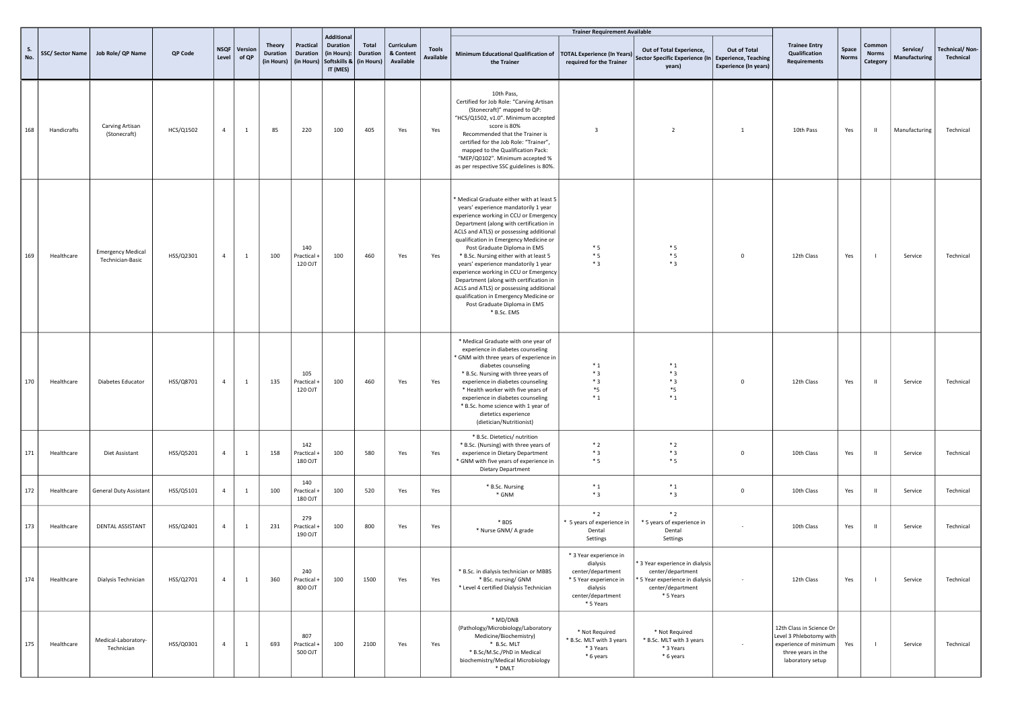|           |                 |                                              |           |                |                  |                                         |                                     |                                                                                       |                          |                                      |                           |                                                                                                                                                                                                                                                                                                                                                                                                                                                                                                                                                                                                      | <b>Trainer Requirement Available</b>                                                                                            |                                                                                                                           |                                              |                                                                                                                        |                       |                                    |                           |                                    |
|-----------|-----------------|----------------------------------------------|-----------|----------------|------------------|-----------------------------------------|-------------------------------------|---------------------------------------------------------------------------------------|--------------------------|--------------------------------------|---------------------------|------------------------------------------------------------------------------------------------------------------------------------------------------------------------------------------------------------------------------------------------------------------------------------------------------------------------------------------------------------------------------------------------------------------------------------------------------------------------------------------------------------------------------------------------------------------------------------------------------|---------------------------------------------------------------------------------------------------------------------------------|---------------------------------------------------------------------------------------------------------------------------|----------------------------------------------|------------------------------------------------------------------------------------------------------------------------|-----------------------|------------------------------------|---------------------------|------------------------------------|
| S.<br>No. | SSC/Sector Name | Job Role/ QP Name                            | QP Code   | NSQF<br>Level  | Version<br>of QP | Theory<br><b>Duration</b><br>(in Hours) | Practical<br>Duration<br>(in Hours) | <b>Additional</b><br>Duration<br>(in Hours):<br>Softskills &   (in Hours)<br>IT (MES) | Total<br><b>Duration</b> | Curriculum<br>& Content<br>Available | <b>Tools</b><br>Available | Minimum Educational Qualification of<br>the Trainer                                                                                                                                                                                                                                                                                                                                                                                                                                                                                                                                                  | <b>TOTAL Experience (In Years)</b><br>required for the Trainer                                                                  | Out of Total Experience,<br>Sector Specific Experience (In Experience, Teaching<br>years)                                 | Out of Total<br><b>Experience (In years)</b> | <b>Trainee Entry</b><br>Qualification<br><b>Requirements</b>                                                           | Space<br><b>Norms</b> | Common<br><b>Norms</b><br>Category | Service/<br>Manufacturing | <b>Technical/Non-</b><br>Technical |
| 168       | Handicrafts     | Carving Artisan<br>(Stonecraft)              | HCS/Q1502 | $\overline{4}$ | <sup>1</sup>     | 85                                      | 220                                 | 100                                                                                   | 405                      | Yes                                  | Yes                       | 10th Pass,<br>Certified for Job Role: "Carving Artisan<br>(Stonecraft)" mapped to QP:<br>"HCS/Q1502, v1.0". Minimum accepted<br>score is 80%<br>Recommended that the Trainer is<br>certified for the Job Role: "Trainer",<br>mapped to the Qualification Pack:<br>"MEP/Q0102". Minimum accepted %<br>as per respective SSC guidelines is 80%.                                                                                                                                                                                                                                                        | $\overline{\mathbf{3}}$                                                                                                         | $\overline{2}$                                                                                                            | <sup>1</sup>                                 | 10th Pass                                                                                                              | Yes                   | $\mathbf{I}$                       | Manufacturing             | Technical                          |
| 169       | Healthcare      | <b>Emergency Medical</b><br>Technician-Basic | HSS/Q2301 | $\overline{4}$ | $\mathbf{1}$     | 100                                     | 140<br>Practical +<br>120 OJT       | 100                                                                                   | 460                      | Yes                                  | Yes                       | Medical Graduate either with at least 5<br>years' experience mandatorily 1 year<br>experience working in CCU or Emergency<br>Department (along with certification in<br>ACLS and ATLS) or possessing additional<br>qualification in Emergency Medicine or<br>Post Graduate Diploma in EMS<br>* B.Sc. Nursing either with at least 5<br>years' experience mandatorily 1 year<br>experience working in CCU or Emergency<br>Department (along with certification in<br>ACLS and ATLS) or possessing additional<br>qualification in Emergency Medicine or<br>Post Graduate Diploma in EMS<br>* B.Sc. EMS | $*5$<br>$*5$<br>$*3$                                                                                                            | $*_{5}$<br>$*5$<br>$*3$                                                                                                   | $\mathsf 0$                                  | 12th Class                                                                                                             | Yes                   | $\blacksquare$                     | Service                   | Technical                          |
| 170       | Healthcare      | Diabetes Educator                            | HSS/Q8701 | $\overline{4}$ | <sup>1</sup>     | 135                                     | 105<br>Practical +<br>120 OJT       | 100                                                                                   | 460                      | Yes                                  | Yes                       | * Medical Graduate with one year of<br>experience in diabetes counseling<br>* GNM with three years of experience in<br>diabetes counseling<br>* B.Sc. Nursing with three years of<br>experience in diabetes counseling<br>* Health worker with five years of<br>experience in diabetes counseling<br>* B.Sc. home science with 1 year of<br>dietetics experience<br>(dietician/Nutritionist)                                                                                                                                                                                                         | $*_{1}$<br>$*3$<br>$*3$<br>$*_{5}$<br>$*_{1}$                                                                                   | $*_{1}$<br>$*3$<br>$*3$<br>$*_{5}$<br>$*_{1}$                                                                             | $\mathbf 0$                                  | 12th Class                                                                                                             | Yes                   | $\mathbf{H}$                       | Service                   | Technical                          |
| 171       | Healthcare      | Diet Assistant                               | HSS/Q5201 | $\overline{4}$ | $\mathbf{1}$     | 158                                     | 142<br>Practical +<br>180 OJT       | 100                                                                                   | 580                      | Yes                                  | Yes                       | * B.Sc. Dietetics/ nutrition<br>* B.Sc. (Nursing) with three years of<br>experience in Dietary Department<br>* GNM with five years of experience in<br><b>Dietary Department</b>                                                                                                                                                                                                                                                                                                                                                                                                                     | $*2$<br>$*3$<br>$*5$                                                                                                            | $*2$<br>$*3$<br>$*5$                                                                                                      | $^{\circ}$                                   | 10th Class                                                                                                             | Yes                   | $\mathbf{I}$                       | Service                   | Technical                          |
| 172       | Healthcare      | General Duty Assistant                       | HSS/Q5101 | $\overline{4}$ | $\mathbf{1}$     | 100                                     | 140<br>Practical +<br>180 OJT       | 100                                                                                   | 520                      | Yes                                  | Yes                       | * B.Sc. Nursing<br>* GNM                                                                                                                                                                                                                                                                                                                                                                                                                                                                                                                                                                             | $^\ast$ 1<br>$*3$                                                                                                               | $^\ast$ 1<br>$*3$                                                                                                         | $\mathbf 0$                                  | 10th Class                                                                                                             | Yes                   | $\mathbf{H}$                       | Service                   | Technical                          |
| 173       | Healthcare      | DENTAL ASSISTANT                             | HSS/Q2401 | $\overline{4}$ | $\mathbf{1}$     | 231                                     | 279<br>Practical +<br>190 OJT       | 100                                                                                   | 800                      | Yes                                  | Yes                       | * BDS<br>* Nurse GNM/ A grade                                                                                                                                                                                                                                                                                                                                                                                                                                                                                                                                                                        | $*2$<br>* 5 years of experience in<br>Dental<br>Settings                                                                        | $*2$<br>* 5 years of experience in<br>Dental<br>Settings                                                                  |                                              | 10th Class                                                                                                             | Yes                   | $\mathbf{H}$                       | Service                   | Technical                          |
| 174       | Healthcare      | Dialysis Technician                          | HSS/Q2701 | $\overline{4}$ | <sup>1</sup>     | 360                                     | 240<br>Practical +<br>800 OJT       | 100                                                                                   | 1500                     | Yes                                  | Yes                       | * B.Sc. in dialysis technician or MBBS<br>* BSc. nursing/ GNM<br>* Level 4 certified Dialysis Technician                                                                                                                                                                                                                                                                                                                                                                                                                                                                                             | * 3 Year experience in<br>dialysis<br>center/department<br>* 5 Year experience in<br>dialysis<br>center/department<br>* 5 Years | * 3 Year experience in dialysis<br>center/department<br>* 5 Year experience in dialysis<br>center/department<br>* 5 Years | $\sim$                                       | 12th Class                                                                                                             | Yes                   | $\overline{1}$                     | Service                   | Technical                          |
| 175       | Healthcare      | Medical-Laboratory-<br>Technician            | HSS/Q0301 | $\overline{4}$ | $\mathbf{1}$     | 693                                     | 807<br>Practical +<br>500 OJT       | 100                                                                                   | 2100                     | Yes                                  | Yes                       | * MD/DNB<br>(Pathology/Microbiology/Laboratory<br>Medicine/Biochemistry)<br>* B.Sc. MLT<br>* B.Sc/M.Sc./PhD in Medical<br>biochemistry/Medical Microbiology<br>* DMLT                                                                                                                                                                                                                                                                                                                                                                                                                                | * Not Required<br>* B.Sc. MLT with 3 years<br>* 3 Years<br>* 6 years                                                            | * Not Required<br>* B.Sc. MLT with 3 years<br>* 3 Years<br>* 6 years                                                      |                                              | 12th Class in Science Or<br>Level 3 Phlebotomy with<br>experience of minimum<br>three years in the<br>laboratory setup | Yes                   | $\blacksquare$                     | Service                   | Technical                          |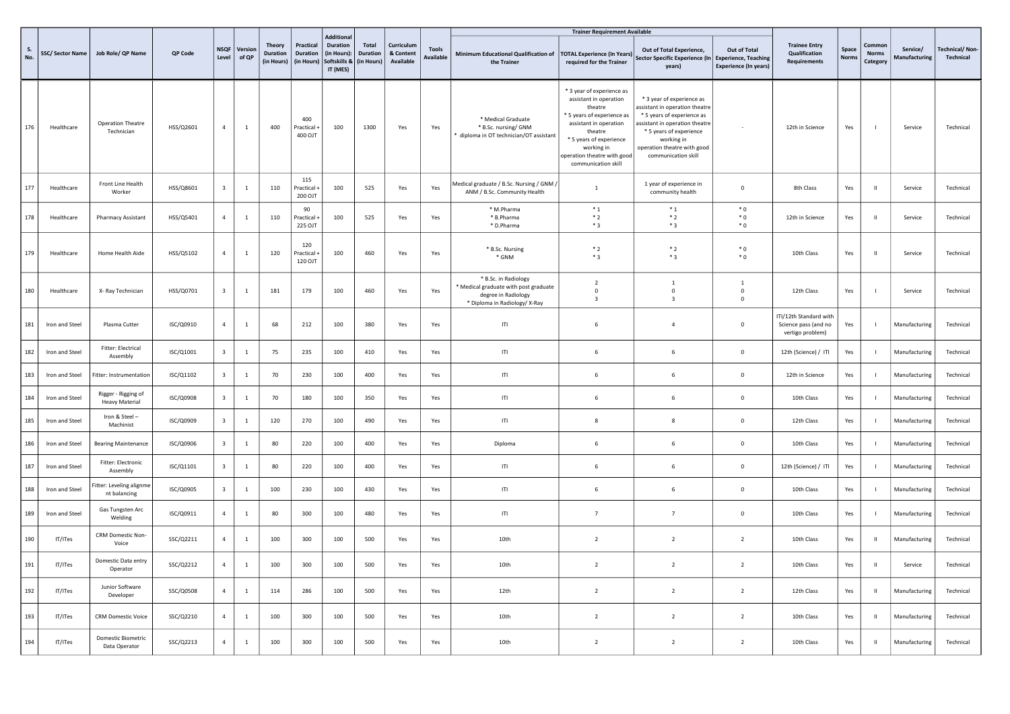|           |                 |                                              |                |                         |                  |                                         |                                            |                                                                                 |                                               |                                      |                           |                                                                                                                       | <b>Trainer Requirement Available</b>                                                                                                                                                                                             |                                                                                                                                                                                                                            |                                                                             |                                                                     |                       |                                   |                                  |                                           |
|-----------|-----------------|----------------------------------------------|----------------|-------------------------|------------------|-----------------------------------------|--------------------------------------------|---------------------------------------------------------------------------------|-----------------------------------------------|--------------------------------------|---------------------------|-----------------------------------------------------------------------------------------------------------------------|----------------------------------------------------------------------------------------------------------------------------------------------------------------------------------------------------------------------------------|----------------------------------------------------------------------------------------------------------------------------------------------------------------------------------------------------------------------------|-----------------------------------------------------------------------------|---------------------------------------------------------------------|-----------------------|-----------------------------------|----------------------------------|-------------------------------------------|
| S.<br>No. | SSC/Sector Name | Job Role/ QP Name                            | <b>OP Code</b> | <b>NSOF</b><br>Level    | Version<br>of QP | Theory<br><b>Duration</b><br>(in Hours) | Practical<br><b>Duration</b><br>(in Hours) | <b>Additional</b><br><b>Duration</b><br>(in Hours):<br>Softskills &<br>IT (MES) | <b>Total</b><br><b>Duration</b><br>(in Hours) | Curriculum<br>& Content<br>Available | <b>Tools</b><br>Available | Minimum Educational Qualification of<br>the Trainer                                                                   | <b>TOTAL Experience (In Years)</b><br>required for the Trainer                                                                                                                                                                   | Out of Total Experience,<br>Sector Specific Experience (In<br>years)                                                                                                                                                       | Out of Total<br><b>Experience, Teaching</b><br><b>Experience (In years)</b> | <b>Trainee Entry</b><br><b>Qualification</b><br><b>Requirements</b> | Space<br><b>Norms</b> | Commo<br><b>Norms</b><br>Category | Service/<br><b>Manufacturing</b> | <b>Technical/Non-</b><br><b>Technical</b> |
| 176       | Healthcare      | <b>Operation Theatre</b><br>Technician       | HSS/Q2601      | $\overline{4}$          | <sup>1</sup>     | 400                                     | 400<br>Practical +<br>400 OJT              | 100                                                                             | 1300                                          | Yes                                  | Yes                       | * Medical Graduate<br>* B.Sc. nursing/ GNM<br>diploma in OT technician/OT assistant                                   | * 3 year of experience as<br>assistant in operation<br>theatre<br>* 5 years of experience as<br>assistant in operation<br>theatre<br>* 5 years of experience<br>working in<br>operation theatre with good<br>communication skill | * 3 year of experience as<br>assistant in operation theatre<br>* 5 years of experience as<br>assistant in operation theatre<br>* 5 years of experience<br>working in<br>operation theatre with good<br>communication skill |                                                                             | 12th in Science                                                     | Yes                   |                                   | Service                          | Technical                                 |
| 177       | Healthcare      | Front Line Health<br>Worker                  | HSS/Q8601      | $\overline{\mathbf{3}}$ | <sup>1</sup>     | 110                                     | 115<br>Practical -<br>200 OJT              | 100                                                                             | 525                                           | Yes                                  | Yes                       | Aedical graduate / B.Sc. Nursing / GNM<br>ANM / B.Sc. Community Health                                                | 1                                                                                                                                                                                                                                | 1 year of experience in<br>community health                                                                                                                                                                                | $\circ$                                                                     | 8th Class                                                           | Yes                   | - 11                              | Service                          | Technical                                 |
| 178       | Healthcare      | Pharmacy Assistant                           | HSS/Q5401      | $\overline{4}$          | $\mathbf{1}$     | 110                                     | 90<br>Practical +<br>225 OJT               | 100                                                                             | 525                                           | Yes                                  | Yes                       | * M.Pharma<br>* B.Pharma<br>* D.Pharma                                                                                | $*_{1}$<br>$*2$<br>$*3$                                                                                                                                                                                                          | $*_{1}$<br>$*2$<br>$*3$                                                                                                                                                                                                    | $*0$<br>$*0$<br>$*0$                                                        | 12th in Science                                                     | Yes                   | - 11                              | Service                          | Technical                                 |
| 179       | Healthcare      | Home Health Aide                             | HSS/Q5102      | $\overline{4}$          | $\overline{1}$   | 120                                     | 120<br>ractical +<br>120 OJT               | 100                                                                             | 460                                           | Yes                                  | Yes                       | * B.Sc. Nursing<br>* GNM                                                                                              | $*2$<br>$*3$                                                                                                                                                                                                                     | $*2$<br>$*3$                                                                                                                                                                                                               | $*0$<br>$*0$                                                                | 10th Class                                                          | Yes                   | - 11                              | Service                          | Technical                                 |
| 180       | Healthcare      | X- Ray Technician                            | HSS/Q0701      | $\overline{\mathbf{3}}$ | 1                | 181                                     | 179                                        | 100                                                                             | 460                                           | Yes                                  | Yes                       | * B.Sc. in Radiology<br>* Medical graduate with post graduate<br>degree in Radiology<br>* Diploma in Radiology/ X-Ray | $\overline{2}$<br>$\Omega$<br>$\overline{3}$                                                                                                                                                                                     | $\overline{1}$<br>$\overline{0}$<br>$\overline{3}$                                                                                                                                                                         | $\mathbf{1}$<br>$^{\circ}$<br>$\Omega$                                      | 12th Class                                                          | Yes                   |                                   | Service                          | Technical                                 |
| 181       | Iron and Steel  | Plasma Cutter                                | ISC/Q0910      | $\overline{4}$          | $\mathbf 1$      | 68                                      | 212                                        | 100                                                                             | 380                                           | Yes                                  | Yes                       | ITI                                                                                                                   | 6                                                                                                                                                                                                                                | $\overline{4}$                                                                                                                                                                                                             | $\mathbf 0$                                                                 | ITI/12th Standard with<br>Science pass (and no<br>vertigo problem)  | Yes                   |                                   | Manufacturing                    | Technical                                 |
| 182       | Iron and Steel  | Fitter: Electrical<br>Assembly               | ISC/Q1001      | $\overline{\mathbf{3}}$ | $\mathbf{1}$     | 75                                      | 235                                        | 100                                                                             | 410                                           | Yes                                  | Yes                       | ITI                                                                                                                   | 6                                                                                                                                                                                                                                | 6                                                                                                                                                                                                                          | $\mathbf 0$                                                                 | 12th (Science) / ITI                                                | Yes                   |                                   | Manufacturing                    | Technical                                 |
| 183       | Iron and Steel  | Fitter: Instrumentation                      | ISC/Q1102      | $\overline{\mathbf{3}}$ | $\mathbf 1$      | 70                                      | 230                                        | 100                                                                             | 400                                           | Yes                                  | Yes                       | ITI                                                                                                                   | 6                                                                                                                                                                                                                                | 6                                                                                                                                                                                                                          | $\mathbf 0$                                                                 | 12th in Science                                                     | Yes                   |                                   | Manufacturing                    | Technical                                 |
| 184       | Iron and Steel  | Rigger - Rigging of<br><b>Heavy Material</b> | ISC/Q0908      | $\overline{\mathbf{3}}$ | $\mathbf{1}$     | 70                                      | 180                                        | 100                                                                             | 350                                           | Yes                                  | Yes                       | T                                                                                                                     | 6                                                                                                                                                                                                                                | 6                                                                                                                                                                                                                          | $\mathbf 0$                                                                 | 10th Class                                                          | Yes                   |                                   | Manufacturing                    | Technical                                 |
| 185       | Iron and Steel  | Iron & Steel-<br>Machinist                   | ISC/Q0909      | $\overline{\mathbf{3}}$ | <sup>1</sup>     | 120                                     | 270                                        | 100                                                                             | 490                                           | Yes                                  | Yes                       | ITI                                                                                                                   | 8                                                                                                                                                                                                                                | 8                                                                                                                                                                                                                          | $\mathsf{O}$                                                                | 12th Class                                                          | Yes                   |                                   | Manufacturing                    | Technical                                 |
| 186       | Iron and Steel  | <b>Bearing Maintenance</b>                   | ISC/Q0906      | $\overline{\mathbf{3}}$ | <sup>1</sup>     | 80                                      | 220                                        | 100                                                                             | 400                                           | Yes                                  | Yes                       | Diploma                                                                                                               | 6                                                                                                                                                                                                                                | -6                                                                                                                                                                                                                         | $\mathsf 0$                                                                 | 10th Class                                                          | Yes                   |                                   | Manufacturing                    | Technical                                 |
| 187       | Iron and Steel  | Fitter: Electronic<br>Assembly               | ISC/Q1101      | $\overline{\mathbf{3}}$ | $\overline{1}$   | 80                                      | 220                                        | 100                                                                             | 400                                           | Yes                                  | Yes                       | ITI                                                                                                                   | -6                                                                                                                                                                                                                               | -6                                                                                                                                                                                                                         | $\mathbf 0$                                                                 | 12th (Science) / ITI                                                | Yes                   |                                   | Manufacturing                    | Technical                                 |
| 188       | Iron and Steel  | Fitter: Leveling alignme<br>nt balancing     | ISC/Q0905      | $\overline{\mathbf{3}}$ | <sup>1</sup>     | 100                                     | 230                                        | 100                                                                             | 430                                           | Yes                                  | Yes                       | ITI                                                                                                                   | 6                                                                                                                                                                                                                                | 6                                                                                                                                                                                                                          | $\mathsf{O}$                                                                | 10th Class                                                          | Yes                   |                                   | Manufacturing                    | Technical                                 |
| 189       | Iron and Steel  | Gas Tungsten Arc<br>Welding                  | ISC/Q0911      | $\overline{4}$          | $\mathbf{1}$     | 80                                      | 300                                        | 100                                                                             | 480                                           | Yes                                  | Yes                       | ITI                                                                                                                   | $\overline{7}$                                                                                                                                                                                                                   | $\overline{7}$                                                                                                                                                                                                             | $\mathsf 0$                                                                 | 10th Class                                                          | Yes                   |                                   | Manufacturing                    | Technical                                 |
| 190       | IT/ITes         | CRM Domestic Non-<br>Voice                   | SSC/Q2211      | $\overline{a}$          | <sup>1</sup>     | 100                                     | 300                                        | 100                                                                             | 500                                           | Yes                                  | Yes                       | 10 <sub>th</sub>                                                                                                      | $\overline{2}$                                                                                                                                                                                                                   | $\overline{2}$                                                                                                                                                                                                             | $\overline{2}$                                                              | 10th Class                                                          | Yes                   | <b>II</b>                         | Manufacturing                    | Technical                                 |
| 191       | IT/ITes         | Domestic Data entry<br>Operator              | SSC/Q2212      | $\overline{4}$          | <sup>1</sup>     | 100                                     | 300                                        | 100                                                                             | 500                                           | Yes                                  | Yes                       | 10th                                                                                                                  | $\overline{2}$                                                                                                                                                                                                                   | $\overline{2}$                                                                                                                                                                                                             | $\overline{2}$                                                              | 10th Class                                                          | Yes                   |                                   | Service                          | Technical                                 |
| 192       | IT/ITes         | Junior Software<br>Developer                 | SSC/Q0508      | $\overline{4}$          | $\mathbf{1}$     | 114                                     | 286                                        | 100                                                                             | 500                                           | Yes                                  | Yes                       | 12th                                                                                                                  | $\overline{2}$                                                                                                                                                                                                                   | $\overline{2}$                                                                                                                                                                                                             | $\overline{2}$                                                              | 12th Class                                                          | Yes                   |                                   | Manufacturing                    | Technical                                 |
| 193       | IT/ITes         | <b>CRM Domestic Voice</b>                    | SSC/Q2210      | $\overline{4}$          | $\mathbf{1}$     | 100                                     | 300                                        | 100                                                                             | 500                                           | Yes                                  | Yes                       | 10th                                                                                                                  | $\overline{2}$                                                                                                                                                                                                                   | $\overline{2}$                                                                                                                                                                                                             | $\overline{2}$                                                              | 10th Class                                                          | Yes                   | $\mathbf{H}$                      | Manufacturing                    | Technical                                 |
| 194       | IT/ITes         | Domestic Biometric<br>Data Operator          | SSC/Q2213      | $\overline{a}$          | 1                | 100                                     | 300                                        | 100                                                                             | 500                                           | Yes                                  | Yes                       | 10th                                                                                                                  | $\overline{2}$                                                                                                                                                                                                                   | $\overline{\phantom{a}}$                                                                                                                                                                                                   | $\overline{2}$                                                              | 10th Class                                                          | Yes                   | - 11                              | Manufacturing                    | Technical                                 |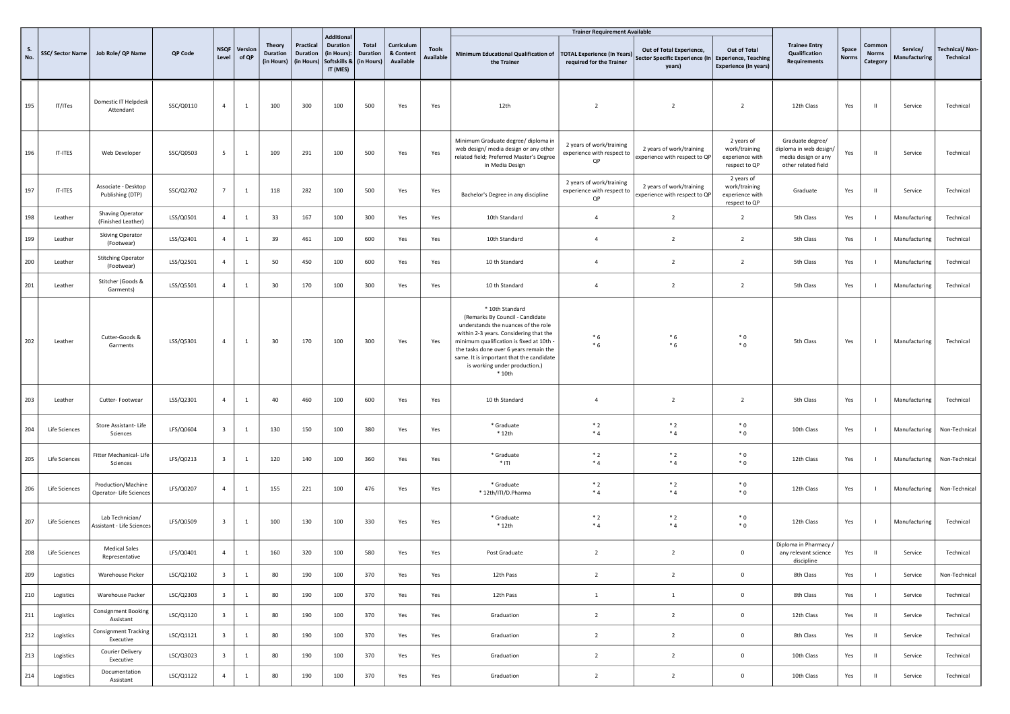|           |                 |                                               |           |                         |                  |                                  |                                            | Additional                                                 |                                        |                                      |                                  |                                                                                                                                                                                                                                                                                                                 | <b>Trainer Requirement Available</b>                           |                                                                                           |                                                                 |                                                                                          |               |                                    |                           |                                    |
|-----------|-----------------|-----------------------------------------------|-----------|-------------------------|------------------|----------------------------------|--------------------------------------------|------------------------------------------------------------|----------------------------------------|--------------------------------------|----------------------------------|-----------------------------------------------------------------------------------------------------------------------------------------------------------------------------------------------------------------------------------------------------------------------------------------------------------------|----------------------------------------------------------------|-------------------------------------------------------------------------------------------|-----------------------------------------------------------------|------------------------------------------------------------------------------------------|---------------|------------------------------------|---------------------------|------------------------------------|
| S.<br>No. | SSC/Sector Name | Job Role/ QP Name                             | QP Code   | <b>NSQF</b><br>Level    | Version<br>of QP | Theory<br>Duration<br>(in Hours) | Practical<br><b>Duration</b><br>(in Hours) | <b>Duration</b><br>(in Hours):<br>Softskills &<br>IT (MES) | Total<br><b>Duration</b><br>(in Hours) | Curriculum<br>& Content<br>Available | <b>Tools</b><br><b>Available</b> | Minimum Educational Qualification of<br>the Trainer                                                                                                                                                                                                                                                             | <b>FOTAL Experience (In Years)</b><br>required for the Trainer | Out of Total Experience,<br>Sector Specific Experience (In Experience, Teaching<br>years) | Out of Total<br><b>Experience (In years)</b>                    | <b>Trainee Entry</b><br>Qualification<br><b>Requirements</b>                             | Space<br>Norm | Common<br><b>Norms</b><br>Category | Service/<br>Manufacturing | <b>Technical/Non-</b><br>Technical |
| 195       | IT/ITes         | Domestic IT Helpdesk<br>Attendant             | SSC/Q0110 | $\overline{4}$          | $\mathbf{1}$     | 100                              | 300                                        | 100                                                        | 500                                    | Yes                                  | Yes                              | 12th                                                                                                                                                                                                                                                                                                            | $\overline{2}$                                                 | $\overline{2}$                                                                            | $\overline{2}$                                                  | 12th Class                                                                               | Yes           | - 11                               | Service                   | Technical                          |
| 196       | IT-ITES         | Web Developer                                 | SSC/Q0503 | 5                       | <sup>1</sup>     | 109                              | 291                                        | 100                                                        | 500                                    | Yes                                  | Yes                              | Minimum Graduate degree/ diploma in<br>web design/ media design or any other<br>related field; Preferred Master's Degree<br>in Media Design                                                                                                                                                                     | 2 years of work/training<br>experience with respect to<br>QP   | 2 years of work/training<br>experience with respect to QP                                 | 2 years of<br>work/training<br>experience with<br>respect to QP | Graduate degree/<br>diploma in web design/<br>media design or any<br>other related field | Yes           | $\mathbf{H}$                       | Service                   | Technical                          |
| 197       | IT-ITES         | Associate - Desktop<br>Publishing (DTP)       | SSC/Q2702 | 7                       | $\mathbf{1}$     | 118                              | 282                                        | 100                                                        | 500                                    | Yes                                  | Yes                              | Bachelor's Degree in any discipline                                                                                                                                                                                                                                                                             | 2 years of work/training<br>experience with respect to<br>QP   | 2 years of work/training<br>experience with respect to QP                                 | 2 years of<br>work/training<br>experience with<br>respect to QP | Graduate                                                                                 | Yes           | - 11                               | Service                   | Technical                          |
| 198       | Leather         | Shaving Operator<br>(Finished Leather)        | LSS/Q0501 | $\overline{4}$          | <sup>1</sup>     | 33                               | 167                                        | 100                                                        | 300                                    | Yes                                  | Yes                              | 10th Standard                                                                                                                                                                                                                                                                                                   | $\overline{4}$                                                 | $\overline{2}$                                                                            | $\overline{2}$                                                  | 5th Class                                                                                | Yes           |                                    | Manufacturing             | Technical                          |
| 199       | Leather         | <b>Skiving Operator</b><br>(Footwear)         | LSS/Q2401 | $\overline{4}$          | $\mathbf{1}$     | 39                               | 461                                        | 100                                                        | 600                                    | Yes                                  | Yes                              | 10th Standard                                                                                                                                                                                                                                                                                                   | $\overline{4}$                                                 | $\overline{2}$                                                                            | $\overline{2}$                                                  | 5th Class                                                                                | Yes           |                                    | Manufacturing             | Technical                          |
| 200       | Leather         | <b>Stitching Operator</b><br>(Footwear)       | LSS/Q2501 | $\overline{4}$          | $\mathbf{1}$     | 50                               | 450                                        | 100                                                        | 600                                    | Yes                                  | Yes                              | 10 th Standard                                                                                                                                                                                                                                                                                                  | $\overline{4}$                                                 | $\overline{2}$                                                                            | $\overline{2}$                                                  | 5th Class                                                                                | Yes           |                                    | Manufacturing             | Technical                          |
| 201       | Leather         | Stitcher (Goods &<br>Garments)                | LSS/Q5501 | $\overline{4}$          | <sup>1</sup>     | 30                               | 170                                        | 100                                                        | 300                                    | Yes                                  | Yes                              | 10 th Standard                                                                                                                                                                                                                                                                                                  | $\overline{4}$                                                 | $\overline{2}$                                                                            | $\overline{2}$                                                  | 5th Class                                                                                | Yes           |                                    | Manufacturing             | Technical                          |
| 202       | Leather         | Cutter-Goods &<br>Garments                    | LSS/Q5301 | $\overline{4}$          | $\mathbf{1}$     | 30                               | 170                                        | 100                                                        | 300                                    | Yes                                  | Yes                              | * 10th Standard<br>(Remarks By Council - Candidate<br>understands the nuances of the role<br>within 2-3 years. Considering that the<br>minimum qualification is fixed at 10th<br>the tasks done over 6 years remain the<br>same. It is important that the candidate<br>is working under production.)<br>$*10th$ | $*6$<br>$*6$                                                   | $*6$<br>$*6$                                                                              | $*0$<br>$*0$                                                    | 5th Class                                                                                | Yes           |                                    | Manufacturing             | Technical                          |
| 203       | Leather         | Cutter-Footwear                               | LSS/Q2301 | $\overline{4}$          | <sup>1</sup>     | 40                               | 460                                        | 100                                                        | 600                                    | Yes                                  | Yes                              | 10 th Standard                                                                                                                                                                                                                                                                                                  | $\overline{4}$                                                 | $\overline{2}$                                                                            | $\overline{2}$                                                  | 5th Class                                                                                | Yes           |                                    | Manufacturing             | Technical                          |
| 204       | Life Sciences   | Store Assistant-Life<br>Sciences              | LFS/Q0604 | $\overline{\mathbf{3}}$ | $\mathbf{1}$     | 130                              | 150                                        | 100                                                        | 380                                    | Yes                                  | Yes                              | * Graduate<br>$*12th$                                                                                                                                                                                                                                                                                           | $*2$<br>$*4$                                                   | $*2$<br>$*4$                                                                              | $*0$<br>$*$ 0                                                   | 10th Class                                                                               | Yes           |                                    | Manufacturing             | Non-Technical                      |
| 205       | Life Sciences   | Fitter Mechanical- Life<br>Sciences           | LFS/Q0213 | $\overline{\mathbf{3}}$ | $\mathbf{1}$     | 120                              | 140                                        | 100                                                        | 360                                    | Yes                                  | Yes                              | * Graduate<br>$*$ ITI                                                                                                                                                                                                                                                                                           | $*2$<br>$*_{4}$                                                | $*2$<br>$*_{4}$                                                                           | $*0$<br>$*$ 0                                                   | 12th Class                                                                               | Yes           |                                    | Manufacturing             | Non-Technical                      |
| 206       | Life Sciences   | Production/Machine<br>Operator- Life Sciences | LFS/Q0207 | $\overline{4}$          | $\mathbf{1}$     | 155                              | 221                                        | 100                                                        | 476                                    | Yes                                  | Yes                              | * Graduate<br>* 12th/ITI/D.Pharma                                                                                                                                                                                                                                                                               | $*2$<br>$*4$                                                   | $*2$<br>$*4$                                                                              | $*0$<br>$*$ 0                                                   | 12th Class                                                                               | Yes           |                                    | Manufacturing             | Non-Technical                      |
| 207       | Life Sciences   | Lab Technician/<br>Assistant - Life Sciences  | LFS/Q0509 | $\overline{\mathbf{3}}$ | $\mathbf{1}$     | 100                              | 130                                        | 100                                                        | 330                                    | Yes                                  | Yes                              | * Graduate<br>$*12th$                                                                                                                                                                                                                                                                                           | $*2$<br>$*_{4}$                                                | $*2$<br>$*4$                                                                              | $*0$<br>$*$ 0                                                   | 12th Class                                                                               | Yes           |                                    | Manufacturing             | Technical                          |
| 208       | Life Sciences   | <b>Medical Sales</b><br>Representative        | LFS/Q0401 | $\overline{4}$          | $\mathbf{1}$     | 160                              | 320                                        | 100                                                        | 580                                    | Yes                                  | Yes                              | Post Graduate                                                                                                                                                                                                                                                                                                   | $\overline{2}$                                                 | $\overline{2}$                                                                            | $\overline{0}$                                                  | Diploma in Pharmacy<br>any relevant science<br>discipline                                | Yes           | $\mathbf{H}$                       | Service                   | Technical                          |
| 209       | Logistics       | Warehouse Picker                              | LSC/Q2102 | $\overline{\mathbf{3}}$ | $\mathbf{1}$     | 80                               | 190                                        | 100                                                        | 370                                    | Yes                                  | Yes                              | 12th Pass                                                                                                                                                                                                                                                                                                       | $\overline{2}$                                                 | $\overline{2}$                                                                            | $\mathbf 0$                                                     | 8th Class                                                                                | Yes           |                                    | Service                   | Non-Technical                      |
| 210       | Logistics       | Warehouse Packer                              | LSC/Q2303 | $\overline{\mathbf{3}}$ | $\mathbf{1}$     | 80                               | 190                                        | 100                                                        | 370                                    | Yes                                  | Yes                              | 12th Pass                                                                                                                                                                                                                                                                                                       | $\mathbf{1}$                                                   | $\mathbf{1}$                                                                              | $\mathbf{0}$                                                    | 8th Class                                                                                | Yes           |                                    | Service                   | Technical                          |
| 211       | Logistics       | <b>Consignment Booking</b><br>Assistant       | LSC/Q1120 | $\overline{\mathbf{3}}$ | $\mathbf{1}$     | 80                               | 190                                        | 100                                                        | 370                                    | Yes                                  | Yes                              | Graduation                                                                                                                                                                                                                                                                                                      | $\overline{2}$                                                 | $\overline{2}$                                                                            | $\mathbf 0$                                                     | 12th Class                                                                               | Yes           | $\blacksquare$                     | Service                   | Technical                          |
| 212       | Logistics       | <b>Consignment Tracking</b><br>Executive      | LSC/Q1121 | $\overline{\mathbf{3}}$ | $\mathbf{1}$     | 80                               | 190                                        | 100                                                        | 370                                    | Yes                                  | Yes                              | Graduation                                                                                                                                                                                                                                                                                                      | $\overline{2}$                                                 | $\overline{2}$                                                                            | $\circ$                                                         | 8th Class                                                                                | Yes           | - 11                               | Service                   | Technical                          |
| 213       | Logistics       | Courier Delivery<br>Executive                 | LSC/Q3023 | $\overline{\mathbf{3}}$ | $\mathbf{1}$     | 80                               | 190                                        | 100                                                        | 370                                    | Yes                                  | Yes                              | Graduation                                                                                                                                                                                                                                                                                                      | $\overline{2}$                                                 | $\overline{2}$                                                                            | $\overline{0}$                                                  | 10th Class                                                                               | Yes           | $\mathbf{H}$                       | Service                   | Technical                          |
| 214       | Logistics       | Documentation<br>Assistant                    | LSC/Q1122 | 4                       | $\mathbf{1}$     | 80                               | 190                                        | 100                                                        | 370                                    | Yes                                  | Yes                              | Graduation                                                                                                                                                                                                                                                                                                      | $\overline{2}$                                                 | $\overline{2}$                                                                            | $\mathbf 0$                                                     | 10th Class                                                                               | Yes           | $\mathbf{H}$                       | Service                   | Technical                          |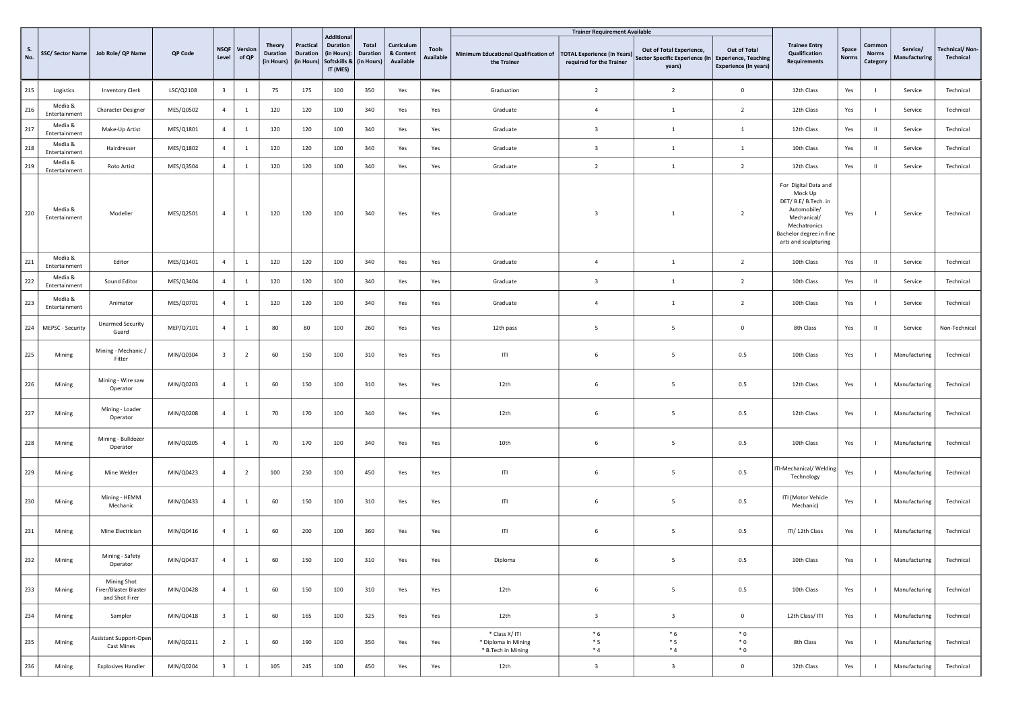|                  |                          |                                                        |           |                         |                  |                                                |                                            |                                                                          |                                        |                                      |                           |                                                             | <b>Trainer Requirement Available</b>                           |                                                                                             |                                              |                                                                                                                                                          |                |                                    |                           |                                    |
|------------------|--------------------------|--------------------------------------------------------|-----------|-------------------------|------------------|------------------------------------------------|--------------------------------------------|--------------------------------------------------------------------------|----------------------------------------|--------------------------------------|---------------------------|-------------------------------------------------------------|----------------------------------------------------------------|---------------------------------------------------------------------------------------------|----------------------------------------------|----------------------------------------------------------------------------------------------------------------------------------------------------------|----------------|------------------------------------|---------------------------|------------------------------------|
| <b>S.</b><br>No. | SSC/Sector Name          | Job Role/ QP Name                                      | QP Code   | <b>NSQF</b><br>Level    | Version<br>of QP | <b>Theory</b><br><b>Duration</b><br>(in Hours) | Practical<br><b>Duration</b><br>(in Hours) | <b>Additional</b><br>Duration<br>(in Hours):<br>Softskills &<br>IT (MES) | Total<br><b>Duration</b><br>(in Hours) | Curriculum<br>& Content<br>Available | <b>Tools</b><br>Available | Minimum Educational Qualification of<br>the Trainer         | <b>TOTAL Experience (In Years)</b><br>required for the Trainer | Out of Total Experience,<br>Sector Specific Experience (In   Experience, Teaching<br>years) | Out of Total<br><b>Experience (In years)</b> | <b>Trainee Entry</b><br>Qualification<br>Requirements                                                                                                    | Space<br>Norms | Common<br><b>Norms</b><br>Category | Service/<br>Manufacturing | <b>Technical/Non-</b><br>Technical |
| 215              | Logistics                | <b>Inventory Clerk</b>                                 | LSC/Q2108 | $\overline{\mathbf{3}}$ | 1                | 75                                             | 175                                        | 100                                                                      | 350                                    | Yes                                  | Yes                       | Graduation                                                  | $\overline{2}$                                                 | $\overline{2}$                                                                              | $\mathbf 0$                                  | 12th Class                                                                                                                                               | Yes            |                                    | Service                   | Technical                          |
| 216              | Media &<br>Entertainment | <b>Character Designer</b>                              | MES/Q0502 | $\overline{4}$          | 1                | 120                                            | 120                                        | 100                                                                      | 340                                    | Yes                                  | Yes                       | Graduate                                                    | $\overline{4}$                                                 | $\mathbf{1}$                                                                                | $\overline{2}$                               | 12th Class                                                                                                                                               | Yes            |                                    | Service                   | Technical                          |
| 217              | Media &<br>Entertainment | Make-Up Artist                                         | MES/Q1801 | $\overline{4}$          | <sup>1</sup>     | 120                                            | 120                                        | 100                                                                      | 340                                    | Yes                                  | Yes                       | Graduate                                                    | $\overline{\mathbf{3}}$                                        | $\mathbf{1}$                                                                                | $\mathbf{1}$                                 | 12th Class                                                                                                                                               | Yes            |                                    | Service                   | Technical                          |
| 218              | Media &<br>Entertainment | Hairdresser                                            | MES/Q1802 | $\overline{4}$          | 1                | 120                                            | 120                                        | 100                                                                      | 340                                    | Yes                                  | Yes                       | Graduate                                                    | $\overline{\mathbf{3}}$                                        | $\mathbf{1}$                                                                                | $\mathbf{1}$                                 | 10th Class                                                                                                                                               | Yes            | -11                                | Service                   | Technical                          |
| 219              | Media &<br>Entertainment | Roto Artist                                            | MES/Q3504 | $\overline{4}$          | $\mathbf{1}$     | 120                                            | 120                                        | 100                                                                      | 340                                    | Yes                                  | Yes                       | Graduate                                                    | $\overline{2}$                                                 | 1                                                                                           | $\overline{2}$                               | 12th Class                                                                                                                                               | Yes            | $\mathbf{H}$                       | Service                   | Technical                          |
| 220              | Media &<br>Entertainment | Modeller                                               | MES/Q2501 | $\overline{4}$          | <sup>1</sup>     | 120                                            | 120                                        | 100                                                                      | 340                                    | Yes                                  | Yes                       | Graduate                                                    | $\overline{\mathbf{3}}$                                        | -1                                                                                          | $\overline{2}$                               | For Digital Data and<br>Mock Up<br>DET/ B.E/ B.Tech. in<br>Automobile/<br>Mechanical/<br>Mechatronics<br>Bachelor degree in fine<br>arts and sculpturing | Yes            |                                    | Service                   | Technical                          |
| 221              | Media &<br>Entertainment | Editor                                                 | MES/Q1401 | $\overline{4}$          | <sup>1</sup>     | 120                                            | 120                                        | 100                                                                      | 340                                    | Yes                                  | Yes                       | Graduate                                                    | $\overline{4}$                                                 | <sup>1</sup>                                                                                | $\overline{2}$                               | 10th Class                                                                                                                                               | Yes            | -11                                | Service                   | Technical                          |
| 222              | Media &<br>Entertainment | Sound Editor                                           | MES/Q3404 | $\overline{4}$          | 1                | 120                                            | 120                                        | 100                                                                      | 340                                    | Yes                                  | Yes                       | Graduate                                                    | $\overline{\mathbf{3}}$                                        | $\mathbf{1}$                                                                                | $\overline{2}$                               | 10th Class                                                                                                                                               | Yes            | -11                                | Service                   | Technical                          |
| 223              | Media &<br>Entertainment | Animator                                               | MES/Q0701 | $\overline{4}$          | -1               | 120                                            | 120                                        | 100                                                                      | 340                                    | Yes                                  | Yes                       | Graduate                                                    | $\overline{4}$                                                 | $\mathbf{1}$                                                                                | $\overline{2}$                               | 10th Class                                                                                                                                               | Yes            |                                    | Service                   | Technical                          |
| 224              | MEPSC - Security         | <b>Unarmed Security</b><br>Guard                       | MEP/Q7101 | $\overline{4}$          | <sup>1</sup>     | 80                                             | 80                                         | 100                                                                      | 260                                    | Yes                                  | Yes                       | 12th pass                                                   | 5                                                              | 5                                                                                           | $\overline{0}$                               | 8th Class                                                                                                                                                | Yes            | $\mathbf{H}$                       | Service                   | Non-Technical                      |
| 225              | Mining                   | Mining - Mechanic /<br>Fitter                          | MIN/Q0304 | $\overline{\mathbf{3}}$ | $\overline{2}$   | 60                                             | 150                                        | 100                                                                      | 310                                    | Yes                                  | Yes                       | ITI                                                         | 6                                                              | 5                                                                                           | 0.5                                          | 10th Class                                                                                                                                               | Yes            |                                    | Manufacturing             | Technical                          |
| 226              | Mining                   | Mining - Wire saw<br>Operator                          | MIN/Q0203 | $\overline{4}$          | <sup>1</sup>     | 60                                             | 150                                        | 100                                                                      | 310                                    | Yes                                  | Yes                       | 12th                                                        | - 6                                                            | 5                                                                                           | 0.5                                          | 12th Class                                                                                                                                               | Yes            |                                    | Manufacturing             | Technical                          |
| 227              | Mining                   | Mining - Loader<br>Operator                            | MIN/Q0208 | $\overline{4}$          | <sup>1</sup>     | 70                                             | 170                                        | 100                                                                      | 340                                    | Yes                                  | Yes                       | 12th                                                        | 6                                                              | 5                                                                                           | 0.5                                          | 12th Class                                                                                                                                               | Yes            |                                    | Manufacturing             | Technical                          |
| 228              | Mining                   | Mining - Bulldozer<br>Operator                         | MIN/Q0205 | $\overline{4}$          | 1                | 70                                             | 170                                        | 100                                                                      | 340                                    | Yes                                  | Yes                       | 10th                                                        | - 6                                                            | 5                                                                                           | 0.5                                          | 10th Class                                                                                                                                               | Yes            |                                    | Manufacturing             | Technical                          |
| 229              | Mining                   | Mine Welder                                            | MIN/Q0423 | $\overline{4}$          | $\overline{2}$   | 100                                            | 250                                        | 100                                                                      | 450                                    | Yes                                  | Yes                       | ITI                                                         | - 6                                                            | 5                                                                                           | 0.5                                          | TI-Mechanical/ Welding<br>Technology                                                                                                                     | Yes            |                                    | Manufacturing             | Technical                          |
| 230              | Mining                   | Mining - HEMM<br>Mechanic                              | MIN/Q0433 | $\overline{4}$          | $\overline{1}$   | 60                                             | 150                                        | 100                                                                      | 310                                    | Yes                                  | Yes                       | ITI                                                         | - 6                                                            | 5                                                                                           | 0.5                                          | ITI (Motor Vehicle<br>Mechanic)                                                                                                                          | Yes            |                                    | Manufacturing             | Technical                          |
| 231              | Mining                   | Mine Electrician                                       | MIN/Q0416 | $\overline{4}$          | $\overline{1}$   | 60                                             | 200                                        | 100                                                                      | 360                                    | Yes                                  | Yes                       | T                                                           | 6                                                              | 5                                                                                           | 0.5                                          | ITI/12th Class                                                                                                                                           | Yes            |                                    | Manufacturing             | Technical                          |
| 232              | Mining                   | Mining - Safety<br>Operator                            | MIN/Q0437 | $\overline{4}$          | <sup>1</sup>     | 60                                             | 150                                        | 100                                                                      | 310                                    | Yes                                  | Yes                       | Diploma                                                     | - 6                                                            | 5                                                                                           | 0.5                                          | 10th Class                                                                                                                                               | Yes            |                                    | Manufacturing             | Technical                          |
| 233              | Mining                   | Mining Shot<br>Firer/Blaster Blaster<br>and Shot Firer | MIN/Q0428 | 4                       | $\mathbf{1}$     | 60                                             | 150                                        | 100                                                                      | 310                                    | Yes                                  | Yes                       | 12th                                                        | 6                                                              | 5                                                                                           | 0.5                                          | 10th Class                                                                                                                                               | Yes            | $\blacksquare$                     | Manufacturing             | Technical                          |
| 234              | Mining                   | Sampler                                                | MIN/Q0418 | $\overline{\mathbf{3}}$ | $\mathbf{1}$     | 60                                             | 165                                        | 100                                                                      | 325                                    | Yes                                  | Yes                       | 12th                                                        | $\overline{\mathbf{3}}$                                        | $\overline{\mathbf{3}}$                                                                     | $\overline{0}$                               | 12th Class/ITI                                                                                                                                           | Yes            | $\mathbf{I}$                       | Manufacturing             | Technical                          |
| 235              | Mining                   | Assistant Support-Open<br><b>Cast Mines</b>            | MIN/Q0211 | $\overline{2}$          | $\mathbf{1}$     | 60                                             | 190                                        | 100                                                                      | 350                                    | Yes                                  | Yes                       | * Class X/ ITI<br>* Diploma in Mining<br>* B.Tech in Mining | $*6$<br>$*5$<br>$*4$                                           | $*6$<br>$*5$<br>$*_{4}$                                                                     | $*0$<br>$*0$<br>$*0$                         | 8th Class                                                                                                                                                | Yes            |                                    | Manufacturing             | Technical                          |
| 236              | Mining                   | <b>Explosives Handler</b>                              | MIN/Q0204 | $\overline{\mathbf{3}}$ | $\mathbf{1}$     | 105                                            | 245                                        | 100                                                                      | 450                                    | Yes                                  | Yes                       | 12th                                                        | $\overline{\mathbf{3}}$                                        | $\overline{\mathbf{3}}$                                                                     | $\mathbf 0$                                  | 12th Class                                                                                                                                               | Yes            |                                    | Manufacturing             | Technical                          |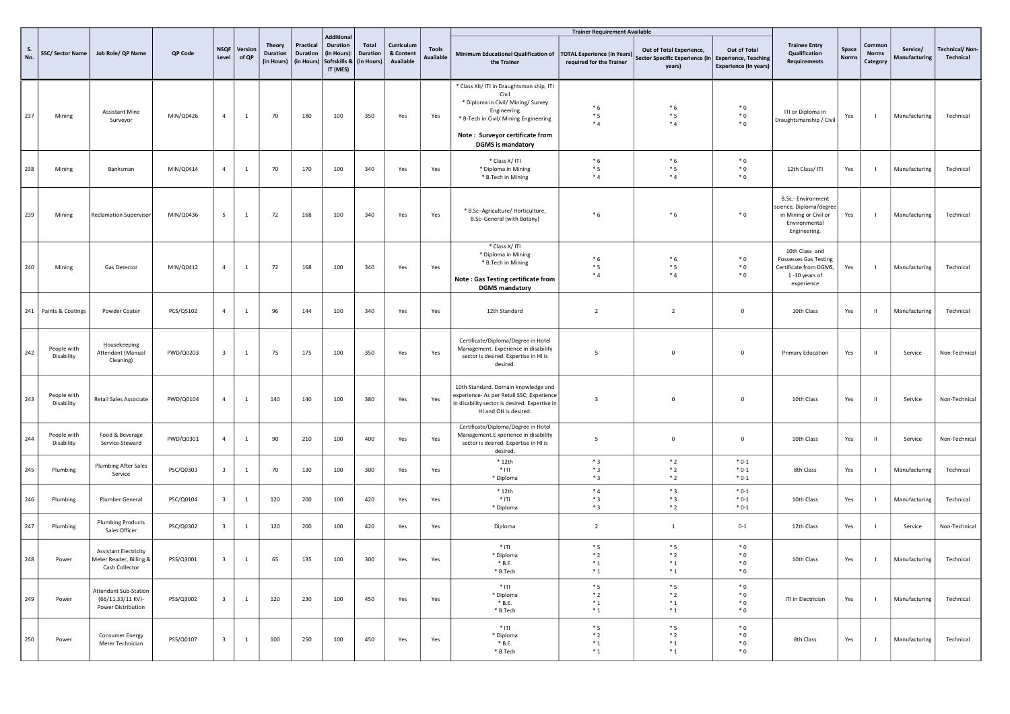|                  |                           |                                                                           |           |                         |                  |                                                |                                     | <b>Additional</b>                                          |                                               |                                      |                                  |                                                                                                                                                                                                                 | <b>Trainer Requirement Available</b>                           |                                                                      |                                                                             |                                                                                                         |                       |                                    |                           |                                    |
|------------------|---------------------------|---------------------------------------------------------------------------|-----------|-------------------------|------------------|------------------------------------------------|-------------------------------------|------------------------------------------------------------|-----------------------------------------------|--------------------------------------|----------------------------------|-----------------------------------------------------------------------------------------------------------------------------------------------------------------------------------------------------------------|----------------------------------------------------------------|----------------------------------------------------------------------|-----------------------------------------------------------------------------|---------------------------------------------------------------------------------------------------------|-----------------------|------------------------------------|---------------------------|------------------------------------|
| <b>S.</b><br>No. | SSC/Sector Name           | Job Role/ QP Name                                                         | QP Code   | <b>NSQF</b><br>Level    | Version<br>of QP | <b>Theory</b><br><b>Duration</b><br>(in Hours) | Practical<br>Duration<br>(in Hours) | <b>Duration</b><br>(in Hours):<br>Softskills &<br>IT (MES) | <b>Total</b><br><b>Duration</b><br>(in Hours) | Curriculum<br>& Content<br>Available | <b>Tools</b><br><b>Available</b> | Minimum Educational Qualification of<br>the Trainer                                                                                                                                                             | <b>TOTAL Experience (In Years)</b><br>required for the Trainer | Out of Total Experience,<br>Sector Specific Experience (In<br>years) | Out of Total<br><b>Experience, Teaching</b><br><b>Experience (In years)</b> | <b>Trainee Entry</b><br>Qualification<br>Requirements                                                   | Space<br><b>Norms</b> | Common<br><b>Norms</b><br>Category | Service/<br>Manufacturing | <b>Technical/Non-</b><br>Technical |
| 237              | Mining                    | <b>Assistant Mine</b><br>Surveyor                                         | MIN/Q0426 | $\overline{4}$          | $\mathbf{1}$     | 70                                             | 180                                 | 100                                                        | 350                                           | Yes                                  | Yes                              | * Class XII/ ITI in Draughtsman ship, ITI<br>Civil<br>* Diploma in Civil/ Mining/ Survey<br>Engineering<br>* B-Tech in Civil/ Mining Engineering<br>Note: Surveyor certificate from<br><b>DGMS</b> is mandatory | $*6$<br>$*5$<br>$*4$                                           | $*6$<br>$*5$<br>$*4$                                                 | $*0$<br>$*0$<br>$*$ 0                                                       | ITI or Diploma in<br>Draughtsmanship / Civil                                                            | Yes                   | $\mathbf{I}$                       | Manufacturing             | Technical                          |
| 238              | Mining                    | Banksman                                                                  | MIN/Q0414 | $\overline{4}$          | $\mathbf{1}$     | 70                                             | 170                                 | 100                                                        | 340                                           | Yes                                  | Yes                              | * Class X/ ITI<br>* Diploma in Mining<br>* B.Tech in Mining                                                                                                                                                     | $*6$<br>$*5$<br>$*_{4}$                                        | $*6$<br>$*5$<br>$*4$                                                 | $*0$<br>$*0$<br>$*0$                                                        | 12th Class/ITI                                                                                          | Yes                   | $\blacksquare$                     | Manufacturing             | Technical                          |
| 239              | Mining                    | <b>Reclamation Supervisor</b>                                             | MIN/Q0436 | $5\overline{5}$         | $\mathbf{1}$     | 72                                             | 168                                 | 100                                                        | 340                                           | Yes                                  | Yes                              | * B.Sc-Agriculture/ Horticulture,<br>B.Sc-General (with Botany)                                                                                                                                                 | * 6                                                            | $*6$                                                                 | $*0$                                                                        | B.Sc.- Environment<br>science, Diploma/degree<br>in Mining or Civil or<br>Environmental<br>Engineering. | Yes                   | $\mathbf{I}$                       | Manufacturing             | Technical                          |
| 240              | Mining                    | Gas Detector                                                              | MIN/Q0412 | $\overline{4}$          | $\mathbf{1}$     | 72                                             | 168                                 | 100                                                        | 340                                           | Yes                                  | Yes                              | * Class X/ ITI<br>* Diploma in Mining<br>* B.Tech in Mining<br>Note: Gas Testing certificate from<br><b>DGMS</b> mandatory                                                                                      | $*6$<br>$*5$<br>$*_{4}$                                        | $*6$<br>$*5$<br>$*4$                                                 | $*0$<br>$*0$<br>$*$ 0                                                       | 10th Class and<br>Possesses Gas Testing<br>Certificate from DGMS,<br>1-10 years of<br>experience        | Yes                   | $\blacksquare$                     | Manufacturing             | Technical                          |
|                  | 241 Paints & Coatings     | Powder Coater                                                             | PCS/Q5102 | $\overline{4}$          | $\mathbf{1}$     | 96                                             | 144                                 | 100                                                        | 340                                           | Yes                                  | Yes                              | 12th Standard                                                                                                                                                                                                   | $\overline{2}$                                                 | $\overline{2}$                                                       | $\mathbf 0$                                                                 | 10th Class                                                                                              | Yes                   | $\mathbf{H}$ .                     | Manufacturing             | Technical                          |
| 242              | People with<br>Disability | Housekeeping<br>Attendant (Manual<br>Cleaning)                            | PWD/Q0203 | $\overline{\mathbf{3}}$ | $\mathbf{1}$     | 75                                             | 175                                 | 100                                                        | 350                                           | Yes                                  | Yes                              | Certificate/Diploma/Degree in Hotel<br>Management. Experience in disability<br>sector is desired. Expertise in HI is<br>desired.                                                                                | 5                                                              | $\mathbf 0$                                                          | $\mathbf 0$                                                                 | Primary Education                                                                                       | Yes                   | $\mathbf{H}$                       | Service                   | Non-Technical                      |
| 243              | People with<br>Disability | Retail Sales Associate                                                    | PWD/Q0104 | $\overline{4}$          | $\mathbf{1}$     | 140                                            | 140                                 | 100                                                        | 380                                           | Yes                                  | Yes                              | 10th Standard. Domain knowledge and<br>experience- As per Retail SSC; Experience<br>in disability sector is desired. Expertise in<br>HI and OH is desired.                                                      | $\overline{\mathbf{3}}$                                        | $\mathbf 0$                                                          | $\mathbf 0$                                                                 | 10th Class                                                                                              | Yes                   | $\mathbf{H}$                       | Service                   | Non-Technical                      |
| 244              | People with<br>Disability | Food & Beverage<br>Service-Steward                                        | PWD/Q0301 | $\overline{4}$          | $\mathbf{1}$     | 90                                             | 210                                 | 100                                                        | 400                                           | Yes                                  | Yes                              | Certificate/Diploma/Degree in Hotel<br>Management.E xperience in disability<br>sector is desired. Expertise in HI is<br>desired.                                                                                | 5                                                              | $\mathbf 0$                                                          | $\mathbf 0$                                                                 | 10th Class                                                                                              | Yes                   | $\mathbf{H}$                       | Service                   | Non-Technical                      |
| 245              | Plumbing                  | Plumbing After Sales<br>Service                                           | PSC/Q0303 | $\overline{\mathbf{3}}$ | $\mathbf{1}$     | 70                                             | 130                                 | 100                                                        | 300                                           | Yes                                  | Yes                              | $*12th$<br>$*$ ITI<br>* Diploma                                                                                                                                                                                 | $*3$<br>$*3$<br>$*3$                                           | $*2$<br>$*2$<br>$*2$                                                 | $*0-1$<br>$*0-1$<br>$*0-1$                                                  | 8th Class                                                                                               | Yes                   | $\blacksquare$                     | Manufacturing             | Technical                          |
| 246              | Plumbing                  | Plumber General                                                           | PSC/Q0104 | $\overline{\mathbf{3}}$ | $\mathbf{1}$     | 120                                            | 200                                 | 100                                                        | 420                                           | Yes                                  | Yes                              | $*12th$<br>$*$ ITI<br>* Diploma                                                                                                                                                                                 | $*4$<br>$*3$<br>$*3$                                           | $*3$<br>$*3$<br>$*2$                                                 | $*0-1$<br>$*0-1$<br>$*0-1$                                                  | 10th Class                                                                                              | Yes                   | $\blacksquare$                     | Manufacturing             | Technical                          |
| 247              | Plumbing                  | <b>Plumbing Products</b><br>Sales Officer                                 | PSC/Q0302 | $\overline{\mathbf{3}}$ | $\mathbf{1}$     | 120                                            | 200                                 | 100                                                        | 420                                           | Yes                                  | Yes                              | Diploma                                                                                                                                                                                                         | $\overline{2}$                                                 | $1\,$                                                                | $0 - 1$                                                                     | 12th Class                                                                                              | Yes                   | $\overline{\phantom{a}}$           | Service                   | Non-Technical                      |
| 248              | Power                     | <b>Assistant Electricity</b><br>Meter Reader, Billing &<br>Cash Collector | PSS/Q3001 | $\overline{\mathbf{3}}$ | $\mathbf{1}$     | 65                                             | 135                                 | 100                                                        | 300                                           | Yes                                  | Yes                              | $*$ ITI<br>* Diploma<br>* B.E.<br>* B.Tech                                                                                                                                                                      | $*5$<br>$*2$<br>$*_{1}$<br>$*_{1}$                             | $*5$<br>$*2$<br>$*_{1}$<br>$*_{1}$                                   | $*0$<br>$*0$<br>$*0$<br>$*0$                                                | 10th Class                                                                                              | Yes                   |                                    | Manufacturing             | Technical                          |
| 249              | Power                     | <b>Attendant Sub-Station</b><br>(66/11,33/11 KV)-<br>Power Distribution   | PSS/Q3002 | $\overline{\mathbf{3}}$ | $\mathbf{1}$     | 120                                            | 230                                 | 100                                                        | 450                                           | Yes                                  | Yes                              | $*$ ITI<br>* Diploma<br>$*$ B.E.<br>* B.Tech                                                                                                                                                                    | $*5$<br>$*2$<br>$^\ast$ 1<br>$*_{1}$                           | $*5$<br>$*2$<br>$*_{1}$<br>$*_{1}$                                   | $*0$<br>$*0$<br>$*0$<br>$*0$                                                | ITI in Electrician                                                                                      | Yes                   | $\blacksquare$                     | Manufacturing             | Technical                          |
| 250              | Power                     | Consumer Energy<br>Meter Technician                                       | PSS/Q0107 | $\overline{\mathbf{3}}$ | $\mathbf{1}$     | 100                                            | 250                                 | 100                                                        | 450                                           | Yes                                  | Yes                              | $*$ ITI<br>* Diploma<br>$*$ B.E.<br>* B.Tech                                                                                                                                                                    | $*5$<br>$*2$<br>$*_{1}$<br>$*_{1}$                             | $*5$<br>$*2$<br>$*_{1}$<br>$*_{1}$                                   | $*0$<br>$*0$<br>$*0$<br>$*0$                                                | 8th Class                                                                                               | Yes                   | $\mathbf{I}$                       | Manufacturing             | Technical                          |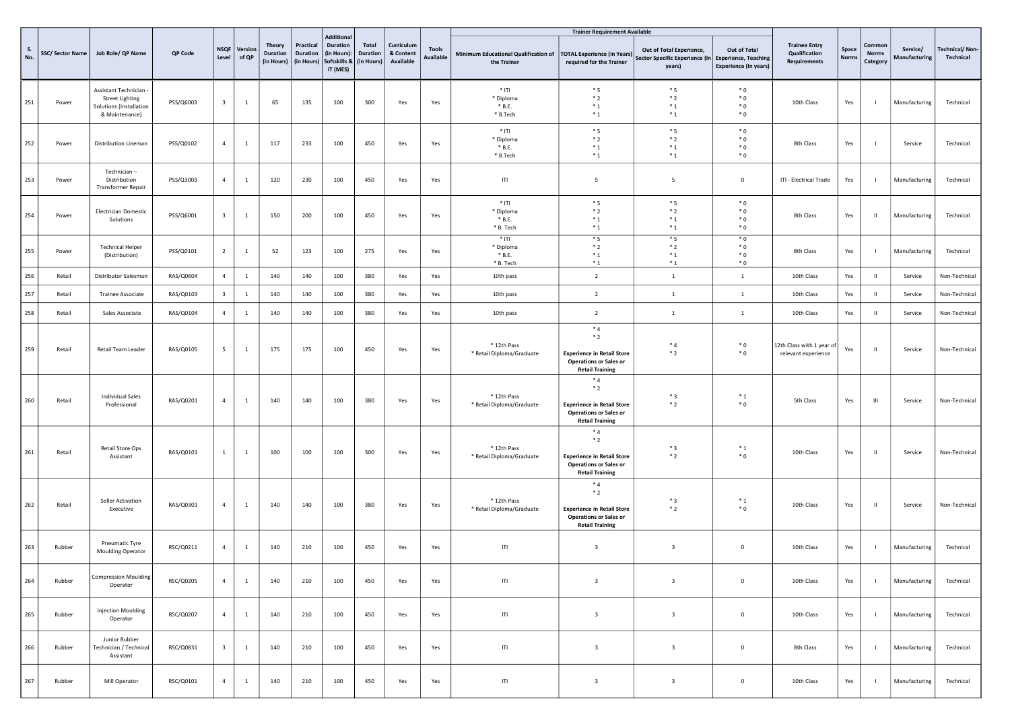|                  |                 |                                                                                             |           |                         |                       |                                         |                                            |                                                                          |                                        |                                      |                           |                                                     | <b>Trainer Requirement Available</b>                                                                         |                                                                                           |                                              |                                                       |                       |                                    |                           |                                    |
|------------------|-----------------|---------------------------------------------------------------------------------------------|-----------|-------------------------|-----------------------|-----------------------------------------|--------------------------------------------|--------------------------------------------------------------------------|----------------------------------------|--------------------------------------|---------------------------|-----------------------------------------------------|--------------------------------------------------------------------------------------------------------------|-------------------------------------------------------------------------------------------|----------------------------------------------|-------------------------------------------------------|-----------------------|------------------------------------|---------------------------|------------------------------------|
| <b>S.</b><br>No. | SSC/Sector Name | Job Role/ QP Name                                                                           | QP Code   | Level                   | NSQF Version<br>of QP | Theory<br><b>Duration</b><br>(in Hours) | Practical<br><b>Duration</b><br>(in Hours) | <b>Additional</b><br>Duration<br>(in Hours):<br>Softskills &<br>IT (MES) | Total<br><b>Duration</b><br>(in Hours) | Curriculum<br>& Content<br>Available | <b>Tools</b><br>Available | Minimum Educational Qualification of<br>the Trainer | <b>TOTAL Experience (In Years)</b><br>required for the Trainer                                               | Out of Total Experience,<br>Sector Specific Experience (In Experience, Teaching<br>years) | Out of Total<br><b>Experience (In years)</b> | <b>Trainee Entry</b><br>Qualification<br>Requirements | Space<br><b>Norms</b> | Common<br><b>Norms</b><br>Category | Service/<br>Manufacturing | <b>Technical/Non-</b><br>Technical |
| 251              | Power           | Assistant Technician<br><b>Street Lighting</b><br>Solutions (Installation<br>& Maintenance) | PSS/Q6003 | $\overline{\mathbf{3}}$ | $\mathbf{1}$          | 65                                      | 135                                        | 100                                                                      | 300                                    | Yes                                  | Yes                       | $*$ ITI<br>* Diploma<br>$*$ B.E.<br>* B.Tech        | $*5$<br>$*2$<br>$*_{1}$<br>$*_{1}$                                                                           | $*5$<br>$*2$<br>$*_{1}$<br>$*_{1}$                                                        | $*0$<br>$*$ 0<br>$*0$<br>$*0$                | 10th Class                                            | Yes                   | - 1                                | Manufacturing             | Technical                          |
| 252              | Power           | <b>Distribution Lineman</b>                                                                 | PSS/Q0102 | $\overline{4}$          | $\mathbf{1}$          | 117                                     | 233                                        | 100                                                                      | 450                                    | Yes                                  | Yes                       | $*$ ITI<br>* Diploma<br>$*$ B.E.<br>* B.Tech        | $*5$<br>$*2$<br>$*_{1}$<br>$*_{1}$                                                                           | $*5$<br>$*2$<br>$^\ast$ 1<br>$*_{1}$                                                      | $*$ 0<br>$*$ 0<br>$*0$<br>$*0$               | 8th Class                                             | Yes                   | $\overline{1}$                     | Service                   | Technical                          |
| 253              | Power           | Technician-<br>Distribution<br>Transformer Repair                                           | PSS/Q3003 | $\overline{4}$          | $\mathbf{1}$          | 120                                     | 230                                        | 100                                                                      | 450                                    | Yes                                  | Yes                       | ITI                                                 | 5                                                                                                            | 5                                                                                         | $\mathbf 0$                                  | ITI - Electrical Trade                                | Yes                   | $\mathbf{I}$                       | Manufacturing             | Technical                          |
| 254              | Power           | <b>Electrician Domestic</b><br>Solutions                                                    | PSS/Q6001 | $\overline{\mathbf{3}}$ | $\mathbf{1}$          | 150                                     | 200                                        | 100                                                                      | 450                                    | Yes                                  | Yes                       | $*$ ITI<br>* Diploma<br>$*$ B.E.<br>* B. Tech       | $*5$<br>$*2$<br>$^\ast$ 1<br>$*_{1}$                                                                         | $*_{5}$<br>$*2$<br>$^\ast$ 1<br>$*_{1}$                                                   | $*0$<br>$*0$<br>$*$ 0<br>$*0$                | 8th Class                                             | Yes                   | $\mathbf{u}$                       | Manufacturing             | Technical                          |
| 255              | Power           | <b>Technical Helper</b><br>(Distribution)                                                   | PSS/Q0101 | $\overline{2}$          | $\mathbf{1}$          | 52                                      | 123                                        | 100                                                                      | 275                                    | Yes                                  | Yes                       | $*$ ITI<br>* Diploma<br>$*$ B.E.<br>* B. Tech       | $*_{5}$<br>$*2$<br>$*_{1}$<br>$*_{1}$                                                                        | $*_{5}$<br>$*2$<br>$^\ast$ 1<br>$*_{1}$                                                   | $*0$<br>$*0$<br>$*0$<br>$*0$                 | 8th Class                                             | Yes                   | $\overline{1}$                     | Manufacturing             | Technical                          |
| 256              | Retail          | Distributor Salesman                                                                        | RAS/Q0604 | $\overline{4}$          | $\mathbf{1}$          | 140                                     | 140                                        | 100                                                                      | 380                                    | Yes                                  | Yes                       | 10th pass                                           | $\overline{2}$                                                                                               | $\mathbf{1}$                                                                              | $\mathbf{1}$                                 | 10th Class                                            | Yes                   | $\mathbf H$                        | Service                   | Non-Technical                      |
| 257              | Retail          | Trainee Associate                                                                           | RAS/Q0103 | $\overline{\mathbf{3}}$ | $\mathbf{1}$          | 140                                     | 140                                        | 100                                                                      | 380                                    | Yes                                  | Yes                       | 10th pass                                           | $\overline{2}$                                                                                               | $\mathbf{1}$                                                                              | $\mathbf{1}$                                 | 10th Class                                            | Yes                   | $\mathbf H$                        | Service                   | Non-Technical                      |
| 258              | Retail          | Sales Associate                                                                             | RAS/Q0104 | $\overline{4}$          | $\mathbf{1}$          | 140                                     | 140                                        | 100                                                                      | 380                                    | Yes                                  | Yes                       | 10th pass                                           | $\overline{2}$                                                                                               | $\mathbf{1}$                                                                              | $\mathbf{1}$                                 | 10th Class                                            | Yes                   | $\mathbf{H}$                       | Service                   | Non-Technical                      |
| 259              | Retail          | Retail Team Leader                                                                          | RAS/Q0105 | 5                       | $\mathbf{1}$          | 175                                     | 175                                        | 100                                                                      | 450                                    | Yes                                  | Yes                       | * 12th Pass<br>* Retail Diploma/Graduate            | $*4$<br>$*2$<br><b>Experience in Retail Store</b><br><b>Operations or Sales or</b><br><b>Retail Training</b> | $*4$<br>$*2$                                                                              | $*0$<br>$*$ 0                                | 12th Class with 1 year of<br>relevant experience      | Yes                   | $\mathbf{H}$                       | Service                   | Non-Technical                      |
| 260              | Retail          | <b>Individual Sales</b><br>Professional                                                     | RAS/Q0201 | $\overline{4}$          | $\mathbf{1}$          | 140                                     | 140                                        | 100                                                                      | 380                                    | Yes                                  | Yes                       | * 12th Pass<br>* Retail Diploma/Graduate            | $*4$<br>$*2$<br><b>Experience in Retail Store</b><br><b>Operations or Sales or</b><br><b>Retail Training</b> | $*3$<br>$*2$                                                                              | $*_{1}$<br>$*0$                              | 5th Class                                             | Yes                   | Ш                                  | Service                   | Non-Technical                      |
| 261              | Retail          | Retail Store Ops<br>Assistant                                                               | RAS/Q0101 | $\mathbf{1}$            | $\mathbf{1}$          | 100                                     | 100                                        | 100                                                                      | 300                                    | Yes                                  | Yes                       | * 12th Pass<br>* Retail Diploma/Graduate            | $*4$<br>$*2$<br><b>Experience in Retail Store</b><br><b>Operations or Sales or</b><br><b>Retail Training</b> | $*3$<br>$*2$                                                                              | $*_{1}$<br>$*$ 0                             | 10th Class                                            | Yes                   | $\mathbf{H}$                       | Service                   | Non-Technical                      |
| 262              | Retail          | Seller Activation<br>Executive                                                              | RAS/Q0301 | $\overline{4}$          | $\mathbf{1}$          | 140                                     | 140                                        | 100                                                                      | 380                                    | Yes                                  | Yes                       | * 12th Pass<br>* Retail Diploma/Graduate            | $*4$<br>$*2$<br><b>Experience in Retail Store</b><br><b>Operations or Sales or</b><br><b>Retail Training</b> | $*3$<br>$*2$                                                                              | $*_{1}$<br>$*0$                              | 10th Class                                            | Yes                   | $\mathbf{H}$                       | Service                   | Non-Technical                      |
| 263              | Rubber          | Pneumatic Tyre<br>Moulding Operator                                                         | RSC/Q0211 | $\overline{4}$          | $\mathbf{1}$          | 140                                     | 210                                        | 100                                                                      | 450                                    | Yes                                  | Yes                       | ITI                                                 | $\overline{\mathbf{3}}$                                                                                      | $\overline{\mathbf{3}}$                                                                   | $\mathbf 0$                                  | 10th Class                                            | Yes                   | $\blacksquare$                     | Manufacturing             | Technical                          |
| 264              | Rubber          | <b>Compression Moulding</b><br>Operator                                                     | RSC/Q0205 | $\overline{4}$          | $\mathbf{1}$          | 140                                     | 210                                        | 100                                                                      | 450                                    | Yes                                  | Yes                       | ITI                                                 | $\overline{\mathbf{3}}$                                                                                      | $\overline{\mathbf{3}}$                                                                   | $\mathsf 0$                                  | 10th Class                                            | Yes                   | $\mathbf{I}$                       | Manufacturing             | Technical                          |
| 265              | Rubber          | <b>Injection Moulding</b><br>Operator                                                       | RSC/Q0207 | $\overline{4}$          | $\mathbf{1}$          | 140                                     | 210                                        | 100                                                                      | 450                                    | Yes                                  | Yes                       | ITI                                                 | $\overline{\mathbf{3}}$                                                                                      | $\overline{\mathbf{3}}$                                                                   | $\mathbf 0$                                  | 10th Class                                            | Yes                   | - 1                                | Manufacturing             | Technical                          |
| 266              | Rubber          | Junior Rubber<br>Technician / Technical<br>Assistant                                        | RSC/Q0831 | $\overline{\mathbf{3}}$ | $\mathbf{1}$          | 140                                     | 210                                        | 100                                                                      | 450                                    | Yes                                  | Yes                       | ITI                                                 | $\overline{\mathbf{3}}$                                                                                      | $\overline{\mathbf{3}}$                                                                   | $\mathbf 0$                                  | 8th Class                                             | Yes                   | $\mathbf{I}$                       | Manufacturing             | Technical                          |
| 267              | Rubber          | Mill Operator                                                                               | RSC/Q0101 | $\overline{4}$          | $\mathbf{1}$          | 140                                     | 210                                        | 100                                                                      | 450                                    | Yes                                  | Yes                       | ITI                                                 | $\overline{\mathbf{3}}$                                                                                      | $\overline{\mathbf{3}}$                                                                   | $\mathbf 0$                                  | 10th Class                                            | Yes                   | $\blacksquare$                     | Manufacturing             | Technical                          |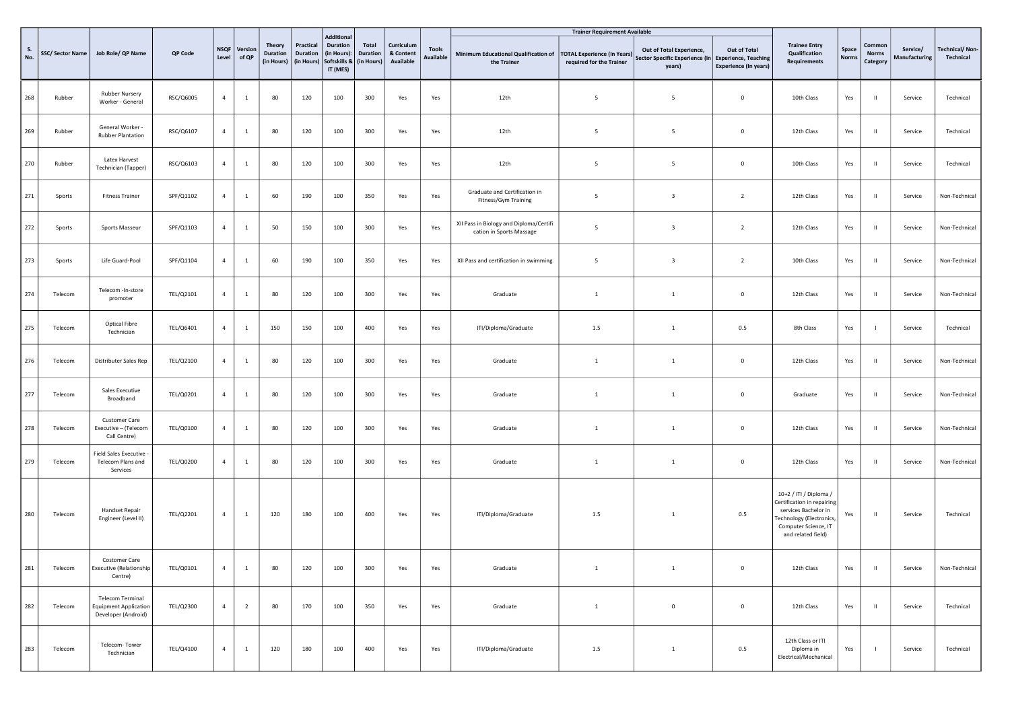|           |                        |                                                                                |           |                      |                  |                                                |                                     |                                                                                 |                                               |                                      |                           |                                                                                   | <b>Trainer Requirement Available</b> |                                                                                           |                                              |                                                                                                                                                        |                       |                                    |                           |                                    |
|-----------|------------------------|--------------------------------------------------------------------------------|-----------|----------------------|------------------|------------------------------------------------|-------------------------------------|---------------------------------------------------------------------------------|-----------------------------------------------|--------------------------------------|---------------------------|-----------------------------------------------------------------------------------|--------------------------------------|-------------------------------------------------------------------------------------------|----------------------------------------------|--------------------------------------------------------------------------------------------------------------------------------------------------------|-----------------------|------------------------------------|---------------------------|------------------------------------|
| S.<br>No. | <b>SSC/Sector Name</b> | Job Role/ QP Name                                                              | QP Code   | <b>NSQF</b><br>Level | Version<br>of QP | <b>Theory</b><br><b>Duration</b><br>(in Hours) | Practical<br>Duration<br>(in Hours) | <b>Additional</b><br><b>Duration</b><br>(in Hours):<br>Softskills &<br>IT (MES) | <b>Total</b><br><b>Duration</b><br>(in Hours) | Curriculum<br>& Content<br>Available | <b>Tools</b><br>Available | Minimum Educational Qualification of   TOTAL Experience (In Years)<br>the Trainer | required for the Trainer             | Out of Total Experience,<br>Sector Specific Experience (In Experience, Teaching<br>years) | Out of Total<br><b>Experience (In years)</b> | <b>Trainee Entry</b><br>Qualification<br>Requirements                                                                                                  | Space<br><b>Norms</b> | Common<br><b>Norms</b><br>Category | Service/<br>Manufacturing | <b>Technical/Non-</b><br>Technical |
| 268       | Rubber                 | Rubber Nursery<br>Worker - General                                             | RSC/Q6005 | $\overline{4}$       | $\mathbf{1}$     | 80                                             | 120                                 | 100                                                                             | 300                                           | Yes                                  | Yes                       | 12th                                                                              | 5                                    | 5                                                                                         | $\mathbf 0$                                  | 10th Class                                                                                                                                             | Yes                   | $\mathbf{H}$                       | Service                   | Technical                          |
| 269       | Rubber                 | General Worker -<br><b>Rubber Plantation</b>                                   | RSC/Q6107 | $\overline{4}$       | $\mathbf{1}$     | 80                                             | 120                                 | 100                                                                             | 300                                           | Yes                                  | Yes                       | 12th                                                                              | 5                                    | 5                                                                                         | $\mathbf 0$                                  | 12th Class                                                                                                                                             | Yes                   | $\mathbf{H}$                       | Service                   | Technical                          |
| 270       | Rubber                 | Latex Harvest<br>Technician (Tapper)                                           | RSC/Q6103 | $\overline{4}$       | $\mathbf{1}$     | 80                                             | 120                                 | 100                                                                             | 300                                           | Yes                                  | Yes                       | 12th                                                                              | 5                                    | 5                                                                                         | $\mathsf 0$                                  | 10th Class                                                                                                                                             | Yes                   | $\mathbf{H}$                       | Service                   | Technical                          |
| 271       | Sports                 | <b>Fitness Trainer</b>                                                         | SPF/Q1102 | $\overline{4}$       | $\mathbf{1}$     | 60                                             | 190                                 | 100                                                                             | 350                                           | Yes                                  | Yes                       | Graduate and Certification in<br>Fitness/Gym Training                             | 5                                    | $\overline{\mathbf{3}}$                                                                   | $\overline{2}$                               | 12th Class                                                                                                                                             | Yes                   | $\mathbf H$                        | Service                   | Non-Technical                      |
| 272       | Sports                 | Sports Masseur                                                                 | SPF/Q1103 | $\overline{4}$       | $\mathbf{1}$     | 50                                             | 150                                 | 100                                                                             | 300                                           | Yes                                  | Yes                       | XII Pass in Biology and Diploma/Certifi<br>cation in Sports Massage               | 5                                    | $\overline{\mathbf{3}}$                                                                   | $\overline{2}$                               | 12th Class                                                                                                                                             | Yes                   | $\parallel$                        | Service                   | Non-Technical                      |
| 273       | Sports                 | Life Guard-Pool                                                                | SPF/Q1104 | $\overline{4}$       | $\mathbf{1}$     | 60                                             | 190                                 | 100                                                                             | 350                                           | Yes                                  | Yes                       | XII Pass and certification in swimming                                            | 5                                    | $\overline{\mathbf{3}}$                                                                   | $\overline{2}$                               | 10th Class                                                                                                                                             | Yes                   | $\mathbf{H}$                       | Service                   | Non-Technical                      |
| 274       | Telecom                | Telecom -In-store<br>promoter                                                  | TEL/Q2101 | $\overline{4}$       | $\mathbf{1}$     | 80                                             | 120                                 | 100                                                                             | 300                                           | Yes                                  | Yes                       | Graduate                                                                          | <sup>1</sup>                         | 1                                                                                         | $\mathsf 0$                                  | 12th Class                                                                                                                                             | Yes                   | $\parallel$                        | Service                   | Non-Technical                      |
| 275       | Telecom                | <b>Optical Fibre</b><br>Technician                                             | TEL/Q6401 | $\overline{4}$       | $\mathbf{1}$     | 150                                            | 150                                 | 100                                                                             | 400                                           | Yes                                  | Yes                       | ITI/Diploma/Graduate                                                              | 1.5                                  | $\mathbf{1}$                                                                              | 0.5                                          | 8th Class                                                                                                                                              | Yes                   | $\mathbf{I}$                       | Service                   | Technical                          |
| 276       | Telecom                | Distributer Sales Rep                                                          | TEL/Q2100 | $\overline{4}$       | $1\,$            | 80                                             | 120                                 | 100                                                                             | 300                                           | Yes                                  | Yes                       | Graduate                                                                          | $\mathbf{1}$                         | $\mathbf{1}$                                                                              | $\mathbf 0$                                  | 12th Class                                                                                                                                             | Yes                   | $\mathbf{u}$                       | Service                   | Non-Technical                      |
| 277       | Telecom                | Sales Executive<br>Broadband                                                   | TEL/Q0201 | $\overline{4}$       | $\mathbf{1}$     | 80                                             | 120                                 | 100                                                                             | 300                                           | Yes                                  | Yes                       | Graduate                                                                          | $\mathbf{1}$                         | $\mathbf{1}$                                                                              | $\mathbf 0$                                  | Graduate                                                                                                                                               | Yes                   | $\blacksquare$                     | Service                   | Non-Technical                      |
| 278       | Telecom                | Customer Care<br>Executive - (Telecom<br>Call Centre)                          | TEL/Q0100 | $\overline{4}$       | $1\,$            | 80                                             | 120                                 | 100                                                                             | 300                                           | Yes                                  | Yes                       | Graduate                                                                          | $\mathbf{1}$                         | $\mathbf{1}$                                                                              | $\mathbf 0$                                  | 12th Class                                                                                                                                             | Yes                   | $\mathbf H$                        | Service                   | Non-Technical                      |
| 279       | Telecom                | <b>Field Sales Executive</b><br>Telecom Plans and<br>Services                  | TEL/Q0200 | $\overline{4}$       | $\mathbf{1}$     | 80                                             | 120                                 | 100                                                                             | 300                                           | Yes                                  | Yes                       | Graduate                                                                          | $\mathbf{1}$                         | $\mathbf{1}$                                                                              | $\mathbf 0$                                  | 12th Class                                                                                                                                             | Yes                   | $\mathbf H$                        | Service                   | Non-Technical                      |
| 280       | Telecom                | <b>Handset Repair</b><br>Engineer (Level II)                                   | TEL/Q2201 | $\overline{4}$       | $\mathbf{1}$     | 120                                            | 180                                 | 100                                                                             | 400                                           | Yes                                  | Yes                       | ITI/Diploma/Graduate                                                              | 1.5                                  | $\mathbf{1}$                                                                              | 0.5                                          | 10+2 / ITI / Diploma /<br>Certification in repairing<br>services Bachelor in<br>Technology (Electronics,<br>Computer Science, IT<br>and related field) | Yes                   | $\mathbf{H}$                       | Service                   | Technical                          |
| 281       | Telecom                | Costomer Care<br>Executive (Relationship<br>Centre)                            | TEL/Q0101 | 4                    |                  | 80                                             | 120                                 | 100                                                                             | 300                                           | Yes                                  | Yes                       | Graduate                                                                          | -1                                   |                                                                                           | $^{\circ}$                                   | 12th Class                                                                                                                                             | Yes                   | - II                               | Service                   | Non-Technical                      |
| 282       | Telecom                | <b>Telecom Terminal</b><br><b>Equipment Application</b><br>Developer (Android) | TEL/Q2300 | $\overline{4}$       | $\overline{2}$   | 80                                             | 170                                 | 100                                                                             | 350                                           | Yes                                  | Yes                       | Graduate                                                                          | <sup>1</sup>                         | $\mathbf 0$                                                                               | $\mathbf 0$                                  | 12th Class                                                                                                                                             | Yes                   | $\mathbf{H}$                       | Service                   | Technical                          |
| 283       | Telecom                | Telecom-Tower<br>Technician                                                    | TEL/Q4100 | $\overline{4}$       | $1\,$            | 120                                            | 180                                 | 100                                                                             | 400                                           | Yes                                  | Yes                       | ITI/Diploma/Graduate                                                              | 1.5                                  | $\mathbf{1}$                                                                              | 0.5                                          | 12th Class or ITI<br>Diploma in<br>Electrical/Mechanical                                                                                               | Yes                   | $\overline{1}$                     | Service                   | Technical                          |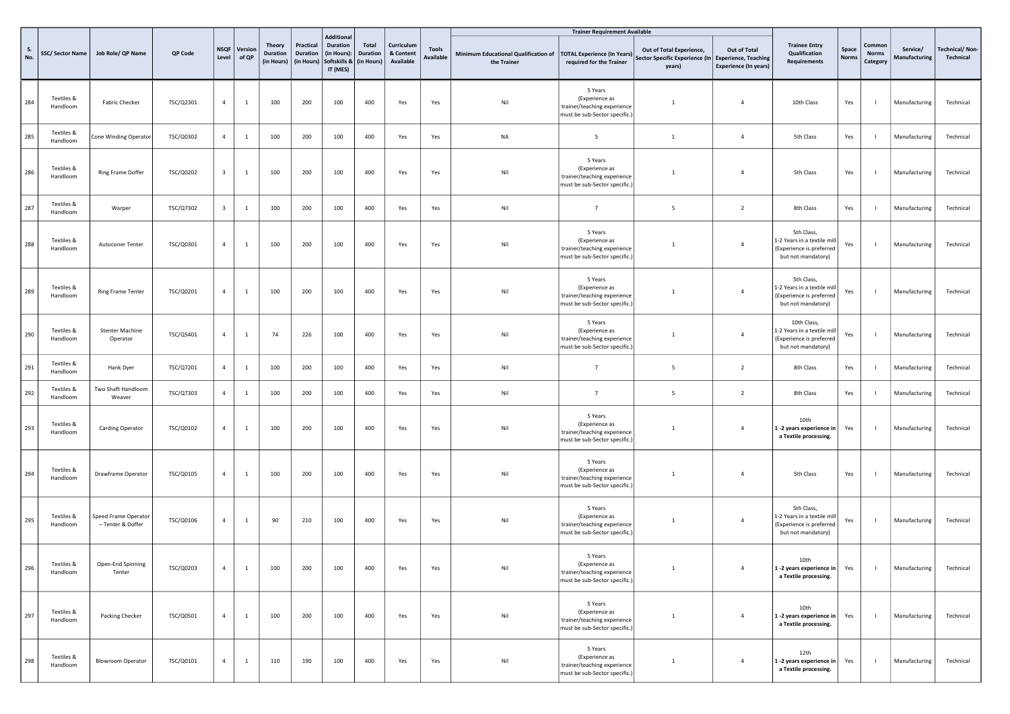|           |                        |                                           |           |                         |                  |                                         |                                     |                                                                                 |                                        |                                      |                           |                                                     | <b>Trainer Requirement Available</b>                                                      |                                                                                           |                                              |                                                                                             |                |                                    |                           |                                    |
|-----------|------------------------|-------------------------------------------|-----------|-------------------------|------------------|-----------------------------------------|-------------------------------------|---------------------------------------------------------------------------------|----------------------------------------|--------------------------------------|---------------------------|-----------------------------------------------------|-------------------------------------------------------------------------------------------|-------------------------------------------------------------------------------------------|----------------------------------------------|---------------------------------------------------------------------------------------------|----------------|------------------------------------|---------------------------|------------------------------------|
| S.<br>No. | SSC/Sector Name        | Job Role/ QP Name                         | QP Code   | <b>NSQF</b><br>Level    | Version<br>of QP | <b>Theory</b><br>Duration<br>(in Hours) | Practical<br>Duration<br>(in Hours) | <b>Additional</b><br><b>Duration</b><br>(in Hours):<br>Softskills &<br>IT (MES) | Total<br><b>Duration</b><br>(in Hours) | Curriculum<br>& Content<br>Available | <b>Tools</b><br>Available | Minimum Educational Qualification of<br>the Trainer | <b>TOTAL Experience (In Years)</b><br>required for the Trainer                            | Out of Total Experience,<br>Sector Specific Experience (In Experience, Teaching<br>years) | Out of Total<br><b>Experience (In years)</b> | <b>Trainee Entry</b><br>Qualification<br>Requirements                                       | Space<br>Norm: | Common<br><b>Norms</b><br>Category | Service/<br>Manufacturing | <b>Technical/Non-</b><br>Technical |
| 284       | Textiles &<br>Handloom | Fabric Checker                            | TSC/Q2301 | $\overline{4}$          |                  | 100                                     | 200                                 | 100                                                                             | 400                                    | Yes                                  | Yes                       | Nil                                                 | 5 Years<br>(Experience as<br>trainer/teaching experience<br>must be sub-Sector specific.) |                                                                                           | $\overline{4}$                               | 10th Class                                                                                  | Yes            |                                    | Manufacturing             | Technical                          |
| 285       | Textiles &<br>Handloom | Cone Winding Operator                     | TSC/Q0302 | $\overline{4}$          | <sup>1</sup>     | 100                                     | 200                                 | 100                                                                             | 400                                    | Yes                                  | Yes                       | <b>NA</b>                                           | 5                                                                                         | $\mathbf{1}$                                                                              | $\overline{4}$                               | 5th Class                                                                                   | Yes            |                                    | Manufacturing             | Technical                          |
| 286       | Textiles &<br>Handloom | Ring Frame Doffer                         | TSC/Q0202 | $\overline{\mathbf{3}}$ | 1                | 100                                     | 200                                 | 100                                                                             | 400                                    | Yes                                  | Yes                       | Nil                                                 | 5 Years<br>(Experience as<br>trainer/teaching experience<br>must be sub-Sector specific.) |                                                                                           | $\overline{4}$                               | 5th Class                                                                                   | Yes            |                                    | Manufacturing             | Technical                          |
| 287       | Textiles &<br>Handloom | Warper                                    | TSC/Q7302 | $\overline{\mathbf{3}}$ | <sup>1</sup>     | 100                                     | 200                                 | 100                                                                             | 400                                    | Yes                                  | Yes                       | Nil                                                 | $\overline{7}$                                                                            | 5                                                                                         | $\overline{2}$                               | 8th Class                                                                                   | Yes            |                                    | Manufacturing             | Technical                          |
| 288       | Textiles &<br>Handloom | Autoconer Tenter                          | TSC/Q0301 | $\overline{4}$          | -1               | 100                                     | 200                                 | 100                                                                             | 400                                    | Yes                                  | Yes                       | Nil                                                 | 5 Years<br>(Experience as<br>trainer/teaching experience<br>must be sub-Sector specific.) |                                                                                           | $\overline{4}$                               | 5th Class,<br>1-2 Years in a textile mill<br>(Experience is preferred<br>but not mandatory) | Yes            |                                    | Manufacturing             | Technical                          |
| 289       | Textiles &<br>Handloom | Ring Frame Tenter                         | TSC/Q0201 | $\overline{4}$          | -1               | 100                                     | 200                                 | 100                                                                             | 400                                    | Yes                                  | Yes                       | Nil                                                 | 5 Years<br>(Experience as<br>trainer/teaching experience<br>must be sub-Sector specific.) |                                                                                           | $\overline{4}$                               | 5th Class,<br>1-2 Years in a textile mil<br>(Experience is preferred<br>but not mandatory)  | Yes            |                                    | Manufacturing             | Technical                          |
| 290       | Textiles &<br>Handloom | <b>Stenter Machine</b><br>Operator        | TSC/Q5401 | $\overline{4}$          | <sup>1</sup>     | 74                                      | 226                                 | 100                                                                             | 400                                    | Yes                                  | Yes                       | Nil                                                 | 5 Years<br>(Experience as<br>trainer/teaching experience<br>must be sub-Sector specific.) |                                                                                           | $\overline{4}$                               | 10th Class,<br>1-2 Years in a textile mil<br>(Experience is preferred<br>but not mandatory) | Yes            |                                    | Manufacturing             | Technical                          |
| 291       | Textiles &<br>Handloom | Hank Dyer                                 | TSC/Q7201 | $\overline{4}$          | <sup>1</sup>     | 100                                     | 200                                 | 100                                                                             | 400                                    | Yes                                  | Yes                       | Nil                                                 | $\overline{7}$                                                                            | 5                                                                                         | $\overline{2}$                               | 8th Class                                                                                   | Yes            | - 1                                | Manufacturing             | Technical                          |
| 292       | Textiles &<br>Handloom | Two Shaft Handloom<br>Weaver              | TSC/Q7303 | $\overline{4}$          | -1               | 100                                     | 200                                 | 100                                                                             | 400                                    | Yes                                  | Yes                       | Nil                                                 | $\overline{7}$                                                                            | 5                                                                                         | $\overline{2}$                               | 8th Class                                                                                   | Yes            |                                    | Manufacturing             | Technical                          |
| 293       | Textiles &<br>Handloom | Carding Operator                          | TSC/Q0102 | $\overline{4}$          | 1                | 100                                     | 200                                 | 100                                                                             | 400                                    | Yes                                  | Yes                       | Nil                                                 | 5 Years<br>(Experience as<br>trainer/teaching experience<br>must be sub-Sector specific.) |                                                                                           | $\overline{4}$                               | 10th<br>1 -2 years experience in<br>a Textile processing.                                   | Yes            |                                    | Manufacturing             | Technical                          |
| 294       | Textiles &<br>Handloom | Drawframe Operator                        | TSC/Q0105 | $\overline{4}$          | 1                | 100                                     | 200                                 | 100                                                                             | 400                                    | Yes                                  | Yes                       | Nil                                                 | 5 Years<br>(Experience as<br>trainer/teaching experience<br>must be sub-Sector specific.) | $\mathbf{1}$                                                                              | $\overline{4}$                               | 5th Class                                                                                   | Yes            |                                    | Manufacturing             | Technical                          |
| 295       | Textiles &<br>Handloom | Speed Frame Operator<br>- Tenter & Doffer | TSC/Q0106 | 4                       | <sup>1</sup>     | 90                                      | 210                                 | 100                                                                             | 400                                    | Yes                                  | Yes                       | Nil                                                 | 5 Years<br>(Experience as<br>trainer/teaching experience<br>must be sub-Sector specific.) | $\mathbf{1}$                                                                              | $\overline{4}$                               | 5th Class,<br>1-2 Years in a textile mill<br>(Experience is preferred<br>but not mandatory) | Yes            |                                    | Manufacturing             | Technical                          |
| 296       | Textiles &<br>Handloom | Open-End Spinning<br>Tenter               | TSC/Q0203 |                         |                  | 100                                     | 200                                 | 100                                                                             | 400                                    | Yes                                  | Yes                       | Nil                                                 | 5 Years<br>(Experience as<br>trainer/teaching experience<br>must be sub-Sector specific.) | $\mathbf{1}$                                                                              | $\overline{4}$                               | 10th<br>1 -2 years experience in<br>a Textile processing.                                   | Yes            |                                    | Manufacturing             | Technical                          |
| 297       | Textiles &<br>Handloom | Packing Checker                           | TSC/Q0501 | $\overline{4}$          | $\mathbf{1}$     | 100                                     | 200                                 | 100                                                                             | 400                                    | Yes                                  | Yes                       | Nil                                                 | 5 Years<br>(Experience as<br>trainer/teaching experience<br>must be sub-Sector specific.) | -1                                                                                        | $\overline{4}$                               | 10th<br>1 -2 years experience in<br>a Textile processing.                                   | Yes            | $\blacksquare$                     | Manufacturing             | Technical                          |
| 298       | Textiles &<br>Handloom | <b>Blowroom Operator</b>                  | TSC/Q0101 | $\overline{4}$          | <sup>1</sup>     | 110                                     | 190                                 | 100                                                                             | 400                                    | Yes                                  | Yes                       | Nil                                                 | 5 Years<br>(Experience as<br>trainer/teaching experience<br>must be sub-Sector specific.) | -1                                                                                        | $\overline{4}$                               | 12th<br>1 -2 years experience in<br>a Textile processing.                                   | Yes            |                                    | Manufacturing             | Technical                          |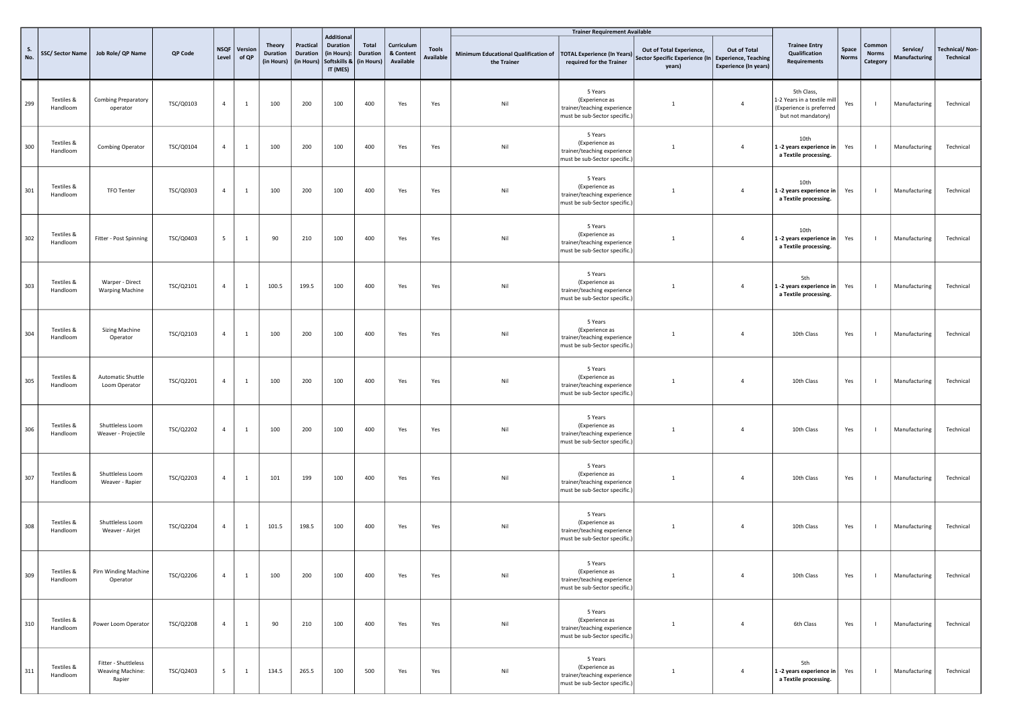|                  |                        |                                                    |           |                      |                  |                                  |                                                       |                                                                                     |                          |                                      |                                  |                                                     | <b>Trainer Requirement Available</b>                                                      |                                                                                           |                                              |                                                                                             |                       |                                    |                           |                                    |
|------------------|------------------------|----------------------------------------------------|-----------|----------------------|------------------|----------------------------------|-------------------------------------------------------|-------------------------------------------------------------------------------------|--------------------------|--------------------------------------|----------------------------------|-----------------------------------------------------|-------------------------------------------------------------------------------------------|-------------------------------------------------------------------------------------------|----------------------------------------------|---------------------------------------------------------------------------------------------|-----------------------|------------------------------------|---------------------------|------------------------------------|
| <b>S.</b><br>No. | SSC/Sector Name        | Job Role/ QP Name                                  | QP Code   | <b>NSQF</b><br>Level | Version<br>of QP | <b>Theory</b><br><b>Duration</b> | Practical<br><b>Duration</b><br>(in Hours) (in Hours) | <b>Additional</b><br>Duration<br>(in Hours):<br>Softskills & (in Hours)<br>IT (MES) | Total<br><b>Duration</b> | Curriculum<br>& Content<br>Available | <b>Tools</b><br><b>Available</b> | Minimum Educational Qualification of<br>the Trainer | <b>TOTAL Experience (In Years)</b><br>required for the Trainer                            | Out of Total Experience,<br>Sector Specific Experience (In Experience, Teaching<br>years) | Out of Total<br><b>Experience (In years)</b> | <b>Trainee Entry</b><br>Qualification<br>Requirements                                       | Space<br><b>Norms</b> | Common<br><b>Norms</b><br>Category | Service/<br>Manufacturing | <b>Technical/Non-</b><br>Technical |
| 299              | Textiles &<br>Handloom | <b>Combing Preparatory</b><br>operator             | TSC/Q0103 | $\overline{4}$       | <sup>1</sup>     | 100                              | 200                                                   | 100                                                                                 | 400                      | Yes                                  | Yes                              | Nil                                                 | 5 Years<br>(Experience as<br>trainer/teaching experience<br>must be sub-Sector specific.) |                                                                                           | $\overline{4}$                               | 5th Class,<br>1-2 Years in a textile mill<br>(Experience is preferred<br>but not mandatory) | Yes                   | $\blacksquare$                     | Manufacturing             | Technical                          |
| 300              | Textiles &<br>Handloom | Combing Operator                                   | TSC/Q0104 | $\overline{4}$       | <sup>1</sup>     | 100                              | 200                                                   | 100                                                                                 | 400                      | Yes                                  | Yes                              | Nil                                                 | 5 Years<br>(Experience as<br>trainer/teaching experience<br>must be sub-Sector specific.) |                                                                                           | $\overline{4}$                               | 10th<br>1-2 years experience in<br>a Textile processing.                                    | Yes                   | $\blacksquare$                     | Manufacturing             | Technical                          |
| 301              | Textiles &<br>Handloom | TFO Tenter                                         | TSC/Q0303 | $\overline{4}$       | 1                | 100                              | 200                                                   | 100                                                                                 | 400                      | Yes                                  | Yes                              | Nil                                                 | 5 Years<br>(Experience as<br>trainer/teaching experience<br>must be sub-Sector specific.) | $\overline{1}$                                                                            | $\sqrt{4}$                                   | 10th<br>1 -2 years experience in<br>a Textile processing.                                   | Yes                   |                                    | Manufacturing             | Technical                          |
| 302              | Textiles &<br>Handloom | Fitter - Post Spinning                             | TSC/Q0403 | 5                    | <sup>1</sup>     | 90                               | 210                                                   | 100                                                                                 | 400                      | Yes                                  | Yes                              | Nil                                                 | 5 Years<br>(Experience as<br>trainer/teaching experience<br>must be sub-Sector specific.) | $\overline{1}$                                                                            | $\overline{4}$                               | 10th<br>1 -2 years experience in<br>a Textile processing.                                   | Yes                   |                                    | Manufacturing             | Technical                          |
| 303              | Textiles &<br>Handloom | Warper - Direct<br><b>Warping Machine</b>          | TSC/Q2101 | $\overline{4}$       | 1                | 100.5                            | 199.5                                                 | 100                                                                                 | 400                      | Yes                                  | Yes                              | Nil                                                 | 5 Years<br>(Experience as<br>trainer/teaching experience<br>must be sub-Sector specific.) | $\overline{1}$                                                                            | $\overline{4}$                               | 5th<br>1-2 years experience in<br>a Textile processing.                                     | Yes                   |                                    | Manufacturing             | Technical                          |
| 304              | Textiles &<br>Handloom | <b>Sizing Machine</b><br>Operator                  | TSC/Q2103 | $\overline{4}$       | $\mathbf{1}$     | 100                              | 200                                                   | 100                                                                                 | 400                      | Yes                                  | Yes                              | Nil                                                 | 5 Years<br>(Experience as<br>trainer/teaching experience<br>must be sub-Sector specific.) |                                                                                           | $\overline{4}$                               | 10th Class                                                                                  | Yes                   |                                    | Manufacturing             | Technical                          |
| 305              | Textiles &<br>Handloom | Automatic Shuttle<br>Loom Operator                 | TSC/Q2201 | $\overline{4}$       | <sup>1</sup>     | 100                              | 200                                                   | 100                                                                                 | 400                      | Yes                                  | Yes                              | Nil                                                 | 5 Years<br>(Experience as<br>trainer/teaching experience<br>must be sub-Sector specific.) | $\overline{1}$                                                                            | $\overline{4}$                               | 10th Class                                                                                  | Yes                   | $\blacksquare$                     | Manufacturing             | Technical                          |
| 306              | Textiles &<br>Handloom | Shuttleless Loom<br>Weaver - Projectile            | TSC/Q2202 | $\overline{4}$       | -1               | 100                              | 200                                                   | 100                                                                                 | 400                      | Yes                                  | Yes                              | Nil                                                 | 5 Years<br>(Experience as<br>trainer/teaching experience<br>must be sub-Sector specific.) |                                                                                           | $\overline{4}$                               | 10th Class                                                                                  | Yes                   |                                    | Manufacturing             | Technical                          |
| 307              | Textiles &<br>Handloom | Shuttleless Loom<br>Weaver - Rapier                | TSC/Q2203 | $\overline{4}$       | <sup>1</sup>     | 101                              | 199                                                   | 100                                                                                 | 400                      | Yes                                  | Yes                              | Nil                                                 | 5 Years<br>(Experience as<br>trainer/teaching experience<br>must be sub-Sector specific.) | $\overline{1}$                                                                            | $\overline{4}$                               | 10th Class                                                                                  | Yes                   | $\blacksquare$                     | Manufacturing             | Technical                          |
| 308              | Textiles &<br>Handloom | Shuttleless Loom<br>Weaver - Airjet                | TSC/Q2204 | 4                    | <sup>1</sup>     | 101.5                            | 198.5                                                 | 100                                                                                 | 400                      | Yes                                  | Yes                              | Nil                                                 | 5 Years<br>(Experience as<br>trainer/teaching experience<br>must be sub-Sector specific.) | $\mathbf{1}$                                                                              | $\overline{4}$                               | 10th Class                                                                                  | Yes                   | $\blacksquare$                     | Manufacturing             | Technical                          |
| 309              | Textiles &<br>Handloom | Pirn Winding Machine<br>Operator                   | TSC/Q2206 | $\overline{4}$       | <sup>1</sup>     | 100                              | 200                                                   | 100                                                                                 | 400                      | Yes                                  | Yes                              | Nil                                                 | 5 Years<br>(Experience as<br>trainer/teaching experience<br>must be sub-Sector specific.) | $\overline{1}$                                                                            | $\overline{4}$                               | 10th Class                                                                                  | Yes                   |                                    | Manufacturing             | Technical                          |
| 310              | Textiles &<br>Handloom | Power Loom Operator                                | TSC/Q2208 | $\overline{4}$       | <sup>1</sup>     | 90                               | 210                                                   | 100                                                                                 | 400                      | Yes                                  | $\gamma_{\rm{es}}$               | Nil                                                 | 5 Years<br>(Experience as<br>trainer/teaching experience<br>must be sub-Sector specific.) | $\overline{1}$                                                                            | $\overline{4}$                               | 6th Class                                                                                   | Yes                   | $\blacksquare$                     | Manufacturing             | Technical                          |
| 311              | Textiles &<br>Handloom | Fitter - Shuttleless<br>Weaving Machine:<br>Rapier | TSC/Q2403 | $5\overline{ }$      | $\mathbf{1}$     | 134.5                            | 265.5                                                 | 100                                                                                 | 500                      | Yes                                  | Yes                              | Nil                                                 | 5 Years<br>(Experience as<br>trainer/teaching experience<br>must be sub-Sector specific.) | -1                                                                                        | $\overline{4}$                               | 5th<br>1-2 years experience in<br>a Textile processing.                                     | Yes                   |                                    | Manufacturing             | Technical                          |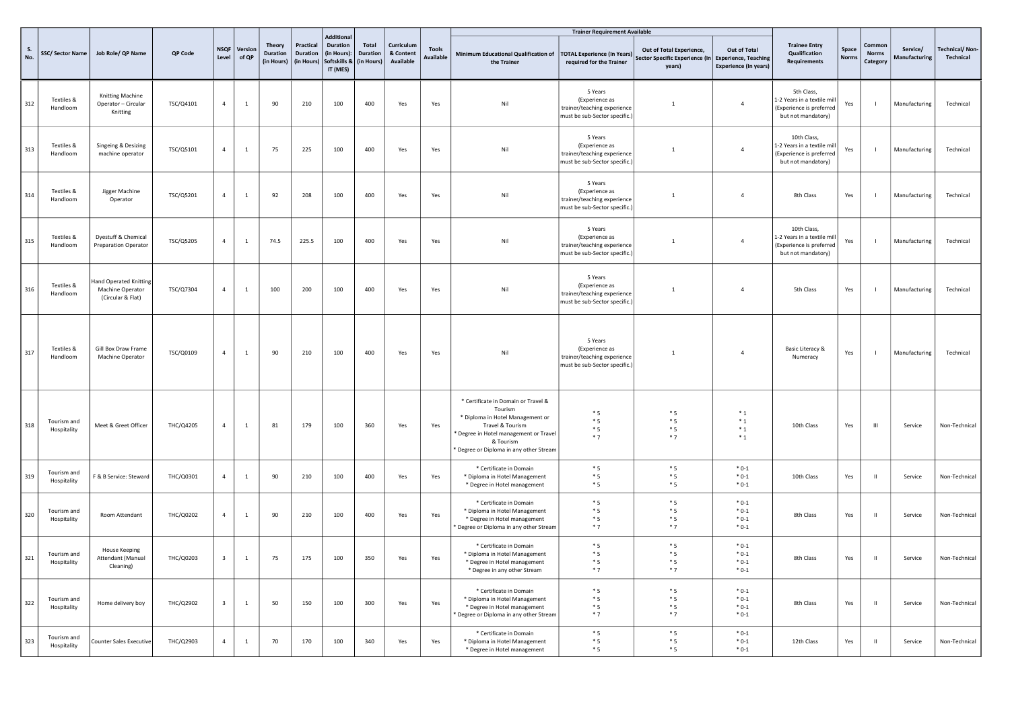|     |                            |                                                                 |           |                         |                         |                                         |                                            |                                                                                              |                                 |                                      |                           | <b>Trainer Requirement Available</b>                                                                                                                                                                     |                                                                                           |                                                                                             |                                              |                                                                                              |                       |                                    |                           |                                    |
|-----|----------------------------|-----------------------------------------------------------------|-----------|-------------------------|-------------------------|-----------------------------------------|--------------------------------------------|----------------------------------------------------------------------------------------------|---------------------------------|--------------------------------------|---------------------------|----------------------------------------------------------------------------------------------------------------------------------------------------------------------------------------------------------|-------------------------------------------------------------------------------------------|---------------------------------------------------------------------------------------------|----------------------------------------------|----------------------------------------------------------------------------------------------|-----------------------|------------------------------------|---------------------------|------------------------------------|
| No. |                            | SSC/ Sector Name   Job Role/ QP Name                            | QP Code   | <b>NSQF</b><br>Level    | <b>Version</b><br>of QP | <b>Theory</b><br>Duration<br>(in Hours) | Practical<br><b>Duration</b><br>(in Hours) | <b>Additional</b><br><b>Duration</b><br>(in Hours):<br>Softskills &   (in Hours)<br>IT (MES) | <b>Total</b><br><b>Duration</b> | Curriculum<br>& Content<br>Available | <b>Tools</b><br>Available | Minimum Educational Qualification of<br>the Trainer                                                                                                                                                      | <b>TOTAL Experience (In Years)</b><br>required for the Trainer                            | Out of Total Experience,<br>Sector Specific Experience (In   Experience, Teaching<br>years) | Out of Total<br><b>Experience (In years)</b> | <b>Trainee Entry</b><br>Qualification<br>Requirements                                        | Space<br><b>Norms</b> | Common<br><b>Norms</b><br>Category | Service/<br>Manufacturing | <b>Technical/Non-</b><br>Technical |
| 312 | Textiles &<br>Handloom     | Knitting Machine<br>Operator - Circular<br>Knitting             | TSC/Q4101 | $\overline{4}$          | 1                       | 90                                      | 210                                        | 100                                                                                          | 400                             | Yes                                  | Yes                       | Nil                                                                                                                                                                                                      | 5 Years<br>(Experience as<br>trainer/teaching experience<br>must be sub-Sector specific.) | $\mathbf{1}$                                                                                | $\overline{4}$                               | 5th Class,<br>1-2 Years in a textile mill<br>(Experience is preferred<br>but not mandatory)  | Yes                   | -1                                 | Manufacturing             | Technical                          |
| 313 | Textiles &<br>Handloom     | Singeing & Desizing<br>machine operator                         | TSC/Q5101 | $\overline{4}$          | $\mathbf{1}$            | 75                                      | 225                                        | 100                                                                                          | 400                             | Yes                                  | Yes                       | Nil                                                                                                                                                                                                      | 5 Years<br>(Experience as<br>trainer/teaching experience<br>must be sub-Sector specific.) | 1                                                                                           | $\overline{4}$                               | 10th Class,<br>1-2 Years in a textile mill<br>(Experience is preferred<br>but not mandatory) | Yes                   |                                    | Manufacturing             | Technical                          |
| 314 | Textiles &<br>Handloom     | Jigger Machine<br>Operator                                      | TSC/Q5201 | $\overline{4}$          | $\mathbf{1}$            | 92                                      | 208                                        | 100                                                                                          | 400                             | Yes                                  | Yes                       | Nil                                                                                                                                                                                                      | 5 Years<br>(Experience as<br>trainer/teaching experience<br>must be sub-Sector specific.) | $\mathbf{1}$                                                                                | $\overline{4}$                               | 8th Class                                                                                    | Yes                   | $\blacksquare$                     | Manufacturing             | Technical                          |
| 315 | Textiles &<br>Handloom     | Dyestuff & Chemical<br><b>Preparation Operator</b>              | TSC/Q5205 | $\overline{4}$          | $\mathbf{1}$            | 74.5                                    | 225.5                                      | 100                                                                                          | 400                             | Yes                                  | Yes                       | Nil                                                                                                                                                                                                      | 5 Years<br>(Experience as<br>trainer/teaching experience<br>must be sub-Sector specific.) | 1                                                                                           | $\overline{4}$                               | 10th Class,<br>1-2 Years in a textile mill<br>(Experience is preferred<br>but not mandatory) | Yes                   | $\blacksquare$                     | Manufacturing             | Technical                          |
| 316 | Textiles &<br>Handloom     | land Operated Knitting<br>Machine Operator<br>(Circular & Flat) | TSC/Q7304 | $\overline{4}$          | $\mathbf{1}$            | 100                                     | 200                                        | 100                                                                                          | 400                             | Yes                                  | Yes                       | Nil                                                                                                                                                                                                      | 5 Years<br>(Experience as<br>trainer/teaching experience<br>must be sub-Sector specific.) | $\mathbf{1}$                                                                                | $\overline{4}$                               | 5th Class                                                                                    | Yes                   | $\mathbf{I}$                       | Manufacturing             | Technical                          |
| 317 | Textiles &<br>Handloom     | Gill Box Draw Frame<br>Machine Operator                         | TSC/Q0109 | $\overline{4}$          | $\mathbf{1}$            | 90                                      | 210                                        | 100                                                                                          | 400                             | Yes                                  | Yes                       | Nil                                                                                                                                                                                                      | 5 Years<br>(Experience as<br>trainer/teaching experience<br>must be sub-Sector specific.) | 1                                                                                           | $\overline{4}$                               | Basic Literacy &<br>Numeracy                                                                 | Yes                   | $\overline{1}$                     | Manufacturing             | Technical                          |
| 318 | Tourism and<br>Hospitality | Meet & Greet Officer                                            | THC/Q4205 | $\overline{4}$          | $\mathbf{1}$            | 81                                      | 179                                        | 100                                                                                          | 360                             | Yes                                  | Yes                       | * Certificate in Domain or Travel &<br>Tourism<br>* Diploma in Hotel Management or<br>Travel & Tourism<br>* Degree in Hotel management or Travel<br>& Tourism<br>* Degree or Diploma in any other Stream | $*_{5}$<br>$*_{5}$<br>$*5$<br>$*7$                                                        | $*_{5}$<br>$*_{5}$<br>$*_{5}$<br>$*7$                                                       | $*_{1}$<br>$*_{1}$<br>$*_{1}$<br>$*_{1}$     | 10th Class                                                                                   | Yes                   | Ш                                  | Service                   | Non-Technical                      |
| 319 | Tourism and<br>Hospitality | F & B Service: Steward                                          | THC/Q0301 | $\overline{4}$          | $\mathbf{1}$            | 90                                      | 210                                        | 100                                                                                          | 400                             | Yes                                  | Yes                       | * Certificate in Domain<br>* Diploma in Hotel Management<br>* Degree in Hotel management                                                                                                                 | $*5$<br>$*5$<br>$*5$                                                                      | $*_{5}$<br>$*5$<br>$*_{5}$                                                                  | $*0-1$<br>$*0-1$<br>$*0-1$                   | 10th Class                                                                                   | Yes                   | $\mathbf{H}$                       | Service                   | Non-Technical                      |
| 320 | Tourism and<br>Hospitality | Room Attendant                                                  | THC/Q0202 | $\overline{4}$          | $\mathbf{1}$            | 90                                      | 210                                        | 100                                                                                          | 400                             | Yes                                  | Yes                       | * Certificate in Domain<br>* Diploma in Hotel Management<br>* Degree in Hotel management<br>Degree or Diploma in any other Stream                                                                        | $*5$<br>$*_{5}$<br>$*_{5}$<br>$*7$                                                        | $*5$<br>$*_{5}$<br>$*5$<br>$*7$                                                             | $*0-1$<br>$*0-1$<br>$*0-1$<br>$*0-1$         | 8th Class                                                                                    | Yes                   | $\mathbf{I}$                       | Service                   | Non-Technical                      |
| 321 | Tourism and<br>Hospitality | House Keeping<br>Attendant (Manual<br>Cleaning)                 | THC/Q0203 | $\overline{\mathbf{3}}$ | $\mathbf{1}$            | 75                                      | 175                                        | 100                                                                                          | 350                             | Yes                                  | Yes                       | * Certificate in Domain<br>* Diploma in Hotel Management<br>* Degree in Hotel management<br>* Degree in any other Stream                                                                                 | $*5$<br>$*_{5}$<br>$*5$<br>$*7$                                                           | $*5$<br>$*_{5}$<br>$*5$<br>$*7$                                                             | $*0-1$<br>$*0-1$<br>$*0-1$<br>$*0-1$         | 8th Class                                                                                    | Yes                   | $\mathbf{I}$                       | Service                   | Non-Technical                      |
| 322 | Tourism and<br>Hospitality | Home delivery boy                                               | THC/Q2902 | $\overline{\mathbf{3}}$ | $\mathbf{1}$            | 50                                      | 150                                        | 100                                                                                          | 300                             | Yes                                  | Yes                       | * Certificate in Domain<br>* Diploma in Hotel Management<br>* Degree in Hotel management<br>* Degree or Diploma in any other Stream                                                                      | $*5$<br>$*5$<br>$*5$<br>$*7$                                                              | $*5$<br>$*5$<br>$*5$<br>$*7$                                                                | $*0-1$<br>$*0-1$<br>$*0-1$<br>$*0-1$         | 8th Class                                                                                    | Yes                   | $\mathbf{H}$                       | Service                   | Non-Technical                      |
| 323 | Tourism and<br>Hospitality | <b>Counter Sales Executive</b>                                  | THC/Q2903 | $\overline{4}$          | $\mathbf{1}$            | 70                                      | 170                                        | 100                                                                                          | 340                             | Yes                                  | Yes                       | * Certificate in Domain<br>* Diploma in Hotel Management<br>* Degree in Hotel management                                                                                                                 | $*5$<br>$*5$<br>$*5$                                                                      | $*5$<br>$*5$<br>$*5$                                                                        | $*0-1$<br>$*0-1$<br>$*0-1$                   | 12th Class                                                                                   | Yes                   | $\mathbf{H}$                       | Service                   | Non-Technical                      |